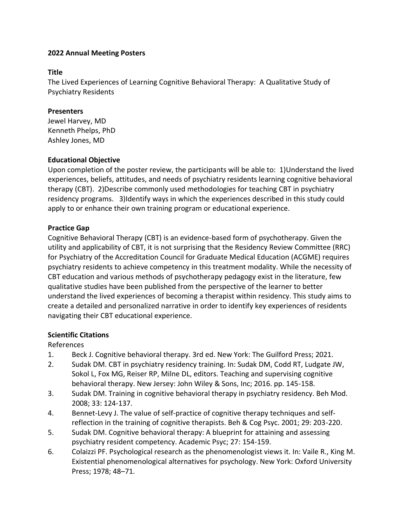### **Title**

The Lived Experiences of Learning Cognitive Behavioral Therapy: A Qualitative Study of Psychiatry Residents

# **Presenters**

Jewel Harvey, MD Kenneth Phelps, PhD Ashley Jones, MD

# **Educational Objective**

Upon completion of the poster review, the participants will be able to: 1)Understand the lived experiences, beliefs, attitudes, and needs of psychiatry residents learning cognitive behavioral therapy (CBT). 2)Describe commonly used methodologies for teaching CBT in psychiatry residency programs. 3)Identify ways in which the experiences described in this study could apply to or enhance their own training program or educational experience.

# **Practice Gap**

Cognitive Behavioral Therapy (CBT) is an evidence-based form of psychotherapy. Given the utility and applicability of CBT, it is not surprising that the Residency Review Committee (RRC) for Psychiatry of the Accreditation Council for Graduate Medical Education (ACGME) requires psychiatry residents to achieve competency in this treatment modality. While the necessity of CBT education and various methods of psychotherapy pedagogy exist in the literature, few qualitative studies have been published from the perspective of the learner to better understand the lived experiences of becoming a therapist within residency. This study aims to create a detailed and personalized narrative in order to identify key experiences of residents navigating their CBT educational experience.

# **Scientific Citations**

References

- 1. Beck J. Cognitive behavioral therapy. 3rd ed. New York: The Guilford Press; 2021.
- 2. Sudak DM. CBT in psychiatry residency training. In: Sudak DM, Codd RT, Ludgate JW, Sokol L, Fox MG, Reiser RP, Milne DL, editors. Teaching and supervising cognitive behavioral therapy. New Jersey: John Wiley & Sons, Inc; 2016. pp. 145-158.
- 3. Sudak DM. Training in cognitive behavioral therapy in psychiatry residency. Beh Mod. 2008; 33: 124-137.
- 4. Bennet-Levy J. The value of self-practice of cognitive therapy techniques and selfreflection in the training of cognitive therapists. Beh & Cog Psyc. 2001; 29: 203-220.
- 5. Sudak DM. Cognitive behavioral therapy: A blueprint for attaining and assessing psychiatry resident competency. Academic Psyc; 27: 154-159.
- 6. Colaizzi PF. Psychological research as the phenomenologist views it. In: Vaile R., King M. Existential phenomenological alternatives for psychology. New York: Oxford University Press; 1978; 48–71.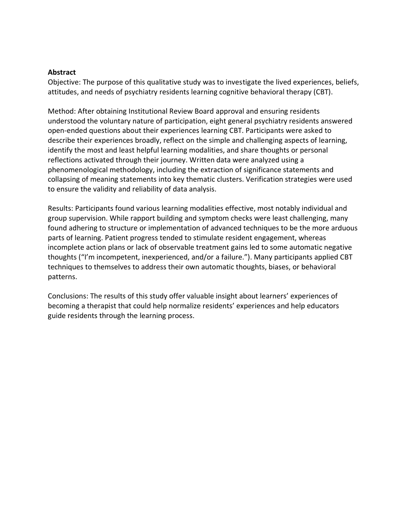#### **Abstract**

Objective: The purpose of this qualitative study was to investigate the lived experiences, beliefs, attitudes, and needs of psychiatry residents learning cognitive behavioral therapy (CBT).

Method: After obtaining Institutional Review Board approval and ensuring residents understood the voluntary nature of participation, eight general psychiatry residents answered open-ended questions about their experiences learning CBT. Participants were asked to describe their experiences broadly, reflect on the simple and challenging aspects of learning, identify the most and least helpful learning modalities, and share thoughts or personal reflections activated through their journey. Written data were analyzed using a phenomenological methodology, including the extraction of significance statements and collapsing of meaning statements into key thematic clusters. Verification strategies were used to ensure the validity and reliability of data analysis.

Results: Participants found various learning modalities effective, most notably individual and group supervision. While rapport building and symptom checks were least challenging, many found adhering to structure or implementation of advanced techniques to be the more arduous parts of learning. Patient progress tended to stimulate resident engagement, whereas incomplete action plans or lack of observable treatment gains led to some automatic negative thoughts ("I'm incompetent, inexperienced, and/or a failure."). Many participants applied CBT techniques to themselves to address their own automatic thoughts, biases, or behavioral patterns.

Conclusions: The results of this study offer valuable insight about learners' experiences of becoming a therapist that could help normalize residents' experiences and help educators guide residents through the learning process.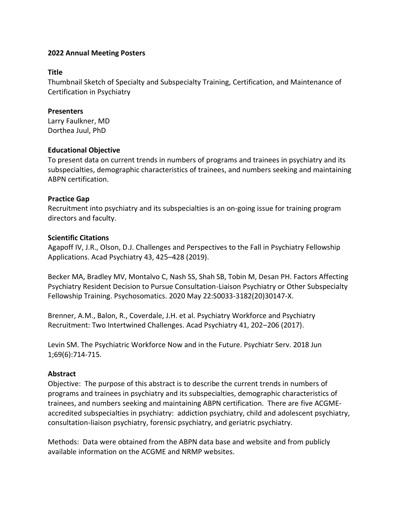### **Title**

Thumbnail Sketch of Specialty and Subspecialty Training, Certification, and Maintenance of Certification in Psychiatry

# **Presenters**

Larry Faulkner, MD Dorthea Juul, PhD

# **Educational Objective**

To present data on current trends in numbers of programs and trainees in psychiatry and its subspecialties, demographic characteristics of trainees, and numbers seeking and maintaining ABPN certification.

# **Practice Gap**

Recruitment into psychiatry and its subspecialties is an on-going issue for training program directors and faculty.

# **Scientific Citations**

Agapoff IV, J.R., Olson, D.J. Challenges and Perspectives to the Fall in Psychiatry Fellowship Applications. Acad Psychiatry 43, 425–428 (2019).

Becker MA, Bradley MV, Montalvo C, Nash SS, Shah SB, Tobin M, Desan PH. Factors Affecting Psychiatry Resident Decision to Pursue Consultation-Liaison Psychiatry or Other Subspecialty Fellowship Training. Psychosomatics. 2020 May 22:S0033-3182(20)30147-X.

Brenner, A.M., Balon, R., Coverdale, J.H. et al. Psychiatry Workforce and Psychiatry Recruitment: Two Intertwined Challenges. Acad Psychiatry 41, 202–206 (2017).

Levin SM. The Psychiatric Workforce Now and in the Future. Psychiatr Serv. 2018 Jun 1;69(6):714-715.

# **Abstract**

Objective: The purpose of this abstract is to describe the current trends in numbers of programs and trainees in psychiatry and its subspecialties, demographic characteristics of trainees, and numbers seeking and maintaining ABPN certification. There are five ACGMEaccredited subspecialties in psychiatry: addiction psychiatry, child and adolescent psychiatry, consultation-liaison psychiatry, forensic psychiatry, and geriatric psychiatry.

Methods: Data were obtained from the ABPN data base and website and from publicly available information on the ACGME and NRMP websites.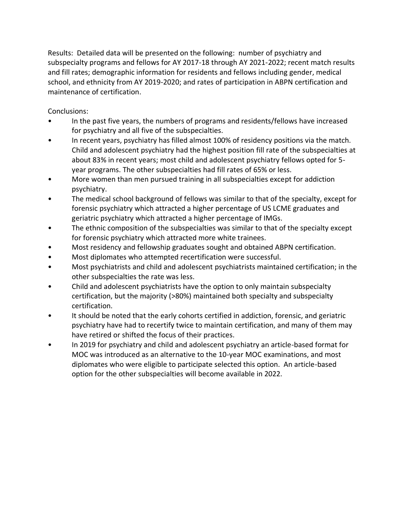Results: Detailed data will be presented on the following: number of psychiatry and subspecialty programs and fellows for AY 2017-18 through AY 2021-2022; recent match results and fill rates; demographic information for residents and fellows including gender, medical school, and ethnicity from AY 2019-2020; and rates of participation in ABPN certification and maintenance of certification.

Conclusions:

- In the past five years, the numbers of programs and residents/fellows have increased for psychiatry and all five of the subspecialties.
- In recent years, psychiatry has filled almost 100% of residency positions via the match. Child and adolescent psychiatry had the highest position fill rate of the subspecialties at about 83% in recent years; most child and adolescent psychiatry fellows opted for 5 year programs. The other subspecialties had fill rates of 65% or less.
- More women than men pursued training in all subspecialties except for addiction psychiatry.
- The medical school background of fellows was similar to that of the specialty, except for forensic psychiatry which attracted a higher percentage of US LCME graduates and geriatric psychiatry which attracted a higher percentage of IMGs.
- The ethnic composition of the subspecialties was similar to that of the specialty except for forensic psychiatry which attracted more white trainees.
- Most residency and fellowship graduates sought and obtained ABPN certification.
- Most diplomates who attempted recertification were successful.
- Most psychiatrists and child and adolescent psychiatrists maintained certification; in the other subspecialties the rate was less.
- Child and adolescent psychiatrists have the option to only maintain subspecialty certification, but the majority (>80%) maintained both specialty and subspecialty certification.
- It should be noted that the early cohorts certified in addiction, forensic, and geriatric psychiatry have had to recertify twice to maintain certification, and many of them may have retired or shifted the focus of their practices.
- In 2019 for psychiatry and child and adolescent psychiatry an article-based format for MOC was introduced as an alternative to the 10-year MOC examinations, and most diplomates who were eligible to participate selected this option. An article-based option for the other subspecialties will become available in 2022.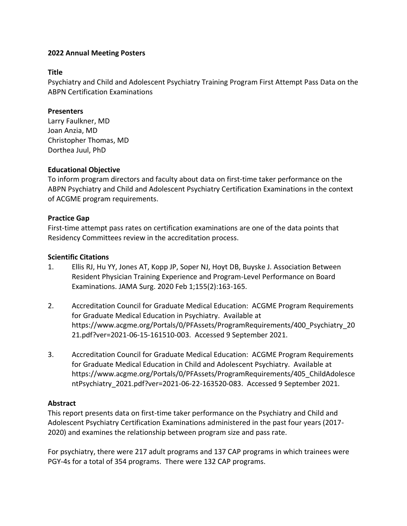### **Title**

Psychiatry and Child and Adolescent Psychiatry Training Program First Attempt Pass Data on the ABPN Certification Examinations

# **Presenters**

Larry Faulkner, MD Joan Anzia, MD Christopher Thomas, MD Dorthea Juul, PhD

# **Educational Objective**

To inform program directors and faculty about data on first-time taker performance on the ABPN Psychiatry and Child and Adolescent Psychiatry Certification Examinations in the context of ACGME program requirements.

# **Practice Gap**

First-time attempt pass rates on certification examinations are one of the data points that Residency Committees review in the accreditation process.

# **Scientific Citations**

- 1. Ellis RJ, Hu YY, Jones AT, Kopp JP, Soper NJ, Hoyt DB, Buyske J. Association Between Resident Physician Training Experience and Program-Level Performance on Board Examinations. JAMA Surg. 2020 Feb 1;155(2):163-165.
- 2. Accreditation Council for Graduate Medical Education: ACGME Program Requirements for Graduate Medical Education in Psychiatry. Available at https://www.acgme.org/Portals/0/PFAssets/ProgramRequirements/400\_Psychiatry\_20 21.pdf?ver=2021-06-15-161510-003. Accessed 9 September 2021.
- 3. Accreditation Council for Graduate Medical Education: ACGME Program Requirements for Graduate Medical Education in Child and Adolescent Psychiatry. Available at https://www.acgme.org/Portals/0/PFAssets/ProgramRequirements/405\_ChildAdolesce ntPsychiatry\_2021.pdf?ver=2021-06-22-163520-083. Accessed 9 September 2021.

# **Abstract**

This report presents data on first-time taker performance on the Psychiatry and Child and Adolescent Psychiatry Certification Examinations administered in the past four years (2017- 2020) and examines the relationship between program size and pass rate.

For psychiatry, there were 217 adult programs and 137 CAP programs in which trainees were PGY-4s for a total of 354 programs. There were 132 CAP programs.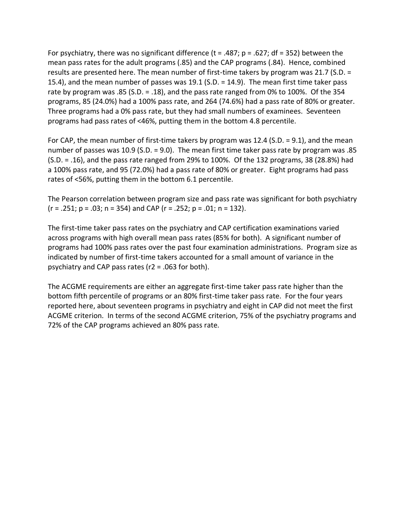For psychiatry, there was no significant difference ( $t = .487$ ;  $p = .627$ ; df = 352) between the mean pass rates for the adult programs (.85) and the CAP programs (.84). Hence, combined results are presented here. The mean number of first-time takers by program was 21.7 (S.D. = 15.4), and the mean number of passes was 19.1 (S.D. = 14.9). The mean first time taker pass rate by program was .85 (S.D. = .18), and the pass rate ranged from 0% to 100%. Of the 354 programs, 85 (24.0%) had a 100% pass rate, and 264 (74.6%) had a pass rate of 80% or greater. Three programs had a 0% pass rate, but they had small numbers of examinees. Seventeen programs had pass rates of <46%, putting them in the bottom 4.8 percentile.

For CAP, the mean number of first-time takers by program was 12.4 (S.D.  $= 9.1$ ), and the mean number of passes was 10.9 (S.D. = 9.0). The mean first time taker pass rate by program was .85 (S.D. = .16), and the pass rate ranged from 29% to 100%. Of the 132 programs, 38 (28.8%) had a 100% pass rate, and 95 (72.0%) had a pass rate of 80% or greater. Eight programs had pass rates of <56%, putting them in the bottom 6.1 percentile.

The Pearson correlation between program size and pass rate was significant for both psychiatry  $(r = .251; p = .03; n = 354)$  and CAP  $(r = .252; p = .01; n = 132)$ .

The first-time taker pass rates on the psychiatry and CAP certification examinations varied across programs with high overall mean pass rates (85% for both). A significant number of programs had 100% pass rates over the past four examination administrations. Program size as indicated by number of first-time takers accounted for a small amount of variance in the psychiatry and CAP pass rates (r2 = .063 for both).

The ACGME requirements are either an aggregate first-time taker pass rate higher than the bottom fifth percentile of programs or an 80% first-time taker pass rate. For the four years reported here, about seventeen programs in psychiatry and eight in CAP did not meet the first ACGME criterion. In terms of the second ACGME criterion, 75% of the psychiatry programs and 72% of the CAP programs achieved an 80% pass rate.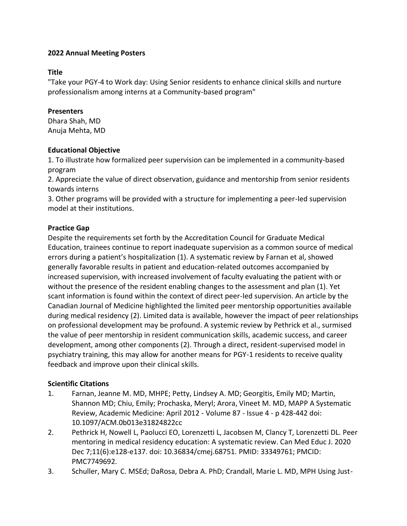# **Title**

"Take your PGY-4 to Work day: Using Senior residents to enhance clinical skills and nurture professionalism among interns at a Community-based program"

# **Presenters**

Dhara Shah, MD Anuja Mehta, MD

# **Educational Objective**

1. To illustrate how formalized peer supervision can be implemented in a community-based program

2. Appreciate the value of direct observation, guidance and mentorship from senior residents towards interns

3. Other programs will be provided with a structure for implementing a peer-led supervision model at their institutions.

# **Practice Gap**

Despite the requirements set forth by the Accreditation Council for Graduate Medical Education, trainees continue to report inadequate supervision as a common source of medical errors during a patient's hospitalization (1). A systematic review by Farnan et al, showed generally favorable results in patient and education-related outcomes accompanied by increased supervision, with increased involvement of faculty evaluating the patient with or without the presence of the resident enabling changes to the assessment and plan (1). Yet scant information is found within the context of direct peer-led supervision. An article by the Canadian Journal of Medicine highlighted the limited peer mentorship opportunities available during medical residency (2). Limited data is available, however the impact of peer relationships on professional development may be profound. A systemic review by Pethrick et al., surmised the value of peer mentorship in resident communication skills, academic success, and career development, among other components (2). Through a direct, resident-supervised model in psychiatry training, this may allow for another means for PGY-1 residents to receive quality feedback and improve upon their clinical skills.

# **Scientific Citations**

- 1. Farnan, Jeanne M. MD, MHPE; Petty, Lindsey A. MD; Georgitis, Emily MD; Martin, Shannon MD; Chiu, Emily; Prochaska, Meryl; Arora, Vineet M. MD, MAPP A Systematic Review, Academic Medicine: April 2012 - Volume 87 - Issue 4 - p 428-442 doi: 10.1097/ACM.0b013e31824822cc
- 2. Pethrick H, Nowell L, Paolucci EO, Lorenzetti L, Jacobsen M, Clancy T, Lorenzetti DL. Peer mentoring in medical residency education: A systematic review. Can Med Educ J. 2020 Dec 7;11(6):e128-e137. doi: 10.36834/cmej.68751. PMID: 33349761; PMCID: PMC7749692.
- 3. Schuller, Mary C. MSEd; DaRosa, Debra A. PhD; Crandall, Marie L. MD, MPH Using Just-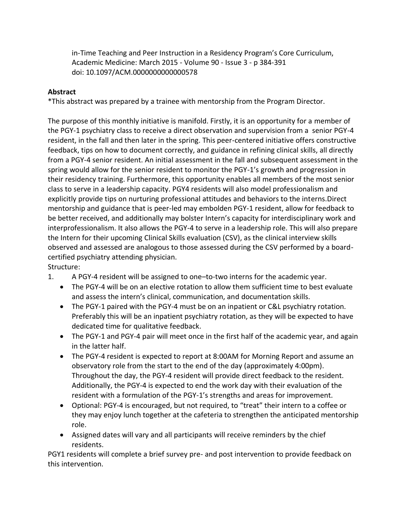in-Time Teaching and Peer Instruction in a Residency Program's Core Curriculum, Academic Medicine: March 2015 - Volume 90 - Issue 3 - p 384-391 doi: 10.1097/ACM.0000000000000578

# **Abstract**

\*This abstract was prepared by a trainee with mentorship from the Program Director.

The purpose of this monthly initiative is manifold. Firstly, it is an opportunity for a member of the PGY-1 psychiatry class to receive a direct observation and supervision from a senior PGY-4 resident, in the fall and then later in the spring. This peer-centered initiative offers constructive feedback, tips on how to document correctly, and guidance in refining clinical skills, all directly from a PGY-4 senior resident. An initial assessment in the fall and subsequent assessment in the spring would allow for the senior resident to monitor the PGY-1's growth and progression in their residency training. Furthermore, this opportunity enables all members of the most senior class to serve in a leadership capacity. PGY4 residents will also model professionalism and explicitly provide tips on nurturing professional attitudes and behaviors to the interns.Direct mentorship and guidance that is peer-led may embolden PGY-1 resident, allow for feedback to be better received, and additionally may bolster Intern's capacity for interdisciplinary work and interprofessionalism. It also allows the PGY-4 to serve in a leadership role. This will also prepare the Intern for their upcoming Clinical Skills evaluation (CSV), as the clinical interview skills observed and assessed are analogous to those assessed during the CSV performed by a boardcertified psychiatry attending physician.

Structure:

- 1. A PGY-4 resident will be assigned to one–to-two interns for the academic year.
	- The PGY-4 will be on an elective rotation to allow them sufficient time to best evaluate and assess the intern's clinical, communication, and documentation skills.
	- The PGY-1 paired with the PGY-4 must be on an inpatient or C&L psychiatry rotation. Preferably this will be an inpatient psychiatry rotation, as they will be expected to have dedicated time for qualitative feedback.
	- The PGY-1 and PGY-4 pair will meet once in the first half of the academic year, and again in the latter half.
	- The PGY-4 resident is expected to report at 8:00AM for Morning Report and assume an observatory role from the start to the end of the day (approximately 4:00pm). Throughout the day, the PGY-4 resident will provide direct feedback to the resident. Additionally, the PGY-4 is expected to end the work day with their evaluation of the resident with a formulation of the PGY-1's strengths and areas for improvement.
	- Optional: PGY-4 is encouraged, but not required, to "treat" their intern to a coffee or they may enjoy lunch together at the cafeteria to strengthen the anticipated mentorship role.
	- Assigned dates will vary and all participants will receive reminders by the chief residents.

PGY1 residents will complete a brief survey pre- and post intervention to provide feedback on this intervention.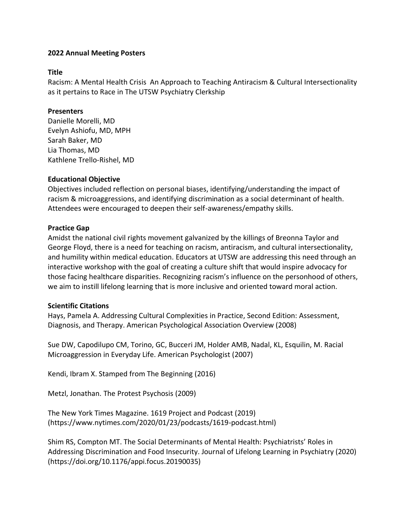### **Title**

Racism: A Mental Health Crisis An Approach to Teaching Antiracism & Cultural Intersectionality as it pertains to Race in The UTSW Psychiatry Clerkship

# **Presenters**

Danielle Morelli, MD Evelyn Ashiofu, MD, MPH Sarah Baker, MD Lia Thomas, MD Kathlene Trello-Rishel, MD

# **Educational Objective**

Objectives included reflection on personal biases, identifying/understanding the impact of racism & microaggressions, and identifying discrimination as a social determinant of health. Attendees were encouraged to deepen their self-awareness/empathy skills.

# **Practice Gap**

Amidst the national civil rights movement galvanized by the killings of Breonna Taylor and George Floyd, there is a need for teaching on racism, antiracism, and cultural intersectionality, and humility within medical education. Educators at UTSW are addressing this need through an interactive workshop with the goal of creating a culture shift that would inspire advocacy for those facing healthcare disparities. Recognizing racism's influence on the personhood of others, we aim to instill lifelong learning that is more inclusive and oriented toward moral action.

#### **Scientific Citations**

Hays, Pamela A. Addressing Cultural Complexities in Practice, Second Edition: Assessment, Diagnosis, and Therapy. American Psychological Association Overview (2008)

Sue DW, Capodilupo CM, Torino, GC, Bucceri JM, Holder AMB, Nadal, KL, Esquilin, M. Racial Microaggression in Everyday Life. American Psychologist (2007)

Kendi, Ibram X. Stamped from The Beginning (2016)

Metzl, Jonathan. The Protest Psychosis (2009)

The New York Times Magazine. 1619 Project and Podcast (2019) (https://www.nytimes.com/2020/01/23/podcasts/1619-podcast.html)

Shim RS, Compton MT. The Social Determinants of Mental Health: Psychiatrists' Roles in Addressing Discrimination and Food Insecurity. Journal of Lifelong Learning in Psychiatry (2020) (https://doi.org/10.1176/appi.focus.20190035)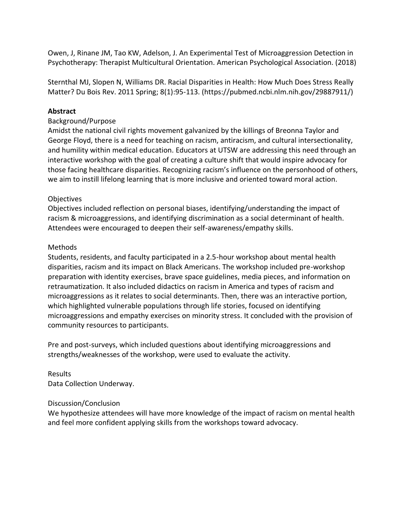Owen, J, Rinane JM, Tao KW, Adelson, J. An Experimental Test of Microaggression Detection in Psychotherapy: Therapist Multicultural Orientation. American Psychological Association. (2018)

Sternthal MJ, Slopen N, Williams DR. Racial Disparities in Health: How Much Does Stress Really Matter? Du Bois Rev. 2011 Spring; 8(1):95-113. (https://pubmed.ncbi.nlm.nih.gov/29887911/)

# **Abstract**

# Background/Purpose

Amidst the national civil rights movement galvanized by the killings of Breonna Taylor and George Floyd, there is a need for teaching on racism, antiracism, and cultural intersectionality, and humility within medical education. Educators at UTSW are addressing this need through an interactive workshop with the goal of creating a culture shift that would inspire advocacy for those facing healthcare disparities. Recognizing racism's influence on the personhood of others, we aim to instill lifelong learning that is more inclusive and oriented toward moral action.

# **Objectives**

Objectives included reflection on personal biases, identifying/understanding the impact of racism & microaggressions, and identifying discrimination as a social determinant of health. Attendees were encouraged to deepen their self-awareness/empathy skills.

# Methods

Students, residents, and faculty participated in a 2.5-hour workshop about mental health disparities, racism and its impact on Black Americans. The workshop included pre-workshop preparation with identity exercises, brave space guidelines, media pieces, and information on retraumatization. It also included didactics on racism in America and types of racism and microaggressions as it relates to social determinants. Then, there was an interactive portion, which highlighted vulnerable populations through life stories, focused on identifying microaggressions and empathy exercises on minority stress. It concluded with the provision of community resources to participants.

Pre and post-surveys, which included questions about identifying microaggressions and strengths/weaknesses of the workshop, were used to evaluate the activity.

# Results Data Collection Underway.

#### Discussion/Conclusion

We hypothesize attendees will have more knowledge of the impact of racism on mental health and feel more confident applying skills from the workshops toward advocacy.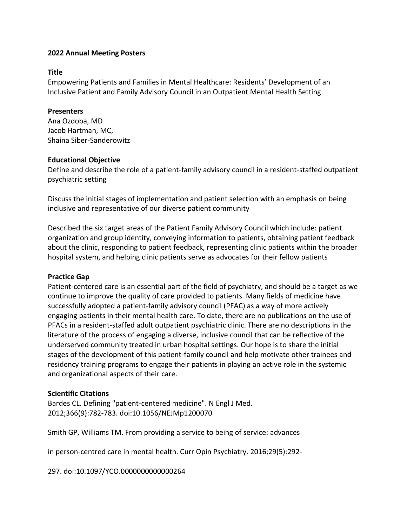#### **Title**

Empowering Patients and Families in Mental Healthcare: Residents' Development of an Inclusive Patient and Family Advisory Council in an Outpatient Mental Health Setting

# **Presenters**

Ana Ozdoba, MD Jacob Hartman, MC, Shaina Siber-Sanderowitz

# **Educational Objective**

Define and describe the role of a patient-family advisory council in a resident-staffed outpatient psychiatric setting

Discuss the initial stages of implementation and patient selection with an emphasis on being inclusive and representative of our diverse patient community

Described the six target areas of the Patient Family Advisory Council which include: patient organization and group identity, conveying information to patients, obtaining patient feedback about the clinic, responding to patient feedback, representing clinic patients within the broader hospital system, and helping clinic patients serve as advocates for their fellow patients

# **Practice Gap**

Patient-centered care is an essential part of the field of psychiatry, and should be a target as we continue to improve the quality of care provided to patients. Many fields of medicine have successfully adopted a patient-family advisory council (PFAC) as a way of more actively engaging patients in their mental health care. To date, there are no publications on the use of PFACs in a resident-staffed adult outpatient psychiatric clinic. There are no descriptions in the literature of the process of engaging a diverse, inclusive council that can be reflective of the underserved community treated in urban hospital settings. Our hope is to share the initial stages of the development of this patient-family council and help motivate other trainees and residency training programs to engage their patients in playing an active role in the systemic and organizational aspects of their care.

# **Scientific Citations**

Bardes CL. Defining "patient-centered medicine". N Engl J Med. 2012;366(9):782-783. doi:10.1056/NEJMp1200070

Smith GP, Williams TM. From providing a service to being of service: advances

in person-centred care in mental health. Curr Opin Psychiatry. 2016;29(5):292-

297. doi:10.1097/YCO.0000000000000264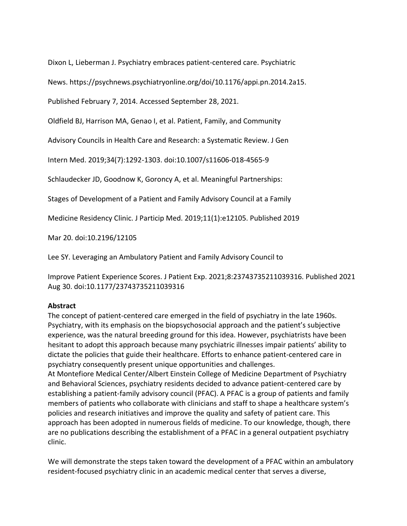Dixon L, Lieberman J. Psychiatry embraces patient-centered care. Psychiatric

News. https://psychnews.psychiatryonline.org/doi/10.1176/appi.pn.2014.2a15.

Published February 7, 2014. Accessed September 28, 2021.

Oldfield BJ, Harrison MA, Genao I, et al. Patient, Family, and Community

Advisory Councils in Health Care and Research: a Systematic Review. J Gen

Intern Med. 2019;34(7):1292-1303. doi:10.1007/s11606-018-4565-9

Schlaudecker JD, Goodnow K, Goroncy A, et al. Meaningful Partnerships:

Stages of Development of a Patient and Family Advisory Council at a Family

Medicine Residency Clinic. J Particip Med. 2019;11(1):e12105. Published 2019

Mar 20. doi:10.2196/12105

Lee SY. Leveraging an Ambulatory Patient and Family Advisory Council to

Improve Patient Experience Scores. J Patient Exp. 2021;8:23743735211039316. Published 2021 Aug 30. doi:10.1177/23743735211039316

#### **Abstract**

The concept of patient-centered care emerged in the field of psychiatry in the late 1960s. Psychiatry, with its emphasis on the biopsychosocial approach and the patient's subjective experience, was the natural breeding ground for this idea. However, psychiatrists have been hesitant to adopt this approach because many psychiatric illnesses impair patients' ability to dictate the policies that guide their healthcare. Efforts to enhance patient-centered care in psychiatry consequently present unique opportunities and challenges.

At Montefiore Medical Center/Albert Einstein College of Medicine Department of Psychiatry and Behavioral Sciences, psychiatry residents decided to advance patient-centered care by establishing a patient-family advisory council (PFAC). A PFAC is a group of patients and family members of patients who collaborate with clinicians and staff to shape a healthcare system's policies and research initiatives and improve the quality and safety of patient care. This approach has been adopted in numerous fields of medicine. To our knowledge, though, there are no publications describing the establishment of a PFAC in a general outpatient psychiatry clinic.

We will demonstrate the steps taken toward the development of a PFAC within an ambulatory resident-focused psychiatry clinic in an academic medical center that serves a diverse,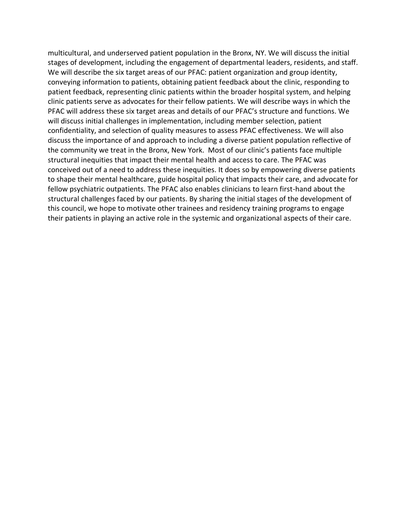multicultural, and underserved patient population in the Bronx, NY. We will discuss the initial stages of development, including the engagement of departmental leaders, residents, and staff. We will describe the six target areas of our PFAC: patient organization and group identity, conveying information to patients, obtaining patient feedback about the clinic, responding to patient feedback, representing clinic patients within the broader hospital system, and helping clinic patients serve as advocates for their fellow patients. We will describe ways in which the PFAC will address these six target areas and details of our PFAC's structure and functions. We will discuss initial challenges in implementation, including member selection, patient confidentiality, and selection of quality measures to assess PFAC effectiveness. We will also discuss the importance of and approach to including a diverse patient population reflective of the community we treat in the Bronx, New York. Most of our clinic's patients face multiple structural inequities that impact their mental health and access to care. The PFAC was conceived out of a need to address these inequities. It does so by empowering diverse patients to shape their mental healthcare, guide hospital policy that impacts their care, and advocate for fellow psychiatric outpatients. The PFAC also enables clinicians to learn first-hand about the structural challenges faced by our patients. By sharing the initial stages of the development of this council, we hope to motivate other trainees and residency training programs to engage their patients in playing an active role in the systemic and organizational aspects of their care.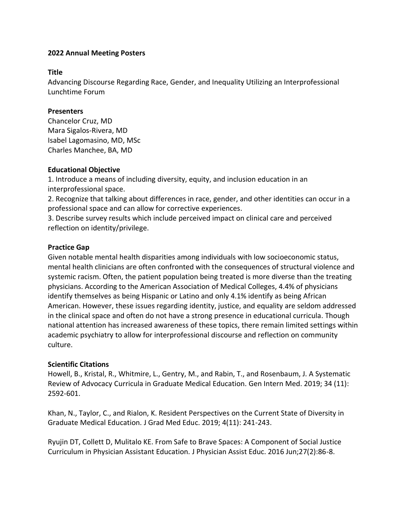### **Title**

Advancing Discourse Regarding Race, Gender, and Inequality Utilizing an Interprofessional Lunchtime Forum

# **Presenters**

Chancelor Cruz, MD Mara Sigalos-Rivera, MD Isabel Lagomasino, MD, MSc Charles Manchee, BA, MD

# **Educational Objective**

1. Introduce a means of including diversity, equity, and inclusion education in an interprofessional space.

2. Recognize that talking about differences in race, gender, and other identities can occur in a professional space and can allow for corrective experiences.

3. Describe survey results which include perceived impact on clinical care and perceived reflection on identity/privilege.

# **Practice Gap**

Given notable mental health disparities among individuals with low socioeconomic status, mental health clinicians are often confronted with the consequences of structural violence and systemic racism. Often, the patient population being treated is more diverse than the treating physicians. According to the American Association of Medical Colleges, 4.4% of physicians identify themselves as being Hispanic or Latino and only 4.1% identify as being African American. However, these issues regarding identity, justice, and equality are seldom addressed in the clinical space and often do not have a strong presence in educational curricula. Though national attention has increased awareness of these topics, there remain limited settings within academic psychiatry to allow for interprofessional discourse and reflection on community culture.

# **Scientific Citations**

Howell, B., Kristal, R., Whitmire, L., Gentry, M., and Rabin, T., and Rosenbaum, J. A Systematic Review of Advocacy Curricula in Graduate Medical Education. Gen Intern Med. 2019; 34 (11): 2592-601.

Khan, N., Taylor, C., and Rialon, K. Resident Perspectives on the Current State of Diversity in Graduate Medical Education. J Grad Med Educ. 2019; 4(11): 241-243.

Ryujin DT, Collett D, Mulitalo KE. From Safe to Brave Spaces: A Component of Social Justice Curriculum in Physician Assistant Education. J Physician Assist Educ. 2016 Jun;27(2):86-8.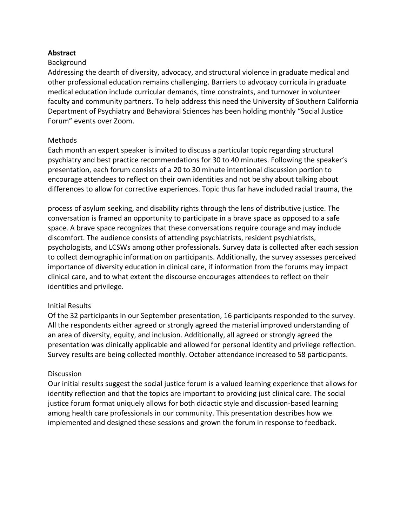### **Abstract**

#### **Background**

Addressing the dearth of diversity, advocacy, and structural violence in graduate medical and other professional education remains challenging. Barriers to advocacy curricula in graduate medical education include curricular demands, time constraints, and turnover in volunteer faculty and community partners. To help address this need the University of Southern California Department of Psychiatry and Behavioral Sciences has been holding monthly "Social Justice Forum" events over Zoom.

#### Methods

Each month an expert speaker is invited to discuss a particular topic regarding structural psychiatry and best practice recommendations for 30 to 40 minutes. Following the speaker's presentation, each forum consists of a 20 to 30 minute intentional discussion portion to encourage attendees to reflect on their own identities and not be shy about talking about differences to allow for corrective experiences. Topic thus far have included racial trauma, the

process of asylum seeking, and disability rights through the lens of distributive justice. The conversation is framed an opportunity to participate in a brave space as opposed to a safe space. A brave space recognizes that these conversations require courage and may include discomfort. The audience consists of attending psychiatrists, resident psychiatrists, psychologists, and LCSWs among other professionals. Survey data is collected after each session to collect demographic information on participants. Additionally, the survey assesses perceived importance of diversity education in clinical care, if information from the forums may impact clinical care, and to what extent the discourse encourages attendees to reflect on their identities and privilege.

#### Initial Results

Of the 32 participants in our September presentation, 16 participants responded to the survey. All the respondents either agreed or strongly agreed the material improved understanding of an area of diversity, equity, and inclusion. Additionally, all agreed or strongly agreed the presentation was clinically applicable and allowed for personal identity and privilege reflection. Survey results are being collected monthly. October attendance increased to 58 participants.

#### **Discussion**

Our initial results suggest the social justice forum is a valued learning experience that allows for identity reflection and that the topics are important to providing just clinical care. The social justice forum format uniquely allows for both didactic style and discussion-based learning among health care professionals in our community. This presentation describes how we implemented and designed these sessions and grown the forum in response to feedback.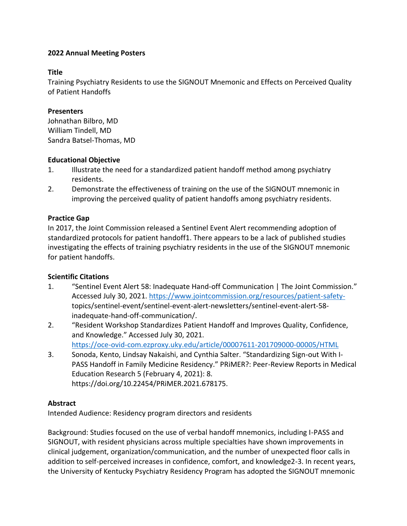### **Title**

Training Psychiatry Residents to use the SIGNOUT Mnemonic and Effects on Perceived Quality of Patient Handoffs

### **Presenters**

Johnathan Bilbro, MD William Tindell, MD Sandra Batsel-Thomas, MD

#### **Educational Objective**

- 1. Illustrate the need for a standardized patient handoff method among psychiatry residents.
- 2. Demonstrate the effectiveness of training on the use of the SIGNOUT mnemonic in improving the perceived quality of patient handoffs among psychiatry residents.

# **Practice Gap**

In 2017, the Joint Commission released a Sentinel Event Alert recommending adoption of standardized protocols for patient handoff1. There appears to be a lack of published studies investigating the effects of training psychiatry residents in the use of the SIGNOUT mnemonic for patient handoffs.

# **Scientific Citations**

- 1. "Sentinel Event Alert 58: Inadequate Hand-off Communication | The Joint Commission." Accessed July 30, 2021. [https://www.jointcommission.org/resources/patient-safety](https://www.jointcommission.org/resources/patient-safety-)topics/sentinel-event/sentinel-event-alert-newsletters/sentinel-event-alert-58 inadequate-hand-off-communication/.
- 2. "Resident Workshop Standardizes Patient Handoff and Improves Quality, Confidence, and Knowledge." Accessed July 30, 2021. <https://oce-ovid-com.ezproxy.uky.edu/article/00007611-201709000-00005/HTML>
- 3. Sonoda, Kento, Lindsay Nakaishi, and Cynthia Salter. "Standardizing Sign-out With I-PASS Handoff in Family Medicine Residency." PRiMER?: Peer-Review Reports in Medical Education Research 5 (February 4, 2021): 8. https://doi.org/10.22454/PRiMER.2021.678175.

# **Abstract**

Intended Audience: Residency program directors and residents

Background: Studies focused on the use of verbal handoff mnemonics, including I-PASS and SIGNOUT, with resident physicians across multiple specialties have shown improvements in clinical judgement, organization/communication, and the number of unexpected floor calls in addition to self-perceived increases in confidence, comfort, and knowledge2-3. In recent years, the University of Kentucky Psychiatry Residency Program has adopted the SIGNOUT mnemonic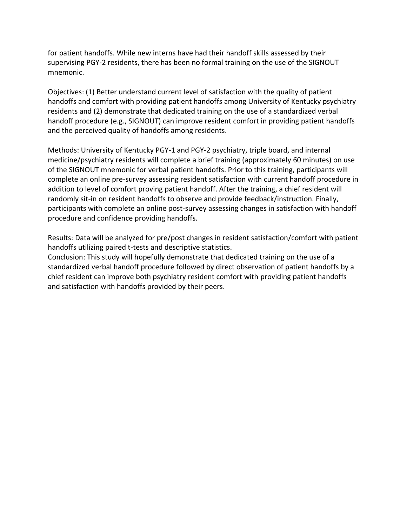for patient handoffs. While new interns have had their handoff skills assessed by their supervising PGY-2 residents, there has been no formal training on the use of the SIGNOUT mnemonic.

Objectives: (1) Better understand current level of satisfaction with the quality of patient handoffs and comfort with providing patient handoffs among University of Kentucky psychiatry residents and (2) demonstrate that dedicated training on the use of a standardized verbal handoff procedure (e.g., SIGNOUT) can improve resident comfort in providing patient handoffs and the perceived quality of handoffs among residents.

Methods: University of Kentucky PGY-1 and PGY-2 psychiatry, triple board, and internal medicine/psychiatry residents will complete a brief training (approximately 60 minutes) on use of the SIGNOUT mnemonic for verbal patient handoffs. Prior to this training, participants will complete an online pre-survey assessing resident satisfaction with current handoff procedure in addition to level of comfort proving patient handoff. After the training, a chief resident will randomly sit-in on resident handoffs to observe and provide feedback/instruction. Finally, participants with complete an online post-survey assessing changes in satisfaction with handoff procedure and confidence providing handoffs.

Results: Data will be analyzed for pre/post changes in resident satisfaction/comfort with patient handoffs utilizing paired t-tests and descriptive statistics.

Conclusion: This study will hopefully demonstrate that dedicated training on the use of a standardized verbal handoff procedure followed by direct observation of patient handoffs by a chief resident can improve both psychiatry resident comfort with providing patient handoffs and satisfaction with handoffs provided by their peers.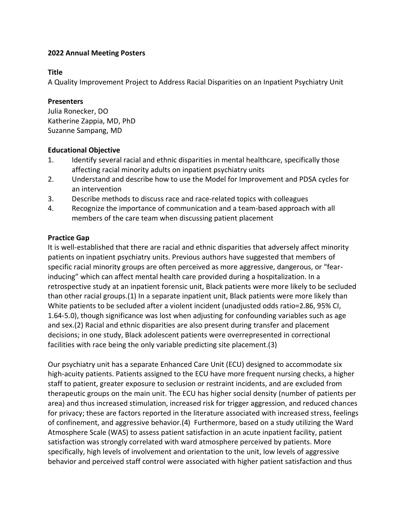#### **Title**

A Quality Improvement Project to Address Racial Disparities on an Inpatient Psychiatry Unit

### **Presenters**

Julia Ronecker, DO Katherine Zappia, MD, PhD Suzanne Sampang, MD

# **Educational Objective**

- 1. Identify several racial and ethnic disparities in mental healthcare, specifically those affecting racial minority adults on inpatient psychiatry units
- 2. Understand and describe how to use the Model for Improvement and PDSA cycles for an intervention
- 3. Describe methods to discuss race and race-related topics with colleagues
- 4. Recognize the importance of communication and a team-based approach with all members of the care team when discussing patient placement

# **Practice Gap**

It is well-established that there are racial and ethnic disparities that adversely affect minority patients on inpatient psychiatry units. Previous authors have suggested that members of specific racial minority groups are often perceived as more aggressive, dangerous, or "fearinducing" which can affect mental health care provided during a hospitalization. In a retrospective study at an inpatient forensic unit, Black patients were more likely to be secluded than other racial groups.(1) In a separate inpatient unit, Black patients were more likely than White patients to be secluded after a violent incident (unadjusted odds ratio=2.86, 95% CI, 1.64-5.0), though significance was lost when adjusting for confounding variables such as age and sex.(2) Racial and ethnic disparities are also present during transfer and placement decisions; in one study, Black adolescent patients were overrepresented in correctional facilities with race being the only variable predicting site placement.(3)

Our psychiatry unit has a separate Enhanced Care Unit (ECU) designed to accommodate six high-acuity patients. Patients assigned to the ECU have more frequent nursing checks, a higher staff to patient, greater exposure to seclusion or restraint incidents, and are excluded from therapeutic groups on the main unit. The ECU has higher social density (number of patients per area) and thus increased stimulation, increased risk for trigger aggression, and reduced chances for privacy; these are factors reported in the literature associated with increased stress, feelings of confinement, and aggressive behavior.(4) Furthermore, based on a study utilizing the Ward Atmosphere Scale (WAS) to assess patient satisfaction in an acute inpatient facility, patient satisfaction was strongly correlated with ward atmosphere perceived by patients. More specifically, high levels of involvement and orientation to the unit, low levels of aggressive behavior and perceived staff control were associated with higher patient satisfaction and thus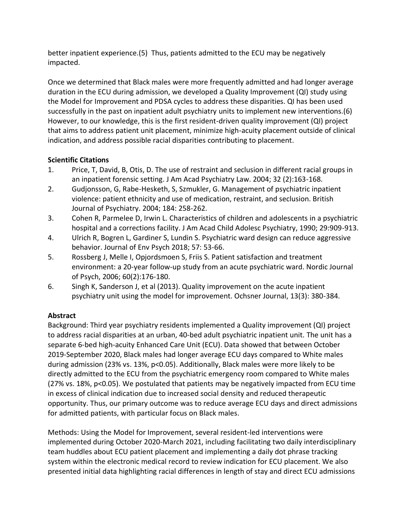better inpatient experience.(5) Thus, patients admitted to the ECU may be negatively impacted.

Once we determined that Black males were more frequently admitted and had longer average duration in the ECU during admission, we developed a Quality Improvement (QI) study using the Model for Improvement and PDSA cycles to address these disparities. QI has been used successfully in the past on inpatient adult psychiatry units to implement new interventions.(6) However, to our knowledge, this is the first resident-driven quality improvement (QI) project that aims to address patient unit placement, minimize high-acuity placement outside of clinical indication, and address possible racial disparities contributing to placement.

# **Scientific Citations**

- 1. Price, T, David, B, Otis, D. The use of restraint and seclusion in different racial groups in an inpatient forensic setting. J Am Acad Psychiatry Law. 2004; 32 (2):163-168.
- 2. Gudjonsson, G, Rabe-Hesketh, S, Szmukler, G. Management of psychiatric inpatient violence: patient ethnicity and use of medication, restraint, and seclusion. British Journal of Psychiatry. 2004; 184: 258-262.
- 3. Cohen R, Parmelee D, Irwin L. Characteristics of children and adolescents in a psychiatric hospital and a corrections facility. J Am Acad Child Adolesc Psychiatry, 1990; 29:909-913.
- 4. Ulrich R, Bogren L, Gardiner S, Lundin S. Psychiatric ward design can reduce aggressive behavior. Journal of Env Psych 2018; 57: 53-66.
- 5. Rossberg J, Melle I, Opjordsmoen S, Friis S. Patient satisfaction and treatment environment: a 20-year follow-up study from an acute psychiatric ward. Nordic Journal of Psych, 2006; 60(2):176-180.
- 6. Singh K, Sanderson J, et al (2013). Quality improvement on the acute inpatient psychiatry unit using the model for improvement. Ochsner Journal, 13(3): 380-384.

# **Abstract**

Background: Third year psychiatry residents implemented a Quality improvement (QI) project to address racial disparities at an urban, 40-bed adult psychiatric inpatient unit. The unit has a separate 6-bed high-acuity Enhanced Care Unit (ECU). Data showed that between October 2019-September 2020, Black males had longer average ECU days compared to White males during admission (23% vs. 13%, p<0.05). Additionally, Black males were more likely to be directly admitted to the ECU from the psychiatric emergency room compared to White males (27% vs. 18%, p<0.05). We postulated that patients may be negatively impacted from ECU time in excess of clinical indication due to increased social density and reduced therapeutic opportunity. Thus, our primary outcome was to reduce average ECU days and direct admissions for admitted patients, with particular focus on Black males.

Methods: Using the Model for Improvement, several resident-led interventions were implemented during October 2020-March 2021, including facilitating two daily interdisciplinary team huddles about ECU patient placement and implementing a daily dot phrase tracking system within the electronic medical record to review indication for ECU placement. We also presented initial data highlighting racial differences in length of stay and direct ECU admissions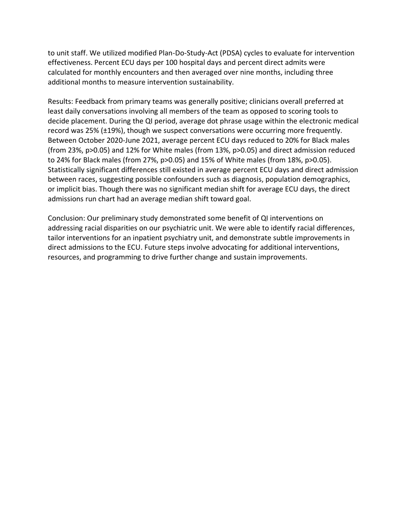to unit staff. We utilized modified Plan-Do-Study-Act (PDSA) cycles to evaluate for intervention effectiveness. Percent ECU days per 100 hospital days and percent direct admits were calculated for monthly encounters and then averaged over nine months, including three additional months to measure intervention sustainability.

Results: Feedback from primary teams was generally positive; clinicians overall preferred at least daily conversations involving all members of the team as opposed to scoring tools to decide placement. During the QI period, average dot phrase usage within the electronic medical record was 25% (±19%), though we suspect conversations were occurring more frequently. Between October 2020-June 2021, average percent ECU days reduced to 20% for Black males (from 23%, p>0.05) and 12% for White males (from 13%, p>0.05) and direct admission reduced to 24% for Black males (from 27%, p>0.05) and 15% of White males (from 18%, p>0.05). Statistically significant differences still existed in average percent ECU days and direct admission between races, suggesting possible confounders such as diagnosis, population demographics, or implicit bias. Though there was no significant median shift for average ECU days, the direct admissions run chart had an average median shift toward goal.

Conclusion: Our preliminary study demonstrated some benefit of QI interventions on addressing racial disparities on our psychiatric unit. We were able to identify racial differences, tailor interventions for an inpatient psychiatry unit, and demonstrate subtle improvements in direct admissions to the ECU. Future steps involve advocating for additional interventions, resources, and programming to drive further change and sustain improvements.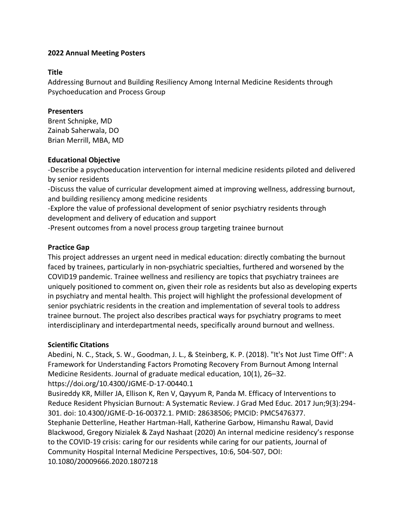### **Title**

Addressing Burnout and Building Resiliency Among Internal Medicine Residents through Psychoeducation and Process Group

# **Presenters**

Brent Schnipke, MD Zainab Saherwala, DO Brian Merrill, MBA, MD

# **Educational Objective**

-Describe a psychoeducation intervention for internal medicine residents piloted and delivered by senior residents

-Discuss the value of curricular development aimed at improving wellness, addressing burnout, and building resiliency among medicine residents

-Explore the value of professional development of senior psychiatry residents through development and delivery of education and support

-Present outcomes from a novel process group targeting trainee burnout

# **Practice Gap**

This project addresses an urgent need in medical education: directly combating the burnout faced by trainees, particularly in non-psychiatric specialties, furthered and worsened by the COVID19 pandemic. Trainee wellness and resiliency are topics that psychiatry trainees are uniquely positioned to comment on, given their role as residents but also as developing experts in psychiatry and mental health. This project will highlight the professional development of senior psychiatric residents in the creation and implementation of several tools to address trainee burnout. The project also describes practical ways for psychiatry programs to meet interdisciplinary and interdepartmental needs, specifically around burnout and wellness.

# **Scientific Citations**

Abedini, N. C., Stack, S. W., Goodman, J. L., & Steinberg, K. P. (2018). "It's Not Just Time Off": A Framework for Understanding Factors Promoting Recovery From Burnout Among Internal Medicine Residents. Journal of graduate medical education, 10(1), 26–32. https://doi.org/10.4300/JGME-D-17-00440.1

Busireddy KR, Miller JA, Ellison K, Ren V, Qayyum R, Panda M. Efficacy of Interventions to Reduce Resident Physician Burnout: A Systematic Review. J Grad Med Educ. 2017 Jun;9(3):294- 301. doi: 10.4300/JGME-D-16-00372.1. PMID: 28638506; PMCID: PMC5476377. Stephanie Detterline, Heather Hartman-Hall, Katherine Garbow, Himanshu Rawal, David Blackwood, Gregory Nizialek & Zayd Nashaat (2020) An internal medicine residency's response to the COVID-19 crisis: caring for our residents while caring for our patients, Journal of Community Hospital Internal Medicine Perspectives, 10:6, 504-507, DOI: 10.1080/20009666.2020.1807218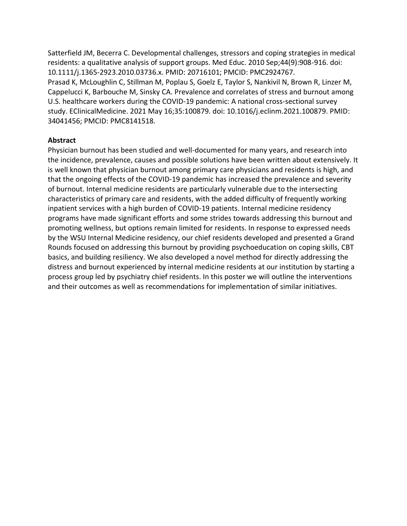Satterfield JM, Becerra C. Developmental challenges, stressors and coping strategies in medical residents: a qualitative analysis of support groups. Med Educ. 2010 Sep;44(9):908-916. doi: 10.1111/j.1365-2923.2010.03736.x. PMID: 20716101; PMCID: PMC2924767. Prasad K, McLoughlin C, Stillman M, Poplau S, Goelz E, Taylor S, Nankivil N, Brown R, Linzer M, Cappelucci K, Barbouche M, Sinsky CA. Prevalence and correlates of stress and burnout among U.S. healthcare workers during the COVID-19 pandemic: A national cross-sectional survey study. EClinicalMedicine. 2021 May 16;35:100879. doi: 10.1016/j.eclinm.2021.100879. PMID: 34041456; PMCID: PMC8141518.

#### **Abstract**

Physician burnout has been studied and well-documented for many years, and research into the incidence, prevalence, causes and possible solutions have been written about extensively. It is well known that physician burnout among primary care physicians and residents is high, and that the ongoing effects of the COVID-19 pandemic has increased the prevalence and severity of burnout. Internal medicine residents are particularly vulnerable due to the intersecting characteristics of primary care and residents, with the added difficulty of frequently working inpatient services with a high burden of COVID-19 patients. Internal medicine residency programs have made significant efforts and some strides towards addressing this burnout and promoting wellness, but options remain limited for residents. In response to expressed needs by the WSU Internal Medicine residency, our chief residents developed and presented a Grand Rounds focused on addressing this burnout by providing psychoeducation on coping skills, CBT basics, and building resiliency. We also developed a novel method for directly addressing the distress and burnout experienced by internal medicine residents at our institution by starting a process group led by psychiatry chief residents. In this poster we will outline the interventions and their outcomes as well as recommendations for implementation of similar initiatives.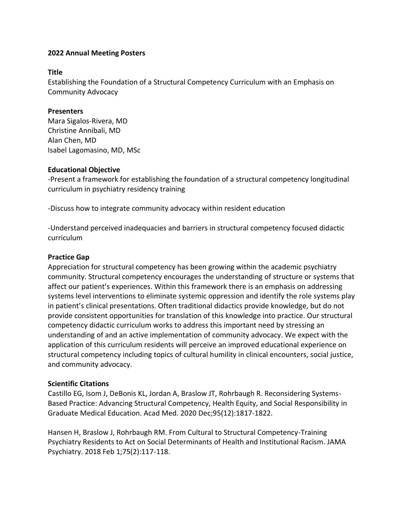### **Title**

Establishing the Foundation of a Structural Competency Curriculum with an Emphasis on Community Advocacy

### **Presenters**

Mara Sigalos-Rivera, MD Christine Annibali, MD Alan Chen, MD Isabel Lagomasino, MD, MSc

#### **Educational Objective**

-Present a framework for establishing the foundation of a structural competency longitudinal curriculum in psychiatry residency training

-Discuss how to integrate community advocacy within resident education

-Understand perceived inadequacies and barriers in structural competency focused didactic curriculum

# **Practice Gap**

Appreciation for structural competency has been growing within the academic psychiatry community. Structural competency encourages the understanding of structure or systems that affect our patient's experiences. Within this framework there is an emphasis on addressing systems level interventions to eliminate systemic oppression and identify the role systems play in patient's clinical presentations. Often traditional didactics provide knowledge, but do not provide consistent opportunities for translation of this knowledge into practice. Our structural competency didactic curriculum works to address this important need by stressing an understanding of and an active implementation of community advocacy. We expect with the application of this curriculum residents will perceive an improved educational experience on structural competency including topics of cultural humility in clinical encounters, social justice, and community advocacy.

#### **Scientific Citations**

Castillo EG, Isom J, DeBonis KL, Jordan A, Braslow JT, Rohrbaugh R. Reconsidering Systems-Based Practice: Advancing Structural Competency, Health Equity, and Social Responsibility in Graduate Medical Education. Acad Med. 2020 Dec;95(12):1817-1822.

Hansen H, Braslow J, Rohrbaugh RM. From Cultural to Structural Competency-Training Psychiatry Residents to Act on Social Determinants of Health and Institutional Racism. JAMA Psychiatry. 2018 Feb 1;75(2):117-118.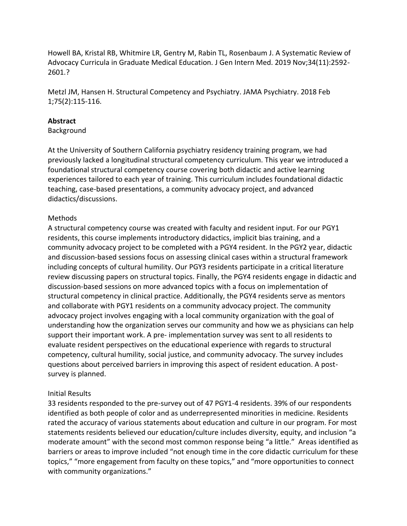Howell BA, Kristal RB, Whitmire LR, Gentry M, Rabin TL, Rosenbaum J. A Systematic Review of Advocacy Curricula in Graduate Medical Education. J Gen Intern Med. 2019 Nov;34(11):2592- 2601.?

Metzl JM, Hansen H. Structural Competency and Psychiatry. JAMA Psychiatry. 2018 Feb 1;75(2):115-116.

### **Abstract**

#### Background

At the University of Southern California psychiatry residency training program, we had previously lacked a longitudinal structural competency curriculum. This year we introduced a foundational structural competency course covering both didactic and active learning experiences tailored to each year of training. This curriculum includes foundational didactic teaching, case-based presentations, a community advocacy project, and advanced didactics/discussions.

# Methods

A structural competency course was created with faculty and resident input. For our PGY1 residents, this course implements introductory didactics, implicit bias training, and a community advocacy project to be completed with a PGY4 resident. In the PGY2 year, didactic and discussion-based sessions focus on assessing clinical cases within a structural framework including concepts of cultural humility. Our PGY3 residents participate in a critical literature review discussing papers on structural topics. Finally, the PGY4 residents engage in didactic and discussion-based sessions on more advanced topics with a focus on implementation of structural competency in clinical practice. Additionally, the PGY4 residents serve as mentors and collaborate with PGY1 residents on a community advocacy project. The community advocacy project involves engaging with a local community organization with the goal of understanding how the organization serves our community and how we as physicians can help support their important work. A pre- implementation survey was sent to all residents to evaluate resident perspectives on the educational experience with regards to structural competency, cultural humility, social justice, and community advocacy. The survey includes questions about perceived barriers in improving this aspect of resident education. A postsurvey is planned.

#### Initial Results

33 residents responded to the pre-survey out of 47 PGY1-4 residents. 39% of our respondents identified as both people of color and as underrepresented minorities in medicine. Residents rated the accuracy of various statements about education and culture in our program. For most statements residents believed our education/culture includes diversity, equity, and inclusion "a moderate amount" with the second most common response being "a little." Areas identified as barriers or areas to improve included "not enough time in the core didactic curriculum for these topics," "more engagement from faculty on these topics," and "more opportunities to connect with community organizations."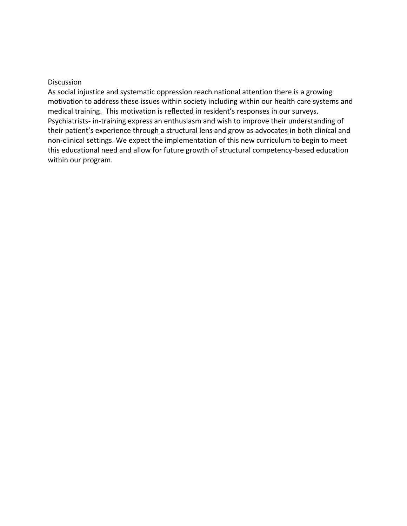#### Discussion

As social injustice and systematic oppression reach national attention there is a growing motivation to address these issues within society including within our health care systems and medical training. This motivation is reflected in resident's responses in our surveys. Psychiatrists- in-training express an enthusiasm and wish to improve their understanding of their patient's experience through a structural lens and grow as advocates in both clinical and non-clinical settings. We expect the implementation of this new curriculum to begin to meet this educational need and allow for future growth of structural competency-based education within our program.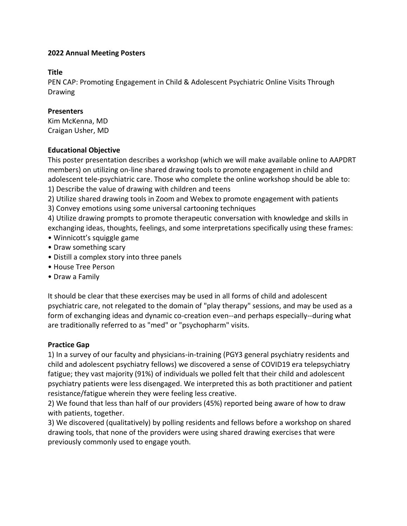### **Title**

PEN CAP: Promoting Engagement in Child & Adolescent Psychiatric Online Visits Through Drawing

# **Presenters**

Kim McKenna, MD Craigan Usher, MD

# **Educational Objective**

This poster presentation describes a workshop (which we will make available online to AAPDRT members) on utilizing on-line shared drawing tools to promote engagement in child and adolescent tele-psychiatric care. Those who complete the online workshop should be able to: 1) Describe the value of drawing with children and teens

- 2) Utilize shared drawing tools in Zoom and Webex to promote engagement with patients
- 3) Convey emotions using some universal cartooning techniques

4) Utilize drawing prompts to promote therapeutic conversation with knowledge and skills in exchanging ideas, thoughts, feelings, and some interpretations specifically using these frames:

- Winnicott's squiggle game
- Draw something scary
- Distill a complex story into three panels
- House Tree Person
- Draw a Family

It should be clear that these exercises may be used in all forms of child and adolescent psychiatric care, not relegated to the domain of "play therapy" sessions, and may be used as a form of exchanging ideas and dynamic co-creation even--and perhaps especially--during what are traditionally referred to as "med" or "psychopharm" visits.

# **Practice Gap**

1) In a survey of our faculty and physicians-in-training (PGY3 general psychiatry residents and child and adolescent psychiatry fellows) we discovered a sense of COVID19 era telepsychiatry fatigue; they vast majority (91%) of individuals we polled felt that their child and adolescent psychiatry patients were less disengaged. We interpreted this as both practitioner and patient resistance/fatigue wherein they were feeling less creative.

2) We found that less than half of our providers (45%) reported being aware of how to draw with patients, together.

3) We discovered (qualitatively) by polling residents and fellows before a workshop on shared drawing tools, that none of the providers were using shared drawing exercises that were previously commonly used to engage youth.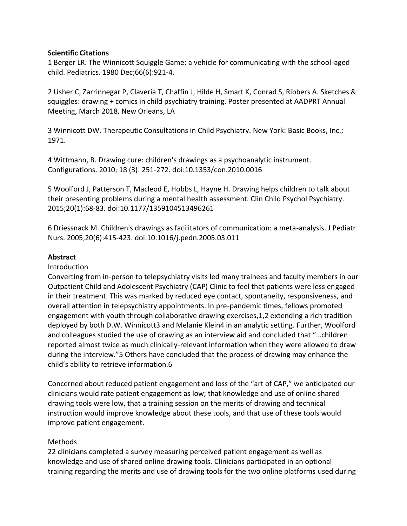#### **Scientific Citations**

1 Berger LR. The Winnicott Squiggle Game: a vehicle for communicating with the school-aged child. Pediatrics. 1980 Dec;66(6):921-4.

2 Usher C, Zarrinnegar P, Claveria T, Chaffin J, Hilde H, Smart K, Conrad S, Ribbers A. Sketches & squiggles: drawing + comics in child psychiatry training. Poster presented at AADPRT Annual Meeting, March 2018, New Orleans, LA

3 Winnicott DW. Therapeutic Consultations in Child Psychiatry. New York: Basic Books, Inc.; 1971.

4 Wittmann, B. Drawing cure: children's drawings as a psychoanalytic instrument. Configurations. 2010; 18 (3): 251-272. doi:10.1353/con.2010.0016

5 Woolford J, Patterson T, Macleod E, Hobbs L, Hayne H. Drawing helps children to talk about their presenting problems during a mental health assessment. Clin Child Psychol Psychiatry. 2015;20(1):68-83. doi:10.1177/1359104513496261

6 Driessnack M. Children's drawings as facilitators of communication: a meta-analysis. J Pediatr Nurs. 2005;20(6):415-423. doi:10.1016/j.pedn.2005.03.011

#### **Abstract**

#### Introduction

Converting from in-person to telepsychiatry visits led many trainees and faculty members in our Outpatient Child and Adolescent Psychiatry (CAP) Clinic to feel that patients were less engaged in their treatment. This was marked by reduced eye contact, spontaneity, responsiveness, and overall attention in telepsychiatry appointments. In pre-pandemic times, fellows promoted engagement with youth through collaborative drawing exercises,1,2 extending a rich tradition deployed by both D.W. Winnicott3 and Melanie Klein4 in an analytic setting. Further, Woolford and colleagues studied the use of drawing as an interview aid and concluded that "…children reported almost twice as much clinically-relevant information when they were allowed to draw during the interview."5 Others have concluded that the process of drawing may enhance the child's ability to retrieve information.6

Concerned about reduced patient engagement and loss of the "art of CAP," we anticipated our clinicians would rate patient engagement as low; that knowledge and use of online shared drawing tools were low, that a training session on the merits of drawing and technical instruction would improve knowledge about these tools, and that use of these tools would improve patient engagement.

#### Methods

22 clinicians completed a survey measuring perceived patient engagement as well as knowledge and use of shared online drawing tools. Clinicians participated in an optional training regarding the merits and use of drawing tools for the two online platforms used during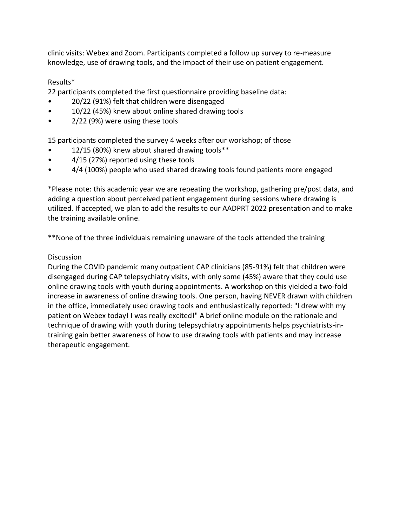clinic visits: Webex and Zoom. Participants completed a follow up survey to re-measure knowledge, use of drawing tools, and the impact of their use on patient engagement.

# Results\*

22 participants completed the first questionnaire providing baseline data:

- 20/22 (91%) felt that children were disengaged
- 10/22 (45%) knew about online shared drawing tools
- 2/22 (9%) were using these tools

15 participants completed the survey 4 weeks after our workshop; of those

- 12/15 (80%) knew about shared drawing tools\*\*
- 4/15 (27%) reported using these tools
- 4/4 (100%) people who used shared drawing tools found patients more engaged

\*Please note: this academic year we are repeating the workshop, gathering pre/post data, and adding a question about perceived patient engagement during sessions where drawing is utilized. If accepted, we plan to add the results to our AADPRT 2022 presentation and to make the training available online.

\*\*None of the three individuals remaining unaware of the tools attended the training

# **Discussion**

During the COVID pandemic many outpatient CAP clinicians (85-91%) felt that children were disengaged during CAP telepsychiatry visits, with only some (45%) aware that they could use online drawing tools with youth during appointments. A workshop on this yielded a two-fold increase in awareness of online drawing tools. One person, having NEVER drawn with children in the office, immediately used drawing tools and enthusiastically reported: "I drew with my patient on Webex today! I was really excited!" A brief online module on the rationale and technique of drawing with youth during telepsychiatry appointments helps psychiatrists-intraining gain better awareness of how to use drawing tools with patients and may increase therapeutic engagement.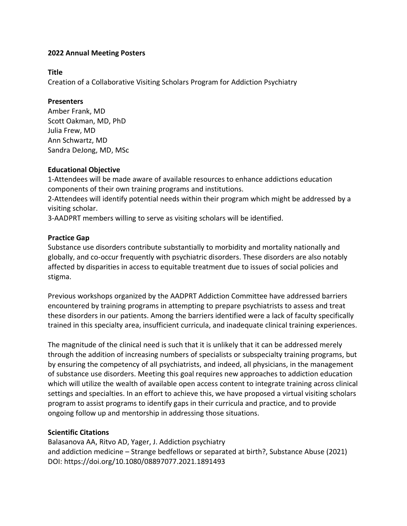### **Title**

Creation of a Collaborative Visiting Scholars Program for Addiction Psychiatry

# **Presenters**

Amber Frank, MD Scott Oakman, MD, PhD Julia Frew, MD Ann Schwartz, MD Sandra DeJong, MD, MSc

# **Educational Objective**

1-Attendees will be made aware of available resources to enhance addictions education components of their own training programs and institutions.

2-Attendees will identify potential needs within their program which might be addressed by a visiting scholar.

3-AADPRT members willing to serve as visiting scholars will be identified.

# **Practice Gap**

Substance use disorders contribute substantially to morbidity and mortality nationally and globally, and co-occur frequently with psychiatric disorders. These disorders are also notably affected by disparities in access to equitable treatment due to issues of social policies and stigma.

Previous workshops organized by the AADPRT Addiction Committee have addressed barriers encountered by training programs in attempting to prepare psychiatrists to assess and treat these disorders in our patients. Among the barriers identified were a lack of faculty specifically trained in this specialty area, insufficient curricula, and inadequate clinical training experiences.

The magnitude of the clinical need is such that it is unlikely that it can be addressed merely through the addition of increasing numbers of specialists or subspecialty training programs, but by ensuring the competency of all psychiatrists, and indeed, all physicians, in the management of substance use disorders. Meeting this goal requires new approaches to addiction education which will utilize the wealth of available open access content to integrate training across clinical settings and specialties. In an effort to achieve this, we have proposed a virtual visiting scholars program to assist programs to identify gaps in their curricula and practice, and to provide ongoing follow up and mentorship in addressing those situations.

# **Scientific Citations**

Balasanova AA, Ritvo AD, Yager, J. Addiction psychiatry and addiction medicine – Strange bedfellows or separated at birth?, Substance Abuse (2021) DOI: https://doi.org/10.1080/08897077.2021.1891493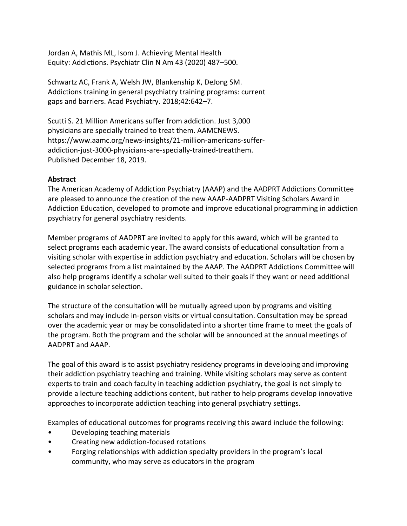Jordan A, Mathis ML, Isom J. Achieving Mental Health Equity: Addictions. Psychiatr Clin N Am 43 (2020) 487–500.

Schwartz AC, Frank A, Welsh JW, Blankenship K, DeJong SM. Addictions training in general psychiatry training programs: current gaps and barriers. Acad Psychiatry. 2018;42:642–7.

Scutti S. 21 Million Americans suffer from addiction. Just 3,000 physicians are specially trained to treat them. AAMCNEWS. https://www.aamc.org/news-insights/21-million-americans-sufferaddiction-just-3000-physicians-are-specially-trained-treatthem. Published December 18, 2019.

# **Abstract**

The American Academy of Addiction Psychiatry (AAAP) and the AADPRT Addictions Committee are pleased to announce the creation of the new AAAP-AADPRT Visiting Scholars Award in Addiction Education, developed to promote and improve educational programming in addiction psychiatry for general psychiatry residents.

Member programs of AADPRT are invited to apply for this award, which will be granted to select programs each academic year. The award consists of educational consultation from a visiting scholar with expertise in addiction psychiatry and education. Scholars will be chosen by selected programs from a list maintained by the AAAP. The AADPRT Addictions Committee will also help programs identify a scholar well suited to their goals if they want or need additional guidance in scholar selection.

The structure of the consultation will be mutually agreed upon by programs and visiting scholars and may include in-person visits or virtual consultation. Consultation may be spread over the academic year or may be consolidated into a shorter time frame to meet the goals of the program. Both the program and the scholar will be announced at the annual meetings of AADPRT and AAAP.

The goal of this award is to assist psychiatry residency programs in developing and improving their addiction psychiatry teaching and training. While visiting scholars may serve as content experts to train and coach faculty in teaching addiction psychiatry, the goal is not simply to provide a lecture teaching addictions content, but rather to help programs develop innovative approaches to incorporate addiction teaching into general psychiatry settings.

Examples of educational outcomes for programs receiving this award include the following:

- Developing teaching materials
- Creating new addiction-focused rotations
- Forging relationships with addiction specialty providers in the program's local community, who may serve as educators in the program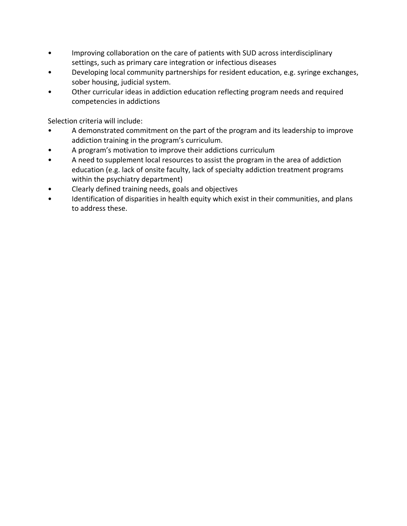- Improving collaboration on the care of patients with SUD across interdisciplinary settings, such as primary care integration or infectious diseases
- Developing local community partnerships for resident education, e.g. syringe exchanges, sober housing, judicial system.
- Other curricular ideas in addiction education reflecting program needs and required competencies in addictions

Selection criteria will include:

- A demonstrated commitment on the part of the program and its leadership to improve addiction training in the program's curriculum.
- A program's motivation to improve their addictions curriculum
- A need to supplement local resources to assist the program in the area of addiction education (e.g. lack of onsite faculty, lack of specialty addiction treatment programs within the psychiatry department)
- Clearly defined training needs, goals and objectives
- Identification of disparities in health equity which exist in their communities, and plans to address these.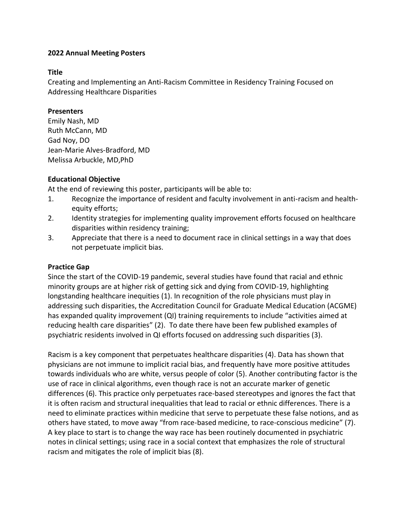# **Title**

Creating and Implementing an Anti-Racism Committee in Residency Training Focused on Addressing Healthcare Disparities

# **Presenters**

Emily Nash, MD Ruth McCann, MD Gad Noy, DO Jean-Marie Alves-Bradford, MD Melissa Arbuckle, MD,PhD

# **Educational Objective**

At the end of reviewing this poster, participants will be able to:

- 1. Recognize the importance of resident and faculty involvement in anti-racism and healthequity efforts;
- 2. Identity strategies for implementing quality improvement efforts focused on healthcare disparities within residency training;
- 3. Appreciate that there is a need to document race in clinical settings in a way that does not perpetuate implicit bias.

# **Practice Gap**

Since the start of the COVID-19 pandemic, several studies have found that racial and ethnic minority groups are at higher risk of getting sick and dying from COVID-19, highlighting longstanding healthcare inequities (1). In recognition of the role physicians must play in addressing such disparities, the Accreditation Council for Graduate Medical Education (ACGME) has expanded quality improvement (QI) training requirements to include "activities aimed at reducing health care disparities" (2). To date there have been few published examples of psychiatric residents involved in QI efforts focused on addressing such disparities (3).

Racism is a key component that perpetuates healthcare disparities (4). Data has shown that physicians are not immune to implicit racial bias, and frequently have more positive attitudes towards individuals who are white, versus people of color (5). Another contributing factor is the use of race in clinical algorithms, even though race is not an accurate marker of genetic differences (6). This practice only perpetuates race-based stereotypes and ignores the fact that it is often racism and structural inequalities that lead to racial or ethnic differences. There is a need to eliminate practices within medicine that serve to perpetuate these false notions, and as others have stated, to move away "from race-based medicine, to race-conscious medicine" (7). A key place to start is to change the way race has been routinely documented in psychiatric notes in clinical settings; using race in a social context that emphasizes the role of structural racism and mitigates the role of implicit bias (8).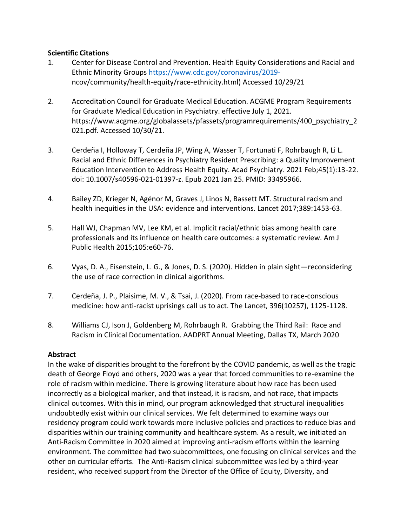# **Scientific Citations**

- 1. Center for Disease Control and Prevention. Health Equity Considerations and Racial and Ethnic Minority Groups [https://www.cdc.gov/coronavirus/2019](https://www.cdc.gov/coronavirus/2019-) ncov/community/health-equity/race-ethnicity.html) Accessed 10/29/21
- 2. Accreditation Council for Graduate Medical Education. ACGME Program Requirements for Graduate Medical Education in Psychiatry. effective July 1, 2021. https://www.acgme.org/globalassets/pfassets/programrequirements/400\_psychiatry\_2 021.pdf. Accessed 10/30/21.
- 3. Cerdeña I, Holloway T, Cerdeña JP, Wing A, Wasser T, Fortunati F, Rohrbaugh R, Li L. Racial and Ethnic Differences in Psychiatry Resident Prescribing: a Quality Improvement Education Intervention to Address Health Equity. Acad Psychiatry. 2021 Feb;45(1):13-22. doi: 10.1007/s40596-021-01397-z. Epub 2021 Jan 25. PMID: 33495966.
- 4. Bailey ZD, Krieger N, Agénor M, Graves J, Linos N, Bassett MT. Structural racism and health inequities in the USA: evidence and interventions. Lancet 2017;389:1453-63.
- 5. Hall WJ, Chapman MV, Lee KM, et al. Implicit racial/ethnic bias among health care professionals and its influence on health care outcomes: a systematic review. Am J Public Health 2015;105:e60-76.
- 6. Vyas, D. A., Eisenstein, L. G., & Jones, D. S. (2020). Hidden in plain sight—reconsidering the use of race correction in clinical algorithms.
- 7. Cerdeña, J. P., Plaisime, M. V., & Tsai, J. (2020). From race-based to race-conscious medicine: how anti-racist uprisings call us to act. The Lancet, 396(10257), 1125-1128.
- 8. Williams CJ, Ison J, Goldenberg M, Rohrbaugh R. Grabbing the Third Rail: Race and Racism in Clinical Documentation. AADPRT Annual Meeting, Dallas TX, March 2020

# **Abstract**

In the wake of disparities brought to the forefront by the COVID pandemic, as well as the tragic death of George Floyd and others, 2020 was a year that forced communities to re-examine the role of racism within medicine. There is growing literature about how race has been used incorrectly as a biological marker, and that instead, it is racism, and not race, that impacts clinical outcomes. With this in mind, our program acknowledged that structural inequalities undoubtedly exist within our clinical services. We felt determined to examine ways our residency program could work towards more inclusive policies and practices to reduce bias and disparities within our training community and healthcare system. As a result, we initiated an Anti-Racism Committee in 2020 aimed at improving anti-racism efforts within the learning environment. The committee had two subcommittees, one focusing on clinical services and the other on curricular efforts. The Anti-Racism clinical subcommittee was led by a third-year resident, who received support from the Director of the Office of Equity, Diversity, and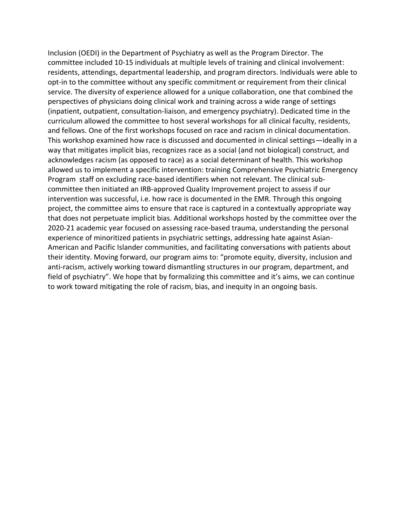Inclusion (OEDI) in the Department of Psychiatry as well as the Program Director. The committee included 10-15 individuals at multiple levels of training and clinical involvement: residents, attendings, departmental leadership, and program directors. Individuals were able to opt-in to the committee without any specific commitment or requirement from their clinical service. The diversity of experience allowed for a unique collaboration, one that combined the perspectives of physicians doing clinical work and training across a wide range of settings (inpatient, outpatient, consultation-liaison, and emergency psychiatry). Dedicated time in the curriculum allowed the committee to host several workshops for all clinical faculty, residents, and fellows. One of the first workshops focused on race and racism in clinical documentation. This workshop examined how race is discussed and documented in clinical settings—ideally in a way that mitigates implicit bias, recognizes race as a social (and not biological) construct, and acknowledges racism (as opposed to race) as a social determinant of health. This workshop allowed us to implement a specific intervention: training Comprehensive Psychiatric Emergency Program staff on excluding race-based identifiers when not relevant. The clinical subcommittee then initiated an IRB-approved Quality Improvement project to assess if our intervention was successful, i.e. how race is documented in the EMR. Through this ongoing project, the committee aims to ensure that race is captured in a contextually appropriate way that does not perpetuate implicit bias. Additional workshops hosted by the committee over the 2020-21 academic year focused on assessing race-based trauma, understanding the personal experience of minoritized patients in psychiatric settings, addressing hate against Asian-American and Pacific Islander communities, and facilitating conversations with patients about their identity. Moving forward, our program aims to: "promote equity, diversity, inclusion and anti-racism, actively working toward dismantling structures in our program, department, and field of psychiatry". We hope that by formalizing this committee and it's aims, we can continue to work toward mitigating the role of racism, bias, and inequity in an ongoing basis.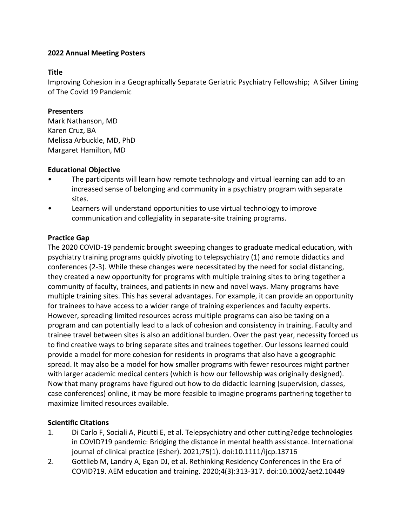### **Title**

Improving Cohesion in a Geographically Separate Geriatric Psychiatry Fellowship; A Silver Lining of The Covid 19 Pandemic

# **Presenters**

Mark Nathanson, MD Karen Cruz, BA Melissa Arbuckle, MD, PhD Margaret Hamilton, MD

# **Educational Objective**

- The participants will learn how remote technology and virtual learning can add to an increased sense of belonging and community in a psychiatry program with separate sites.
- Learners will understand opportunities to use virtual technology to improve communication and collegiality in separate-site training programs.

# **Practice Gap**

The 2020 COVID-19 pandemic brought sweeping changes to graduate medical education, with psychiatry training programs quickly pivoting to telepsychiatry (1) and remote didactics and conferences (2-3). While these changes were necessitated by the need for social distancing, they created a new opportunity for programs with multiple training sites to bring together a community of faculty, trainees, and patients in new and novel ways. Many programs have multiple training sites. This has several advantages. For example, it can provide an opportunity for trainees to have access to a wider range of training experiences and faculty experts. However, spreading limited resources across multiple programs can also be taxing on a program and can potentially lead to a lack of cohesion and consistency in training. Faculty and trainee travel between sites is also an additional burden. Over the past year, necessity forced us to find creative ways to bring separate sites and trainees together. Our lessons learned could provide a model for more cohesion for residents in programs that also have a geographic spread. It may also be a model for how smaller programs with fewer resources might partner with larger academic medical centers (which is how our fellowship was originally designed). Now that many programs have figured out how to do didactic learning (supervision, classes, case conferences) online, it may be more feasible to imagine programs partnering together to maximize limited resources available.

# **Scientific Citations**

- 1. Di Carlo F, Sociali A, Picutti E, et al. Telepsychiatry and other cutting?edge technologies in COVID?19 pandemic: Bridging the distance in mental health assistance. International journal of clinical practice (Esher). 2021;75(1). doi:10.1111/ijcp.13716
- 2. Gottlieb M, Landry A, Egan DJ, et al. Rethinking Residency Conferences in the Era of COVID?19. AEM education and training. 2020;4(3):313-317. doi:10.1002/aet2.10449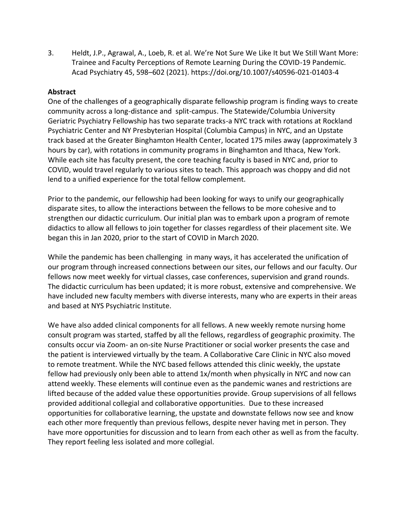3. Heldt, J.P., Agrawal, A., Loeb, R. et al. We're Not Sure We Like It but We Still Want More: Trainee and Faculty Perceptions of Remote Learning During the COVID-19 Pandemic. Acad Psychiatry 45, 598–602 (2021). https://doi.org/10.1007/s40596-021-01403-4

# **Abstract**

One of the challenges of a geographically disparate fellowship program is finding ways to create community across a long-distance and split-campus. The Statewide/Columbia University Geriatric Psychiatry Fellowship has two separate tracks-a NYC track with rotations at Rockland Psychiatric Center and NY Presbyterian Hospital (Columbia Campus) in NYC, and an Upstate track based at the Greater Binghamton Health Center, located 175 miles away (approximately 3 hours by car), with rotations in community programs in Binghamton and Ithaca, New York. While each site has faculty present, the core teaching faculty is based in NYC and, prior to COVID, would travel regularly to various sites to teach. This approach was choppy and did not lend to a unified experience for the total fellow complement.

Prior to the pandemic, our fellowship had been looking for ways to unify our geographically disparate sites, to allow the interactions between the fellows to be more cohesive and to strengthen our didactic curriculum. Our initial plan was to embark upon a program of remote didactics to allow all fellows to join together for classes regardless of their placement site. We began this in Jan 2020, prior to the start of COVID in March 2020.

While the pandemic has been challenging in many ways, it has accelerated the unification of our program through increased connections between our sites, our fellows and our faculty. Our fellows now meet weekly for virtual classes, case conferences, supervision and grand rounds. The didactic curriculum has been updated; it is more robust, extensive and comprehensive. We have included new faculty members with diverse interests, many who are experts in their areas and based at NYS Psychiatric Institute.

We have also added clinical components for all fellows. A new weekly remote nursing home consult program was started, staffed by all the fellows, regardless of geographic proximity. The consults occur via Zoom- an on-site Nurse Practitioner or social worker presents the case and the patient is interviewed virtually by the team. A Collaborative Care Clinic in NYC also moved to remote treatment. While the NYC based fellows attended this clinic weekly, the upstate fellow had previously only been able to attend 1x/month when physically in NYC and now can attend weekly. These elements will continue even as the pandemic wanes and restrictions are lifted because of the added value these opportunities provide. Group supervisions of all fellows provided additional collegial and collaborative opportunities. Due to these increased opportunities for collaborative learning, the upstate and downstate fellows now see and know each other more frequently than previous fellows, despite never having met in person. They have more opportunities for discussion and to learn from each other as well as from the faculty. They report feeling less isolated and more collegial.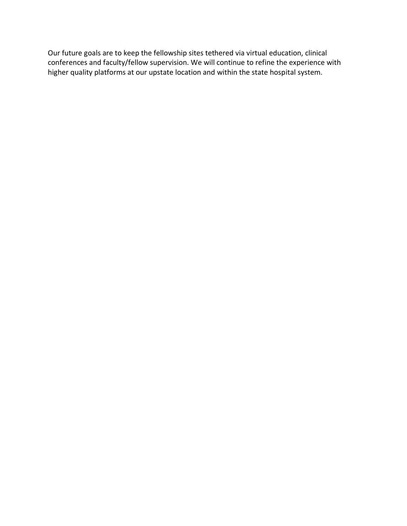Our future goals are to keep the fellowship sites tethered via virtual education, clinical conferences and faculty/fellow supervision. We will continue to refine the experience with higher quality platforms at our upstate location and within the state hospital system.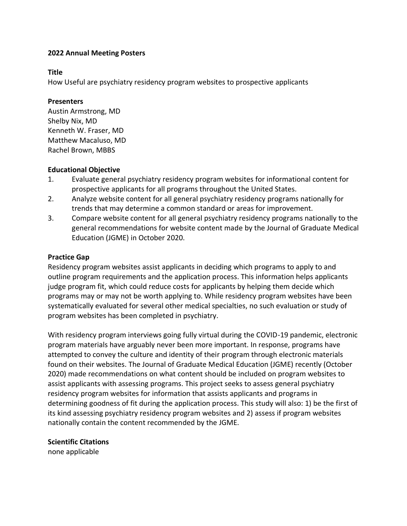#### **Title**

How Useful are psychiatry residency program websites to prospective applicants

### **Presenters**

Austin Armstrong, MD Shelby Nix, MD Kenneth W. Fraser, MD Matthew Macaluso, MD Rachel Brown, MBBS

## **Educational Objective**

- 1. Evaluate general psychiatry residency program websites for informational content for prospective applicants for all programs throughout the United States.
- 2. Analyze website content for all general psychiatry residency programs nationally for trends that may determine a common standard or areas for improvement.
- 3. Compare website content for all general psychiatry residency programs nationally to the general recommendations for website content made by the Journal of Graduate Medical Education (JGME) in October 2020.

## **Practice Gap**

Residency program websites assist applicants in deciding which programs to apply to and outline program requirements and the application process. This information helps applicants judge program fit, which could reduce costs for applicants by helping them decide which programs may or may not be worth applying to. While residency program websites have been systematically evaluated for several other medical specialties, no such evaluation or study of program websites has been completed in psychiatry.

With residency program interviews going fully virtual during the COVID-19 pandemic, electronic program materials have arguably never been more important. In response, programs have attempted to convey the culture and identity of their program through electronic materials found on their websites. The Journal of Graduate Medical Education (JGME) recently (October 2020) made recommendations on what content should be included on program websites to assist applicants with assessing programs. This project seeks to assess general psychiatry residency program websites for information that assists applicants and programs in determining goodness of fit during the application process. This study will also: 1) be the first of its kind assessing psychiatry residency program websites and 2) assess if program websites nationally contain the content recommended by the JGME.

## **Scientific Citations**

none applicable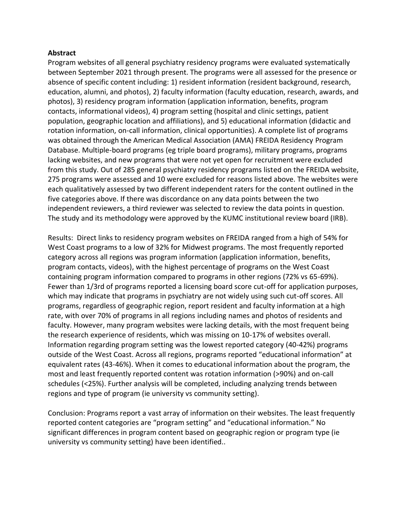#### **Abstract**

Program websites of all general psychiatry residency programs were evaluated systematically between September 2021 through present. The programs were all assessed for the presence or absence of specific content including: 1) resident information (resident background, research, education, alumni, and photos), 2) faculty information (faculty education, research, awards, and photos), 3) residency program information (application information, benefits, program contacts, informational videos), 4) program setting (hospital and clinic settings, patient population, geographic location and affiliations), and 5) educational information (didactic and rotation information, on-call information, clinical opportunities). A complete list of programs was obtained through the American Medical Association (AMA) FREIDA Residency Program Database. Multiple-board programs (eg triple board programs), military programs, programs lacking websites, and new programs that were not yet open for recruitment were excluded from this study. Out of 285 general psychiatry residency programs listed on the FREIDA website, 275 programs were assessed and 10 were excluded for reasons listed above. The websites were each qualitatively assessed by two different independent raters for the content outlined in the five categories above. If there was discordance on any data points between the two independent reviewers, a third reviewer was selected to review the data points in question. The study and its methodology were approved by the KUMC institutional review board (IRB).

Results: Direct links to residency program websites on FREIDA ranged from a high of 54% for West Coast programs to a low of 32% for Midwest programs. The most frequently reported category across all regions was program information (application information, benefits, program contacts, videos), with the highest percentage of programs on the West Coast containing program information compared to programs in other regions (72% vs 65-69%). Fewer than 1/3rd of programs reported a licensing board score cut-off for application purposes, which may indicate that programs in psychiatry are not widely using such cut-off scores. All programs, regardless of geographic region, report resident and faculty information at a high rate, with over 70% of programs in all regions including names and photos of residents and faculty. However, many program websites were lacking details, with the most frequent being the research experience of residents, which was missing on 10-17% of websites overall. Information regarding program setting was the lowest reported category (40-42%) programs outside of the West Coast. Across all regions, programs reported "educational information" at equivalent rates (43-46%). When it comes to educational information about the program, the most and least frequently reported content was rotation information (>90%) and on-call schedules (<25%). Further analysis will be completed, including analyzing trends between regions and type of program (ie university vs community setting).

Conclusion: Programs report a vast array of information on their websites. The least frequently reported content categories are "program setting" and "educational information." No significant differences in program content based on geographic region or program type (ie university vs community setting) have been identified..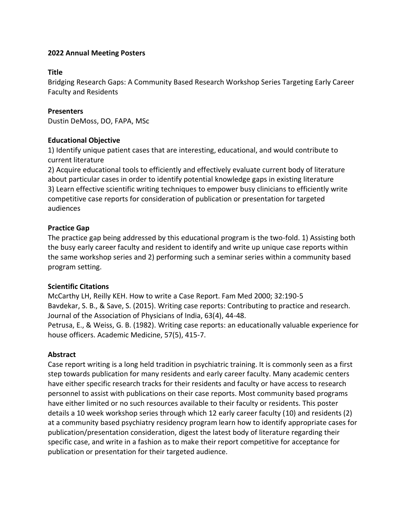### **Title**

Bridging Research Gaps: A Community Based Research Workshop Series Targeting Early Career Faculty and Residents

### **Presenters**

Dustin DeMoss, DO, FAPA, MSc

### **Educational Objective**

1) Identify unique patient cases that are interesting, educational, and would contribute to current literature

2) Acquire educational tools to efficiently and effectively evaluate current body of literature about particular cases in order to identify potential knowledge gaps in existing literature 3) Learn effective scientific writing techniques to empower busy clinicians to efficiently write competitive case reports for consideration of publication or presentation for targeted audiences

## **Practice Gap**

The practice gap being addressed by this educational program is the two-fold. 1) Assisting both the busy early career faculty and resident to identify and write up unique case reports within the same workshop series and 2) performing such a seminar series within a community based program setting.

#### **Scientific Citations**

McCarthy LH, Reilly KEH. How to write a Case Report. Fam Med 2000; 32:190-5 Bavdekar, S. B., & Save, S. (2015). Writing case reports: Contributing to practice and research. Journal of the Association of Physicians of India, 63(4), 44-48. Petrusa, E., & Weiss, G. B. (1982). Writing case reports: an educationally valuable experience for house officers. Academic Medicine, 57(5), 415-7.

## **Abstract**

Case report writing is a long held tradition in psychiatric training. It is commonly seen as a first step towards publication for many residents and early career faculty. Many academic centers have either specific research tracks for their residents and faculty or have access to research personnel to assist with publications on their case reports. Most community based programs have either limited or no such resources available to their faculty or residents. This poster details a 10 week workshop series through which 12 early career faculty (10) and residents (2) at a community based psychiatry residency program learn how to identify appropriate cases for publication/presentation consideration, digest the latest body of literature regarding their specific case, and write in a fashion as to make their report competitive for acceptance for publication or presentation for their targeted audience.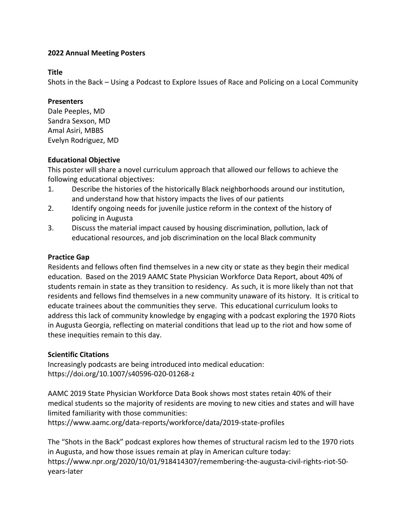### **Title**

Shots in the Back – Using a Podcast to Explore Issues of Race and Policing on a Local Community

### **Presenters**

Dale Peeples, MD Sandra Sexson, MD Amal Asiri, MBBS Evelyn Rodriguez, MD

## **Educational Objective**

This poster will share a novel curriculum approach that allowed our fellows to achieve the following educational objectives:

- 1. Describe the histories of the historically Black neighborhoods around our institution, and understand how that history impacts the lives of our patients
- 2. Identify ongoing needs for juvenile justice reform in the context of the history of policing in Augusta
- 3. Discuss the material impact caused by housing discrimination, pollution, lack of educational resources, and job discrimination on the local Black community

## **Practice Gap**

Residents and fellows often find themselves in a new city or state as they begin their medical education. Based on the 2019 AAMC State Physician Workforce Data Report, about 40% of students remain in state as they transition to residency. As such, it is more likely than not that residents and fellows find themselves in a new community unaware of its history. It is critical to educate trainees about the communities they serve. This educational curriculum looks to address this lack of community knowledge by engaging with a podcast exploring the 1970 Riots in Augusta Georgia, reflecting on material conditions that lead up to the riot and how some of these inequities remain to this day.

## **Scientific Citations**

Increasingly podcasts are being introduced into medical education: https://doi.org/10.1007/s40596-020-01268-z

AAMC 2019 State Physician Workforce Data Book shows most states retain 40% of their medical students so the majority of residents are moving to new cities and states and will have limited familiarity with those communities:

https://www.aamc.org/data-reports/workforce/data/2019-state-profiles

The "Shots in the Back" podcast explores how themes of structural racism led to the 1970 riots in Augusta, and how those issues remain at play in American culture today: https://www.npr.org/2020/10/01/918414307/remembering-the-augusta-civil-rights-riot-50 years-later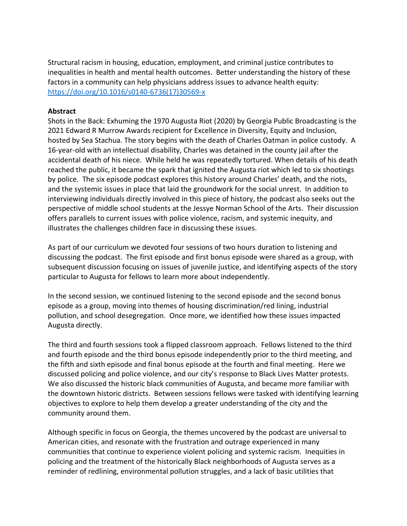Structural racism in housing, education, employment, and criminal justice contributes to inequalities in health and mental health outcomes. Better understanding the history of these factors in a community can help physicians address issues to advance health equity: [https://doi.org/10.1016/s0140-6736\(17\)30569-x](https://doi.org/10.1016/s0140-6736(17)30569-x)

#### **Abstract**

Shots in the Back: Exhuming the 1970 Augusta Riot (2020) by Georgia Public Broadcasting is the 2021 Edward R Murrow Awards recipient for Excellence in Diversity, Equity and Inclusion, hosted by Sea Stachua. The story begins with the death of Charles Oatman in police custody. A 16-year-old with an intellectual disability, Charles was detained in the county jail after the accidental death of his niece. While held he was repeatedly tortured. When details of his death reached the public, it became the spark that ignited the Augusta riot which led to six shootings by police. The six episode podcast explores this history around Charles' death, and the riots, and the systemic issues in place that laid the groundwork for the social unrest. In addition to interviewing individuals directly involved in this piece of history, the podcast also seeks out the perspective of middle school students at the Jessye Norman School of the Arts. Their discussion offers parallels to current issues with police violence, racism, and systemic inequity, and illustrates the challenges children face in discussing these issues.

As part of our curriculum we devoted four sessions of two hours duration to listening and discussing the podcast. The first episode and first bonus episode were shared as a group, with subsequent discussion focusing on issues of juvenile justice, and identifying aspects of the story particular to Augusta for fellows to learn more about independently.

In the second session, we continued listening to the second episode and the second bonus episode as a group, moving into themes of housing discrimination/red lining, industrial pollution, and school desegregation. Once more, we identified how these issues impacted Augusta directly.

The third and fourth sessions took a flipped classroom approach. Fellows listened to the third and fourth episode and the third bonus episode independently prior to the third meeting, and the fifth and sixth episode and final bonus episode at the fourth and final meeting. Here we discussed policing and police violence, and our city's response to Black Lives Matter protests. We also discussed the historic black communities of Augusta, and became more familiar with the downtown historic districts. Between sessions fellows were tasked with identifying learning objectives to explore to help them develop a greater understanding of the city and the community around them.

Although specific in focus on Georgia, the themes uncovered by the podcast are universal to American cities, and resonate with the frustration and outrage experienced in many communities that continue to experience violent policing and systemic racism. Inequities in policing and the treatment of the historically Black neighborhoods of Augusta serves as a reminder of redlining, environmental pollution struggles, and a lack of basic utilities that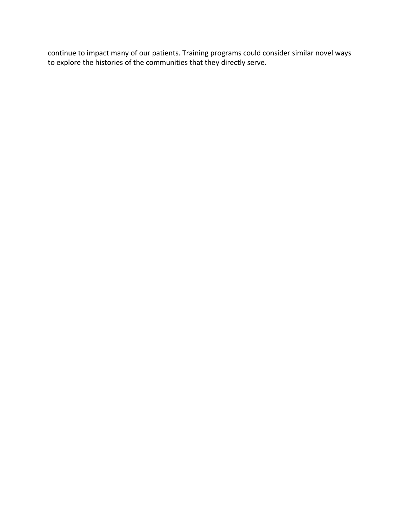continue to impact many of our patients. Training programs could consider similar novel ways to explore the histories of the communities that they directly serve.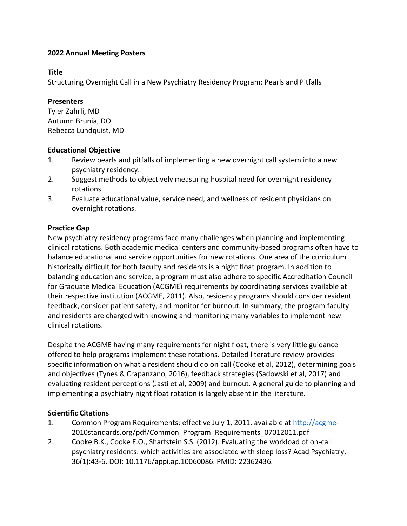## **Title**

Structuring Overnight Call in a New Psychiatry Residency Program: Pearls and Pitfalls

## **Presenters**

Tyler Zahrli, MD Autumn Brunia, DO Rebecca Lundquist, MD

# **Educational Objective**

- 1. Review pearls and pitfalls of implementing a new overnight call system into a new psychiatry residency.
- 2. Suggest methods to objectively measuring hospital need for overnight residency rotations.
- 3. Evaluate educational value, service need, and wellness of resident physicians on overnight rotations.

# **Practice Gap**

New psychiatry residency programs face many challenges when planning and implementing clinical rotations. Both academic medical centers and community-based programs often have to balance educational and service opportunities for new rotations. One area of the curriculum historically difficult for both faculty and residents is a night float program. In addition to balancing education and service, a program must also adhere to specific Accreditation Council for Graduate Medical Education (ACGME) requirements by coordinating services available at their respective institution (ACGME, 2011). Also, residency programs should consider resident feedback, consider patient safety, and monitor for burnout. In summary, the program faculty and residents are charged with knowing and monitoring many variables to implement new clinical rotations.

Despite the ACGME having many requirements for night float, there is very little guidance offered to help programs implement these rotations. Detailed literature review provides specific information on what a resident should do on call (Cooke et al, 2012), determining goals and objectives (Tynes & Crapanzano, 2016), feedback strategies (Sadowski et al, 2017) and evaluating resident perceptions (Jasti et al, 2009) and burnout. A general guide to planning and implementing a psychiatry night float rotation is largely absent in the literature.

# **Scientific Citations**

- 1. Common Program Requirements: effective July 1, 2011. available at [http://acgme-](http://acgme-/)2010standards.org/pdf/Common\_Program\_Requirements\_07012011.pdf
- 2. Cooke B.K., Cooke E.O., Sharfstein S.S. (2012). Evaluating the workload of on-call psychiatry residents: which activities are associated with sleep loss? Acad Psychiatry, 36(1):43-6. DOI: 10.1176/appi.ap.10060086. PMID: 22362436.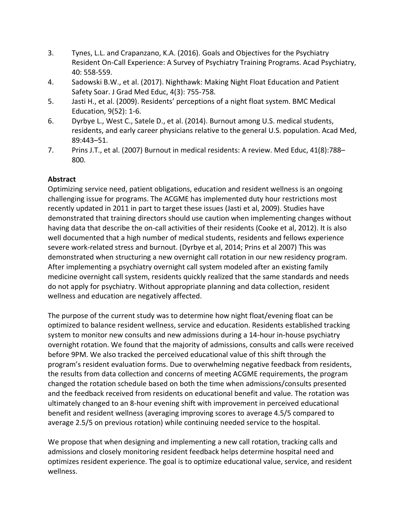- 3. Tynes, L.L. and Crapanzano, K.A. (2016). Goals and Objectives for the Psychiatry Resident On-Call Experience: A Survey of Psychiatry Training Programs. Acad Psychiatry, 40: 558-559.
- 4. Sadowski B.W., et al. (2017). Nighthawk: Making Night Float Education and Patient Safety Soar. J Grad Med Educ, 4(3): 755-758.
- 5. Jasti H., et al. (2009). Residents' perceptions of a night float system. BMC Medical Education, 9(52): 1-6.
- 6. Dyrbye L., West C., Satele D., et al. (2014). Burnout among U.S. medical students, residents, and early career physicians relative to the general U.S. population. Acad Med, 89:443–51.
- 7. Prins J.T., et al. (2007) Burnout in medical residents: A review. Med Educ, 41(8):788– 800.

# **Abstract**

Optimizing service need, patient obligations, education and resident wellness is an ongoing challenging issue for programs. The ACGME has implemented duty hour restrictions most recently updated in 2011 in part to target these issues (Jasti et al, 2009). Studies have demonstrated that training directors should use caution when implementing changes without having data that describe the on-call activities of their residents (Cooke et al, 2012). It is also well documented that a high number of medical students, residents and fellows experience severe work-related stress and burnout. (Dyrbye et al, 2014; Prins et al 2007) This was demonstrated when structuring a new overnight call rotation in our new residency program. After implementing a psychiatry overnight call system modeled after an existing family medicine overnight call system, residents quickly realized that the same standards and needs do not apply for psychiatry. Without appropriate planning and data collection, resident wellness and education are negatively affected.

The purpose of the current study was to determine how night float/evening float can be optimized to balance resident wellness, service and education. Residents established tracking system to monitor new consults and new admissions during a 14-hour in-house psychiatry overnight rotation. We found that the majority of admissions, consults and calls were received before 9PM. We also tracked the perceived educational value of this shift through the program's resident evaluation forms. Due to overwhelming negative feedback from residents, the results from data collection and concerns of meeting ACGME requirements, the program changed the rotation schedule based on both the time when admissions/consults presented and the feedback received from residents on educational benefit and value. The rotation was ultimately changed to an 8-hour evening shift with improvement in perceived educational benefit and resident wellness (averaging improving scores to average 4.5/5 compared to average 2.5/5 on previous rotation) while continuing needed service to the hospital.

We propose that when designing and implementing a new call rotation, tracking calls and admissions and closely monitoring resident feedback helps determine hospital need and optimizes resident experience. The goal is to optimize educational value, service, and resident wellness.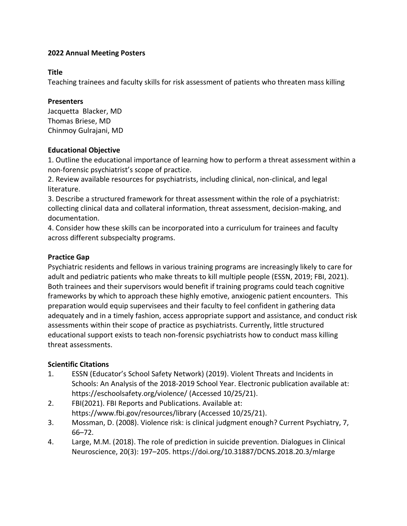### **Title**

Teaching trainees and faculty skills for risk assessment of patients who threaten mass killing

### **Presenters**

Jacquetta Blacker, MD Thomas Briese, MD Chinmoy Gulrajani, MD

### **Educational Objective**

1. Outline the educational importance of learning how to perform a threat assessment within a non-forensic psychiatrist's scope of practice.

2. Review available resources for psychiatrists, including clinical, non-clinical, and legal literature.

3. Describe a structured framework for threat assessment within the role of a psychiatrist: collecting clinical data and collateral information, threat assessment, decision-making, and documentation.

4. Consider how these skills can be incorporated into a curriculum for trainees and faculty across different subspecialty programs.

## **Practice Gap**

Psychiatric residents and fellows in various training programs are increasingly likely to care for adult and pediatric patients who make threats to kill multiple people (ESSN, 2019; FBI, 2021). Both trainees and their supervisors would benefit if training programs could teach cognitive frameworks by which to approach these highly emotive, anxiogenic patient encounters. This preparation would equip supervisees and their faculty to feel confident in gathering data adequately and in a timely fashion, access appropriate support and assistance, and conduct risk assessments within their scope of practice as psychiatrists. Currently, little structured educational support exists to teach non-forensic psychiatrists how to conduct mass killing threat assessments.

## **Scientific Citations**

- 1. ESSN (Educator's School Safety Network) (2019). Violent Threats and Incidents in Schools: An Analysis of the 2018-2019 School Year. Electronic publication available at: https://eschoolsafety.org/violence/ (Accessed 10/25/21).
- 2. FBI(2021). FBI Reports and Publications. Available at: https://www.fbi.gov/resources/library (Accessed 10/25/21).
- 3. Mossman, D. (2008). Violence risk: is clinical judgment enough? Current Psychiatry, 7, 66–72.
- 4. Large, M.M. (2018). The role of prediction in suicide prevention. Dialogues in Clinical Neuroscience, 20(3): 197–205. https://doi.org/10.31887/DCNS.2018.20.3/mlarge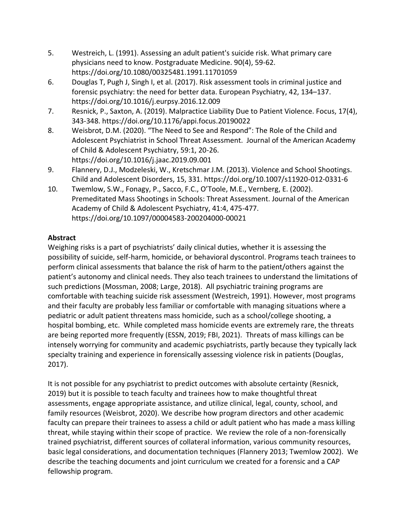- 5. Westreich, L. (1991). Assessing an adult patient's suicide risk. What primary care physicians need to know. Postgraduate Medicine. 90(4), 59-62. https://doi.org/10.1080/00325481.1991.11701059
- 6. Douglas T, Pugh J, Singh I, et al. (2017). Risk assessment tools in criminal justice and forensic psychiatry: the need for better data. European Psychiatry, 42, 134–137. https://doi.org/10.1016/j.eurpsy.2016.12.009
- 7. Resnick, P., Saxton, A. (2019). Malpractice Liability Due to Patient Violence. Focus, 17(4), 343-348. https://doi.org/10.1176/appi.focus.20190022
- 8. Weisbrot, D.M. (2020). "The Need to See and Respond": The Role of the Child and Adolescent Psychiatrist in School Threat Assessment. Journal of the American Academy of Child & Adolescent Psychiatry, 59:1, 20-26. https://doi.org/10.1016/j.jaac.2019.09.001
- 9. Flannery, D.J., Modzeleski, W., Kretschmar J.M. (2013). Violence and School Shootings. Child and Adolescent Disorders, 15, 331. https://doi.org/10.1007/s11920-012-0331-6
- 10. Twemlow, S.W., Fonagy, P., Sacco, F.C., O'Toole, M.E., Vernberg, E. (2002). Premeditated Mass Shootings in Schools: Threat Assessment. Journal of the American Academy of Child & Adolescent Psychiatry, 41:4, 475-477. https://doi.org/10.1097/00004583-200204000-00021

# **Abstract**

Weighing risks is a part of psychiatrists' daily clinical duties, whether it is assessing the possibility of suicide, self-harm, homicide, or behavioral dyscontrol. Programs teach trainees to perform clinical assessments that balance the risk of harm to the patient/others against the patient's autonomy and clinical needs. They also teach trainees to understand the limitations of such predictions (Mossman, 2008; Large, 2018). All psychiatric training programs are comfortable with teaching suicide risk assessment (Westreich, 1991). However, most programs and their faculty are probably less familiar or comfortable with managing situations where a pediatric or adult patient threatens mass homicide, such as a school/college shooting, a hospital bombing, etc. While completed mass homicide events are extremely rare, the threats are being reported more frequently (ESSN, 2019; FBI, 2021). Threats of mass killings can be intensely worrying for community and academic psychiatrists, partly because they typically lack specialty training and experience in forensically assessing violence risk in patients (Douglas, 2017).

It is not possible for any psychiatrist to predict outcomes with absolute certainty (Resnick, 2019) but it is possible to teach faculty and trainees how to make thoughtful threat assessments, engage appropriate assistance, and utilize clinical, legal, county, school, and family resources (Weisbrot, 2020). We describe how program directors and other academic faculty can prepare their trainees to assess a child or adult patient who has made a mass killing threat, while staying within their scope of practice. We review the role of a non-forensically trained psychiatrist, different sources of collateral information, various community resources, basic legal considerations, and documentation techniques (Flannery 2013; Twemlow 2002). We describe the teaching documents and joint curriculum we created for a forensic and a CAP fellowship program.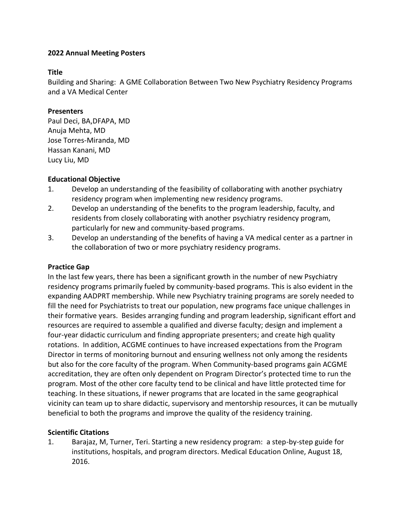### **Title**

Building and Sharing: A GME Collaboration Between Two New Psychiatry Residency Programs and a VA Medical Center

### **Presenters**

Paul Deci, BA,DFAPA, MD Anuja Mehta, MD Jose Torres-Miranda, MD Hassan Kanani, MD Lucy Liu, MD

## **Educational Objective**

- 1. Develop an understanding of the feasibility of collaborating with another psychiatry residency program when implementing new residency programs.
- 2. Develop an understanding of the benefits to the program leadership, faculty, and residents from closely collaborating with another psychiatry residency program, particularly for new and community-based programs.
- 3. Develop an understanding of the benefits of having a VA medical center as a partner in the collaboration of two or more psychiatry residency programs.

## **Practice Gap**

In the last few years, there has been a significant growth in the number of new Psychiatry residency programs primarily fueled by community-based programs. This is also evident in the expanding AADPRT membership. While new Psychiatry training programs are sorely needed to fill the need for Psychiatrists to treat our population, new programs face unique challenges in their formative years. Besides arranging funding and program leadership, significant effort and resources are required to assemble a qualified and diverse faculty; design and implement a four-year didactic curriculum and finding appropriate presenters; and create high quality rotations. In addition, ACGME continues to have increased expectations from the Program Director in terms of monitoring burnout and ensuring wellness not only among the residents but also for the core faculty of the program. When Community-based programs gain ACGME accreditation, they are often only dependent on Program Director's protected time to run the program. Most of the other core faculty tend to be clinical and have little protected time for teaching. In these situations, if newer programs that are located in the same geographical vicinity can team up to share didactic, supervisory and mentorship resources, it can be mutually beneficial to both the programs and improve the quality of the residency training.

## **Scientific Citations**

1. Barajaz, M, Turner, Teri. Starting a new residency program: a step-by-step guide for institutions, hospitals, and program directors. Medical Education Online, August 18, 2016.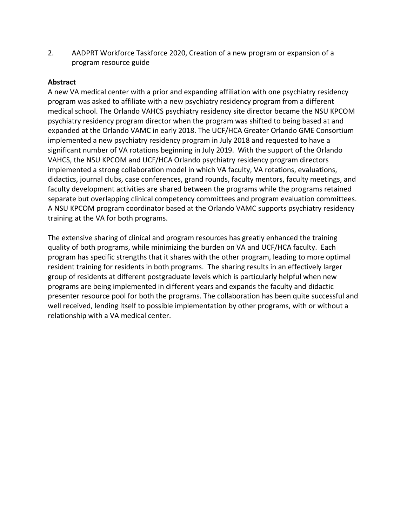2. AADPRT Workforce Taskforce 2020, Creation of a new program or expansion of a program resource guide

### **Abstract**

A new VA medical center with a prior and expanding affiliation with one psychiatry residency program was asked to affiliate with a new psychiatry residency program from a different medical school. The Orlando VAHCS psychiatry residency site director became the NSU KPCOM psychiatry residency program director when the program was shifted to being based at and expanded at the Orlando VAMC in early 2018. The UCF/HCA Greater Orlando GME Consortium implemented a new psychiatry residency program in July 2018 and requested to have a significant number of VA rotations beginning in July 2019. With the support of the Orlando VAHCS, the NSU KPCOM and UCF/HCA Orlando psychiatry residency program directors implemented a strong collaboration model in which VA faculty, VA rotations, evaluations, didactics, journal clubs, case conferences, grand rounds, faculty mentors, faculty meetings, and faculty development activities are shared between the programs while the programs retained separate but overlapping clinical competency committees and program evaluation committees. A NSU KPCOM program coordinator based at the Orlando VAMC supports psychiatry residency training at the VA for both programs.

The extensive sharing of clinical and program resources has greatly enhanced the training quality of both programs, while minimizing the burden on VA and UCF/HCA faculty. Each program has specific strengths that it shares with the other program, leading to more optimal resident training for residents in both programs. The sharing results in an effectively larger group of residents at different postgraduate levels which is particularly helpful when new programs are being implemented in different years and expands the faculty and didactic presenter resource pool for both the programs. The collaboration has been quite successful and well received, lending itself to possible implementation by other programs, with or without a relationship with a VA medical center.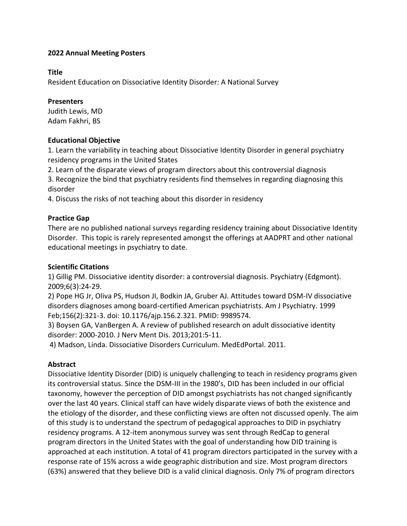#### **Title**

Resident Education on Dissociative Identity Disorder: A National Survey

#### **Presenters**

Judith Lewis, MD Adam Fakhri, BS

#### **Educational Objective**

1. Learn the variability in teaching about Dissociative Identity Disorder in general psychiatry residency programs in the United States

2. Learn of the disparate views of program directors about this controversial diagnosis

3. Recognize the bind that psychiatry residents find themselves in regarding diagnosing this disorder

4. Discuss the risks of not teaching about this disorder in residency

### **Practice Gap**

There are no published national surveys regarding residency training about Dissociative Identity Disorder. This topic is rarely represented amongst the offerings at AADPRT and other national educational meetings in psychiatry to date.

#### **Scientific Citations**

1) Gillig PM. Dissociative identity disorder: a controversial diagnosis. Psychiatry (Edgmont). 2009;6(3):24-29.

2) Pope HG Jr, Oliva PS, Hudson JI, Bodkin JA, Gruber AJ. Attitudes toward DSM-IV dissociative disorders diagnoses among board-certified American psychiatrists. Am J Psychiatry. 1999 Feb;156(2):321-3. doi: 10.1176/ajp.156.2.321. PMID: 9989574.

3) Boysen GA, VanBergen A. A review of published research on adult dissociative identity disorder: 2000-2010. J Nerv Ment Dis. 2013;201:5-11.

4) Madson, Linda. Dissociative Disorders Curriculum. MedEdPortal. 2011.

#### **Abstract**

Dissociative Identity Disorder (DID) is uniquely challenging to teach in residency programs given its controversial status. Since the DSM-III in the 1980's, DID has been included in our official taxonomy, however the perception of DID amongst psychiatrists has not changed significantly over the last 40 years. Clinical staff can have widely disparate views of both the existence and the etiology of the disorder, and these conflicting views are often not discussed openly. The aim of this study is to understand the spectrum of pedagogical approaches to DID in psychiatry residency programs. A 12-item anonymous survey was sent through RedCap to general program directors in the United States with the goal of understanding how DID training is approached at each institution. A total of 41 program directors participated in the survey with a response rate of 15% across a wide geographic distribution and size. Most program directors (63%) answered that they believe DID is a valid clinical diagnosis. Only 7% of program directors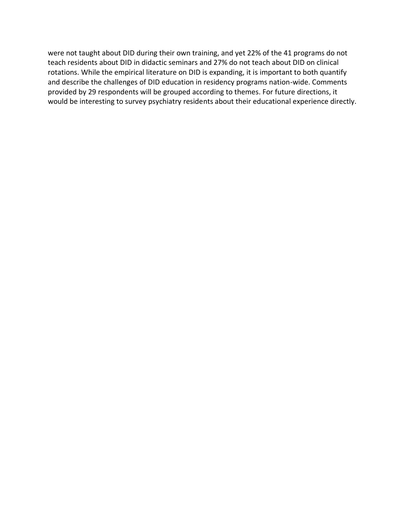were not taught about DID during their own training, and yet 22% of the 41 programs do not teach residents about DID in didactic seminars and 27% do not teach about DID on clinical rotations. While the empirical literature on DID is expanding, it is important to both quantify and describe the challenges of DID education in residency programs nation-wide. Comments provided by 29 respondents will be grouped according to themes. For future directions, it would be interesting to survey psychiatry residents about their educational experience directly.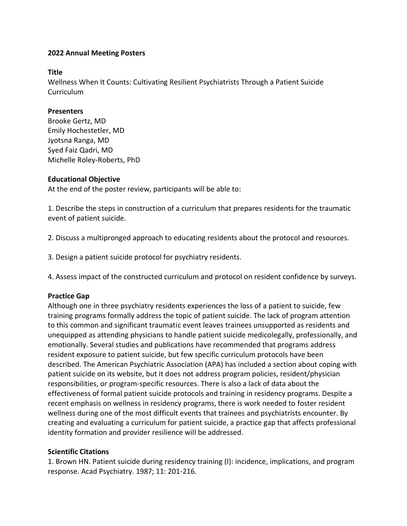### **Title**

Wellness When It Counts: Cultivating Resilient Psychiatrists Through a Patient Suicide Curriculum

### **Presenters**

Brooke Gertz, MD Emily Hochestetler, MD Jyotsna Ranga, MD Syed Faiz Qadri, MD Michelle Roley-Roberts, PhD

### **Educational Objective**

At the end of the poster review, participants will be able to:

1. Describe the steps in construction of a curriculum that prepares residents for the traumatic event of patient suicide.

2. Discuss a multipronged approach to educating residents about the protocol and resources.

3. Design a patient suicide protocol for psychiatry residents.

4. Assess impact of the constructed curriculum and protocol on resident confidence by surveys.

## **Practice Gap**

Although one in three psychiatry residents experiences the loss of a patient to suicide, few training programs formally address the topic of patient suicide. The lack of program attention to this common and significant traumatic event leaves trainees unsupported as residents and unequipped as attending physicians to handle patient suicide medicolegally, professionally, and emotionally. Several studies and publications have recommended that programs address resident exposure to patient suicide, but few specific curriculum protocols have been described. The American Psychiatric Association (APA) has included a section about coping with patient suicide on its website, but it does not address program policies, resident/physician responsibilities, or program-specific resources. There is also a lack of data about the effectiveness of formal patient suicide protocols and training in residency programs. Despite a recent emphasis on wellness in residency programs, there is work needed to foster resident wellness during one of the most difficult events that trainees and psychiatrists encounter. By creating and evaluating a curriculum for patient suicide, a practice gap that affects professional identity formation and provider resilience will be addressed.

#### **Scientific Citations**

1. Brown HN. Patient suicide during residency training (I): incidence, implications, and program response. Acad Psychiatry. 1987; 11: 201-216.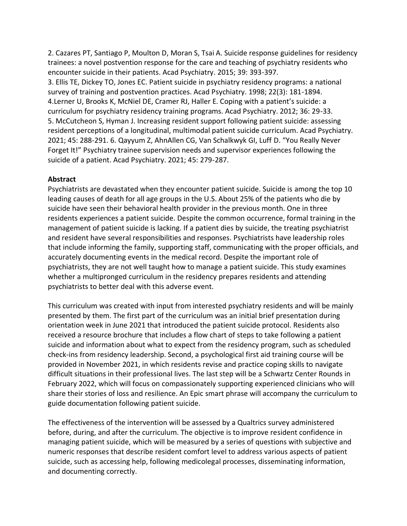2. Cazares PT, Santiago P, Moulton D, Moran S, Tsai A. Suicide response guidelines for residency trainees: a novel postvention response for the care and teaching of psychiatry residents who encounter suicide in their patients. Acad Psychiatry. 2015; 39: 393-397.

3. Ellis TE, Dickey TO, Jones EC. Patient suicide in psychiatry residency programs: a national survey of training and postvention practices. Acad Psychiatry. 1998; 22(3): 181-1894. 4.Lerner U, Brooks K, McNiel DE, Cramer RJ, Haller E. Coping with a patient's suicide: a curriculum for psychiatry residency training programs. Acad Psychiatry. 2012; 36: 29-33. 5. McCutcheon S, Hyman J. Increasing resident support following patient suicide: assessing resident perceptions of a longitudinal, multimodal patient suicide curriculum. Acad Psychiatry. 2021; 45: 288-291. 6. Qayyum Z, AhnAllen CG, Van Schalkwyk GI, Luff D. "You Really Never Forget It!" Psychiatry trainee supervision needs and supervisor experiences following the suicide of a patient. Acad Psychiatry. 2021; 45: 279-287.

### **Abstract**

Psychiatrists are devastated when they encounter patient suicide. Suicide is among the top 10 leading causes of death for all age groups in the U.S. About 25% of the patients who die by suicide have seen their behavioral health provider in the previous month. One in three residents experiences a patient suicide. Despite the common occurrence, formal training in the management of patient suicide is lacking. If a patient dies by suicide, the treating psychiatrist and resident have several responsibilities and responses. Psychiatrists have leadership roles that include informing the family, supporting staff, communicating with the proper officials, and accurately documenting events in the medical record. Despite the important role of psychiatrists, they are not well taught how to manage a patient suicide. This study examines whether a multipronged curriculum in the residency prepares residents and attending psychiatrists to better deal with this adverse event.

This curriculum was created with input from interested psychiatry residents and will be mainly presented by them. The first part of the curriculum was an initial brief presentation during orientation week in June 2021 that introduced the patient suicide protocol. Residents also received a resource brochure that includes a flow chart of steps to take following a patient suicide and information about what to expect from the residency program, such as scheduled check-ins from residency leadership. Second, a psychological first aid training course will be provided in November 2021, in which residents revise and practice coping skills to navigate difficult situations in their professional lives. The last step will be a Schwartz Center Rounds in February 2022, which will focus on compassionately supporting experienced clinicians who will share their stories of loss and resilience. An Epic smart phrase will accompany the curriculum to guide documentation following patient suicide.

The effectiveness of the intervention will be assessed by a Qualtrics survey administered before, during, and after the curriculum. The objective is to improve resident confidence in managing patient suicide, which will be measured by a series of questions with subjective and numeric responses that describe resident comfort level to address various aspects of patient suicide, such as accessing help, following medicolegal processes, disseminating information, and documenting correctly.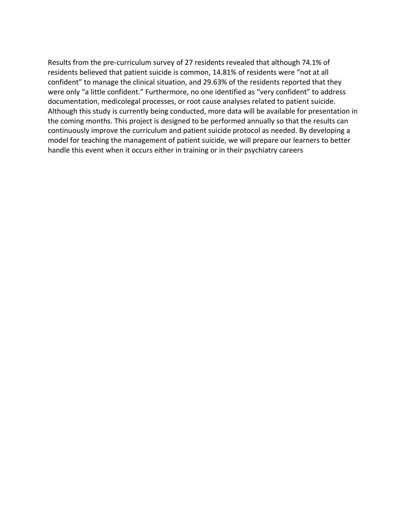Results from the pre-curriculum survey of 27 residents revealed that although 74.1% of residents believed that patient suicide is common, 14.81% of residents were "not at all confident" to manage the clinical situation, and 29.63% of the residents reported that they were only "a little confident." Furthermore, no one identified as "very confident" to address documentation, medicolegal processes, or root cause analyses related to patient suicide. Although this study is currently being conducted, more data will be available for presentation in the coming months. This project is designed to be performed annually so that the results can continuously improve the curriculum and patient suicide protocol as needed. By developing a model for teaching the management of patient suicide, we will prepare our learners to better handle this event when it occurs either in training or in their psychiatry careers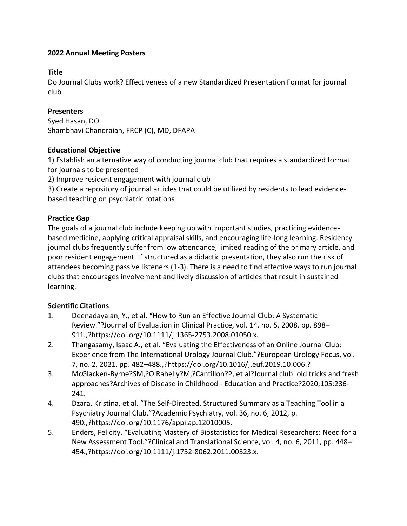### **Title**

Do Journal Clubs work? Effectiveness of a new Standardized Presentation Format for journal club

## **Presenters**

Syed Hasan, DO Shambhavi Chandraiah, FRCP (C), MD, DFAPA

### **Educational Objective**

1) Establish an alternative way of conducting journal club that requires a standardized format for journals to be presented  

2) Improve resident engagement with journal club   

3) Create a repository of journal articles that could be utilized by residents to lead evidencebased teaching on psychiatric rotations 

## **Practice Gap**

The goals of a journal club include keeping up with important studies, practicing evidencebased medicine, applying critical appraisal skills, and encouraging life-long learning. Residency journal clubs frequently suffer from low attendance, limited reading of the primary article, and poor resident engagement. If structured as a didactic presentation, they also run the risk of attendees becoming passive listeners (1-3). There is a need to find effective ways to run journal clubs that encourages involvement and lively discussion of articles that result in sustained learning.

## **Scientific Citations**

- 1. Deenadayalan, Y., et al. "How to Run an Effective Journal Club: A Systematic Review."?Journal of Evaluation in Clinical Practice, vol. 14, no. 5, 2008, pp. 898– 911.,?https://doi.org/10.1111/j.1365-2753.2008.01050.x.
- 2. Thangasamy, Isaac A., et al. "Evaluating the Effectiveness of an Online Journal Club: Experience from The International Urology Journal Club."?European Urology Focus, vol. 7, no. 2, 2021, pp. 482–488.,?https://doi.org/10.1016/j.euf.2019.10.006.?
- 3. McGlacken-Byrne?SM,?O'Rahelly?M,?Cantillon?P, et al?Journal club: old tricks and fresh approaches?Archives of Disease in Childhood - Education and Practice?2020;105:236- 241.
- 4. Dzara, Kristina, et al. "The Self-Directed, Structured Summary as a Teaching Tool in a Psychiatry Journal Club."?Academic Psychiatry, vol. 36, no. 6, 2012, p. 490.,?https://doi.org/10.1176/appi.ap.12010005.
- 5. Enders, Felicity. "Evaluating Mastery of Biostatistics for Medical Researchers: Need for a New Assessment Tool."?Clinical and Translational Science, vol. 4, no. 6, 2011, pp. 448– 454.,?https://doi.org/10.1111/j.1752-8062.2011.00323.x.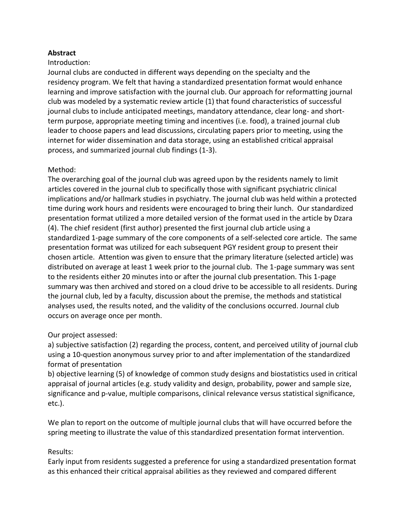## **Abstract**

#### Introduction:

Journal clubs are conducted in different ways depending on the specialty and the residency program. We felt that having a standardized presentation format would enhance learning and improve satisfaction with the journal club. Our approach for reformatting journal club was modeled by a systematic review article (1) that found characteristics of successful journal clubs to include anticipated meetings, mandatory attendance, clear long- and shortterm purpose, appropriate meeting timing and incentives (i.e. food), a trained journal club leader to choose papers and lead discussions, circulating papers prior to meeting, using the internet for wider dissemination and data storage, using an established critical appraisal process, and summarized journal club findings (1-3).

#### Method:

The overarching goal of the journal club was agreed upon by the residents namely to limit articles covered in the journal club to specifically those with significant psychiatric clinical implications and/or hallmark studies in psychiatry. The journal club was held within a protected time during work hours and residents were encouraged to bring their lunch.  Our standardized presentation format utilized a more detailed version of the format used in the article by Dzara (4). The chief resident (first author) presented the first journal club article using a standardized 1-page summary of the core components of a self-selected core article.  The same presentation format was utilized for each subsequent PGY resident group to present their chosen article.  Attention was given to ensure that the primary literature (selected article) was distributed on average at least 1 week prior to the journal club.  The 1-page summary was sent to the residents either 20 minutes into or after the journal club presentation. This 1-page summary was then archived and stored on a cloud drive to be accessible to all residents. During the journal club, led by a faculty, discussion about the premise, the methods and statistical analyses used, the results noted, and the validity of the conclusions occurred. Journal club occurs on average once per month.

#### Our project assessed:

a) subjective satisfaction (2) regarding the process, content, and perceived utility of journal club using a 10-question anonymous survey prior to and after implementation of the standardized format of presentation  

b) objective learning (5) of knowledge of common study designs and biostatistics used in critical appraisal of journal articles (e.g. study validity and design, probability, power and sample size, significance and p-value, multiple comparisons, clinical relevance versus statistical significance, etc.).

We plan to report on the outcome of multiple journal clubs that will have occurred before the spring meeting to illustrate the value of this standardized presentation format intervention.  

#### Results:

Early input from residents suggested a preference for using a standardized presentation format as this enhanced their critical appraisal abilities as they reviewed and compared different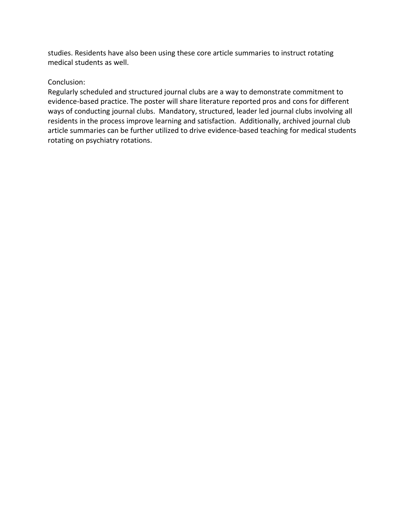studies. Residents have also been using these core article summaries to instruct rotating medical students as well. 

## Conclusion:

Regularly scheduled and structured journal clubs are a way to demonstrate commitment to evidence-based practice. The poster will share literature reported pros and cons for different ways of conducting journal clubs.  Mandatory, structured, leader led journal clubs involving all residents in the process improve learning and satisfaction.  Additionally, archived journal club article summaries can be further utilized to drive evidence-based teaching for medical students rotating on psychiatry rotations.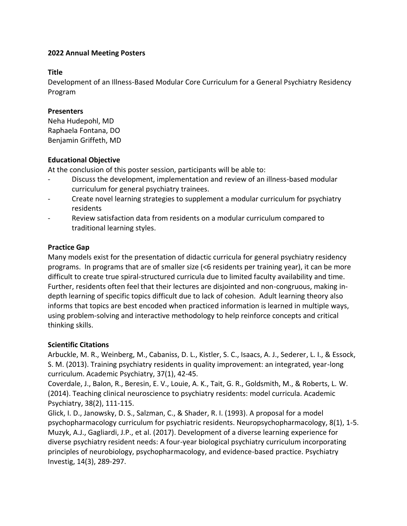### **Title**

Development of an Illness-Based Modular Core Curriculum for a General Psychiatry Residency Program

## **Presenters**

Neha Hudepohl, MD Raphaela Fontana, DO Benjamin Griffeth, MD

### **Educational Objective**

At the conclusion of this poster session, participants will be able to:

- Discuss the development, implementation and review of an illness-based modular curriculum for general psychiatry trainees.
- Create novel learning strategies to supplement a modular curriculum for psychiatry residents
- Review satisfaction data from residents on a modular curriculum compared to traditional learning styles.

### **Practice Gap**

Many models exist for the presentation of didactic curricula for general psychiatry residency programs. In programs that are of smaller size (<6 residents per training year), it can be more difficult to create true spiral-structured curricula due to limited faculty availability and time. Further, residents often feel that their lectures are disjointed and non-congruous, making indepth learning of specific topics difficult due to lack of cohesion. Adult learning theory also informs that topics are best encoded when practiced information is learned in multiple ways, using problem-solving and interactive methodology to help reinforce concepts and critical thinking skills.

## **Scientific Citations**

Arbuckle, M. R., Weinberg, M., Cabaniss, D. L., Kistler, S. C., Isaacs, A. J., Sederer, L. I., & Essock, S. M. (2013). Training psychiatry residents in quality improvement: an integrated, year-long curriculum. Academic Psychiatry, 37(1), 42-45.

Coverdale, J., Balon, R., Beresin, E. V., Louie, A. K., Tait, G. R., Goldsmith, M., & Roberts, L. W. (2014). Teaching clinical neuroscience to psychiatry residents: model curricula. Academic Psychiatry, 38(2), 111-115.

Glick, I. D., Janowsky, D. S., Salzman, C., & Shader, R. I. (1993). A proposal for a model psychopharmacology curriculum for psychiatric residents. Neuropsychopharmacology, 8(1), 1-5. Muzyk, A.J., Gagliardi, J.P., et al. (2017). Development of a diverse learning experience for diverse psychiatry resident needs: A four-year biological psychiatry curriculum incorporating principles of neurobiology, psychopharmacology, and evidence-based practice. Psychiatry Investig, 14(3), 289-297.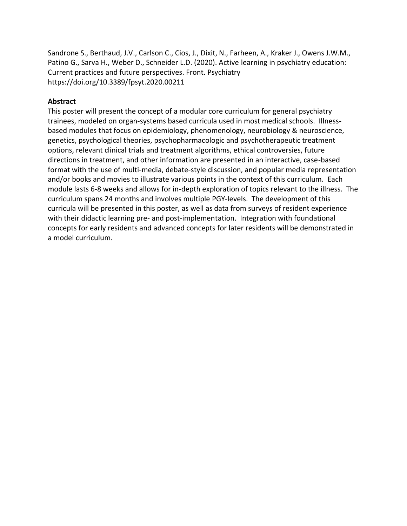Sandrone S., Berthaud, J.V., Carlson C., Cios, J., Dixit, N., Farheen, A., Kraker J., Owens J.W.M., Patino G., Sarva H., Weber D., Schneider L.D. (2020). Active learning in psychiatry education: Current practices and future perspectives. Front. Psychiatry https://doi.org/10.3389/fpsyt.2020.00211

#### **Abstract**

This poster will present the concept of a modular core curriculum for general psychiatry trainees, modeled on organ-systems based curricula used in most medical schools. Illnessbased modules that focus on epidemiology, phenomenology, neurobiology & neuroscience, genetics, psychological theories, psychopharmacologic and psychotherapeutic treatment options, relevant clinical trials and treatment algorithms, ethical controversies, future directions in treatment, and other information are presented in an interactive, case-based format with the use of multi-media, debate-style discussion, and popular media representation and/or books and movies to illustrate various points in the context of this curriculum. Each module lasts 6-8 weeks and allows for in-depth exploration of topics relevant to the illness. The curriculum spans 24 months and involves multiple PGY-levels. The development of this curricula will be presented in this poster, as well as data from surveys of resident experience with their didactic learning pre- and post-implementation. Integration with foundational concepts for early residents and advanced concepts for later residents will be demonstrated in a model curriculum.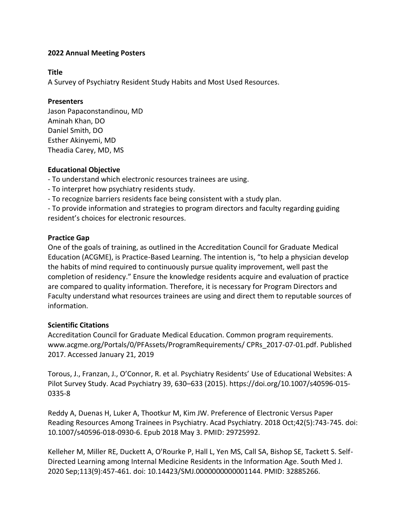#### **Title**

A Survey of Psychiatry Resident Study Habits and Most Used Resources.

#### **Presenters**

Jason Papaconstandinou, MD Aminah Khan, DO Daniel Smith, DO Esther Akinyemi, MD Theadia Carey, MD, MS

### **Educational Objective**

- To understand which electronic resources trainees are using.

- To interpret how psychiatry residents study.
- To recognize barriers residents face being consistent with a study plan.

- To provide information and strategies to program directors and faculty regarding guiding resident's choices for electronic resources.

### **Practice Gap**

One of the goals of training, as outlined in the Accreditation Council for Graduate Medical Education (ACGME), is Practice-Based Learning. The intention is, "to help a physician develop the habits of mind required to continuously pursue quality improvement, well past the completion of residency." Ensure the knowledge residents acquire and evaluation of practice are compared to quality information. Therefore, it is necessary for Program Directors and Faculty understand what resources trainees are using and direct them to reputable sources of information.

#### **Scientific Citations**

Accreditation Council for Graduate Medical Education. Common program requirements. www.acgme.org/Portals/0/PFAssets/ProgramRequirements/ CPRs\_2017-07-01.pdf. Published 2017. Accessed January 21, 2019

Torous, J., Franzan, J., O'Connor, R. et al. Psychiatry Residents' Use of Educational Websites: A Pilot Survey Study. Acad Psychiatry 39, 630–633 (2015). https://doi.org/10.1007/s40596-015- 0335-8

Reddy A, Duenas H, Luker A, Thootkur M, Kim JW. Preference of Electronic Versus Paper Reading Resources Among Trainees in Psychiatry. Acad Psychiatry. 2018 Oct;42(5):743-745. doi: 10.1007/s40596-018-0930-6. Epub 2018 May 3. PMID: 29725992.

Kelleher M, Miller RE, Duckett A, O'Rourke P, Hall L, Yen MS, Call SA, Bishop SE, Tackett S. Self-Directed Learning among Internal Medicine Residents in the Information Age. South Med J. 2020 Sep;113(9):457-461. doi: 10.14423/SMJ.0000000000001144. PMID: 32885266.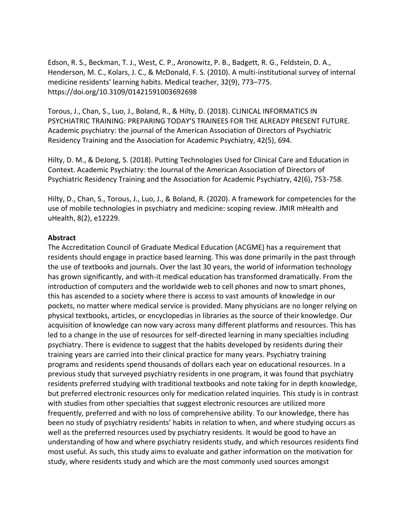Edson, R. S., Beckman, T. J., West, C. P., Aronowitz, P. B., Badgett, R. G., Feldstein, D. A., Henderson, M. C., Kolars, J. C., & McDonald, F. S. (2010). A multi-institutional survey of internal medicine residents' learning habits. Medical teacher, 32(9), 773–775. https://doi.org/10.3109/01421591003692698

Torous, J., Chan, S., Luo, J., Boland, R., & Hilty, D. (2018). CLINICAL INFORMATICS IN PSYCHIATRIC TRAINING: PREPARING TODAY'S TRAINEES FOR THE ALREADY PRESENT FUTURE. Academic psychiatry: the journal of the American Association of Directors of Psychiatric Residency Training and the Association for Academic Psychiatry, 42(5), 694.

Hilty, D. M., & DeJong, S. (2018). Putting Technologies Used for Clinical Care and Education in Context. Academic Psychiatry: the Journal of the American Association of Directors of Psychiatric Residency Training and the Association for Academic Psychiatry, 42(6), 753-758.

Hilty, D., Chan, S., Torous, J., Luo, J., & Boland, R. (2020). A framework for competencies for the use of mobile technologies in psychiatry and medicine: scoping review. JMIR mHealth and uHealth, 8(2), e12229.

#### **Abstract**

The Accreditation Council of Graduate Medical Education (ACGME) has a requirement that residents should engage in practice based learning. This was done primarily in the past through the use of textbooks and journals. Over the last 30 years, the world of information technology has grown significantly, and with-it medical education has transformed dramatically. From the introduction of computers and the worldwide web to cell phones and now to smart phones, this has ascended to a society where there is access to vast amounts of knowledge in our pockets, no matter where medical service is provided. Many physicians are no longer relying on physical textbooks, articles, or encyclopedias in libraries as the source of their knowledge. Our acquisition of knowledge can now vary across many different platforms and resources. This has led to a change in the use of resources for self-directed learning in many specialties including psychiatry. There is evidence to suggest that the habits developed by residents during their training years are carried into their clinical practice for many years. Psychiatry training programs and residents spend thousands of dollars each year on educational resources. In a previous study that surveyed psychiatry residents in one program, it was found that psychiatry residents preferred studying with traditional textbooks and note taking for in depth knowledge, but preferred electronic resources only for medication related inquiries. This study is in contrast with studies from other specialties that suggest electronic resources are utilized more frequently, preferred and with no loss of comprehensive ability. To our knowledge, there has been no study of psychiatry residents' habits in relation to when, and where studying occurs as well as the preferred resources used by psychiatry residents. It would be good to have an understanding of how and where psychiatry residents study, and which resources residents find most useful. As such, this study aims to evaluate and gather information on the motivation for study, where residents study and which are the most commonly used sources amongst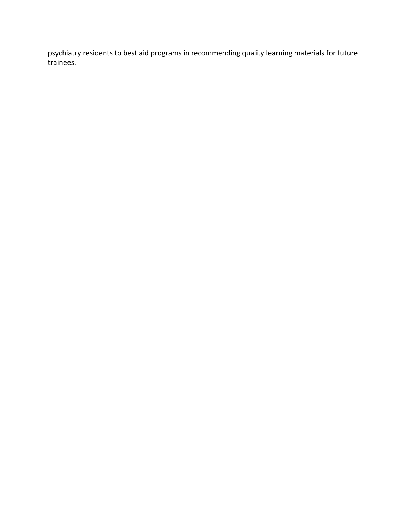psychiatry residents to best aid programs in recommending quality learning materials for future trainees.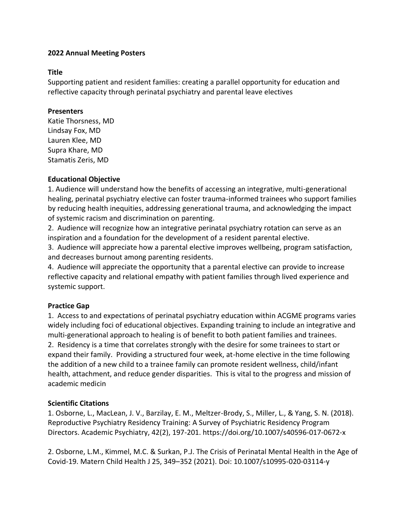### **Title**

Supporting patient and resident families: creating a parallel opportunity for education and reflective capacity through perinatal psychiatry and parental leave electives

### **Presenters**

Katie Thorsness, MD Lindsay Fox, MD Lauren Klee, MD Supra Khare, MD Stamatis Zeris, MD

## **Educational Objective**

1. Audience will understand how the benefits of accessing an integrative, multi-generational healing, perinatal psychiatry elective can foster trauma-informed trainees who support families by reducing health inequities, addressing generational trauma, and acknowledging the impact of systemic racism and discrimination on parenting.

2. Audience will recognize how an integrative perinatal psychiatry rotation can serve as an inspiration and a foundation for the development of a resident parental elective.

3. Audience will appreciate how a parental elective improves wellbeing, program satisfaction, and decreases burnout among parenting residents.

4. Audience will appreciate the opportunity that a parental elective can provide to increase reflective capacity and relational empathy with patient families through lived experience and systemic support.

## **Practice Gap**

1. Access to and expectations of perinatal psychiatry education within ACGME programs varies widely including foci of educational objectives. Expanding training to include an integrative and multi-generational approach to healing is of benefit to both patient families and trainees. 2. Residency is a time that correlates strongly with the desire for some trainees to start or expand their family. Providing a structured four week, at-home elective in the time following the addition of a new child to a trainee family can promote resident wellness, child/infant health, attachment, and reduce gender disparities. This is vital to the progress and mission of academic medicin

## **Scientific Citations**

1. Osborne, L., MacLean, J. V., Barzilay, E. M., Meltzer-Brody, S., Miller, L., & Yang, S. N. (2018). Reproductive Psychiatry Residency Training: A Survey of Psychiatric Residency Program Directors. Academic Psychiatry, 42(2), 197-201. https://doi.org/10.1007/s40596-017-0672-x

2. Osborne, L.M., Kimmel, M.C. & Surkan, P.J. The Crisis of Perinatal Mental Health in the Age of Covid-19. Matern Child Health J 25, 349–352 (2021). Doi: 10.1007/s10995-020-03114-y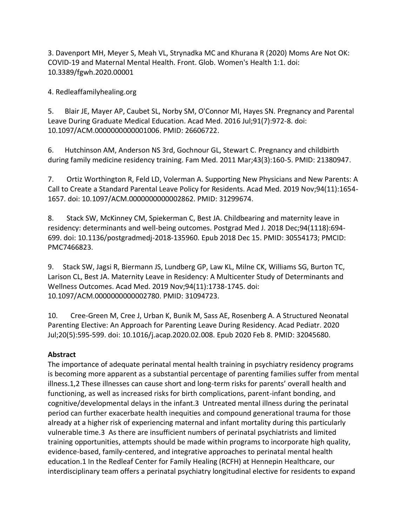3. Davenport MH, Meyer S, Meah VL, Strynadka MC and Khurana R (2020) Moms Are Not OK: COVID-19 and Maternal Mental Health. Front. Glob. Women's Health 1:1. doi: 10.3389/fgwh.2020.00001

4. Redleaffamilyhealing.org

5. Blair JE, Mayer AP, Caubet SL, Norby SM, O'Connor MI, Hayes SN. Pregnancy and Parental Leave During Graduate Medical Education. Acad Med. 2016 Jul;91(7):972-8. doi: 10.1097/ACM.0000000000001006. PMID: 26606722.

6. Hutchinson AM, Anderson NS 3rd, Gochnour GL, Stewart C. Pregnancy and childbirth during family medicine residency training. Fam Med. 2011 Mar;43(3):160-5. PMID: 21380947.

7. Ortiz Worthington R, Feld LD, Volerman A. Supporting New Physicians and New Parents: A Call to Create a Standard Parental Leave Policy for Residents. Acad Med. 2019 Nov;94(11):1654- 1657. doi: 10.1097/ACM.0000000000002862. PMID: 31299674.

8. Stack SW, McKinney CM, Spiekerman C, Best JA. Childbearing and maternity leave in residency: determinants and well-being outcomes. Postgrad Med J. 2018 Dec;94(1118):694- 699. doi: 10.1136/postgradmedj-2018-135960. Epub 2018 Dec 15. PMID: 30554173; PMCID: PMC7466823.

9. Stack SW, Jagsi R, Biermann JS, Lundberg GP, Law KL, Milne CK, Williams SG, Burton TC, Larison CL, Best JA. Maternity Leave in Residency: A Multicenter Study of Determinants and Wellness Outcomes. Acad Med. 2019 Nov;94(11):1738-1745. doi: 10.1097/ACM.0000000000002780. PMID: 31094723.

10. Cree-Green M, Cree J, Urban K, Bunik M, Sass AE, Rosenberg A. A Structured Neonatal Parenting Elective: An Approach for Parenting Leave During Residency. Acad Pediatr. 2020 Jul;20(5):595-599. doi: 10.1016/j.acap.2020.02.008. Epub 2020 Feb 8. PMID: 32045680.

# **Abstract**

The importance of adequate perinatal mental health training in psychiatry residency programs is becoming more apparent as a substantial percentage of parenting families suffer from mental illness.1,2 These illnesses can cause short and long-term risks for parents' overall health and functioning, as well as increased risks for birth complications, parent-infant bonding, and cognitive/developmental delays in the infant.3 Untreated mental illness during the perinatal period can further exacerbate health inequities and compound generational trauma for those already at a higher risk of experiencing maternal and infant mortality during this particularly vulnerable time.3 As there are insufficient numbers of perinatal psychiatrists and limited training opportunities, attempts should be made within programs to incorporate high quality, evidence-based, family-centered, and integrative approaches to perinatal mental health education.1 In the Redleaf Center for Family Healing (RCFH) at Hennepin Healthcare, our interdisciplinary team offers a perinatal psychiatry longitudinal elective for residents to expand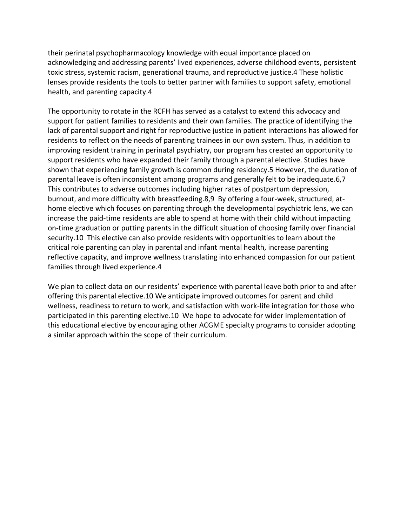their perinatal psychopharmacology knowledge with equal importance placed on acknowledging and addressing parents' lived experiences, adverse childhood events, persistent toxic stress, systemic racism, generational trauma, and reproductive justice.4 These holistic lenses provide residents the tools to better partner with families to support safety, emotional health, and parenting capacity.4

The opportunity to rotate in the RCFH has served as a catalyst to extend this advocacy and support for patient families to residents and their own families. The practice of identifying the lack of parental support and right for reproductive justice in patient interactions has allowed for residents to reflect on the needs of parenting trainees in our own system. Thus, in addition to improving resident training in perinatal psychiatry, our program has created an opportunity to support residents who have expanded their family through a parental elective. Studies have shown that experiencing family growth is common during residency.5 However, the duration of parental leave is often inconsistent among programs and generally felt to be inadequate.6,7 This contributes to adverse outcomes including higher rates of postpartum depression, burnout, and more difficulty with breastfeeding.8,9 By offering a four-week, structured, athome elective which focuses on parenting through the developmental psychiatric lens, we can increase the paid-time residents are able to spend at home with their child without impacting on-time graduation or putting parents in the difficult situation of choosing family over financial security.10 This elective can also provide residents with opportunities to learn about the critical role parenting can play in parental and infant mental health, increase parenting reflective capacity, and improve wellness translating into enhanced compassion for our patient families through lived experience.4

We plan to collect data on our residents' experience with parental leave both prior to and after offering this parental elective.10 We anticipate improved outcomes for parent and child wellness, readiness to return to work, and satisfaction with work-life integration for those who participated in this parenting elective.10 We hope to advocate for wider implementation of this educational elective by encouraging other ACGME specialty programs to consider adopting a similar approach within the scope of their curriculum.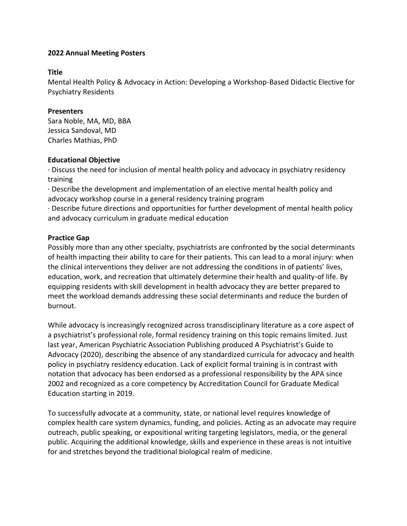### **Title**

Mental Health Policy & Advocacy in Action: Developing a Workshop-Based Didactic Elective for Psychiatry Residents

## **Presenters**

Sara Noble, MA, MD, BBA Jessica Sandoval, MD Charles Mathias, PhD

### **Educational Objective**

· Discuss the need for inclusion of mental health policy and advocacy in psychiatry residency training

· Describe the development and implementation of an elective mental health policy and advocacy workshop course in a general residency training program

· Describe future directions and opportunities for further development of mental health policy and advocacy curriculum in graduate medical education

## **Practice Gap**

Possibly more than any other specialty, psychiatrists are confronted by the social determinants of health impacting their ability to care for their patients. This can lead to a moral injury: when the clinical interventions they deliver are not addressing the conditions in of patients' lives, education, work, and recreation that ultimately determine their health and quality-of life. By equipping residents with skill development in health advocacy they are better prepared to meet the workload demands addressing these social determinants and reduce the burden of burnout.

While advocacy is increasingly recognized across transdisciplinary literature as a core aspect of a psychiatrist's professional role, formal residency training on this topic remains limited. Just last year, American Psychiatric Association Publishing produced A Psychiatrist's Guide to Advocacy (2020), describing the absence of any standardized curricula for advocacy and health policy in psychiatry residency education. Lack of explicit formal training is in contrast with notation that advocacy has been endorsed as a professional responsibility by the APA since 2002 and recognized as a core competency by Accreditation Council for Graduate Medical Education starting in 2019.

To successfully advocate at a community, state, or national level requires knowledge of complex health care system dynamics, funding, and policies. Acting as an advocate may require outreach, public speaking, or expositional writing targeting legislators, media, or the general public. Acquiring the additional knowledge, skills and experience in these areas is not intuitive for and stretches beyond the traditional biological realm of medicine.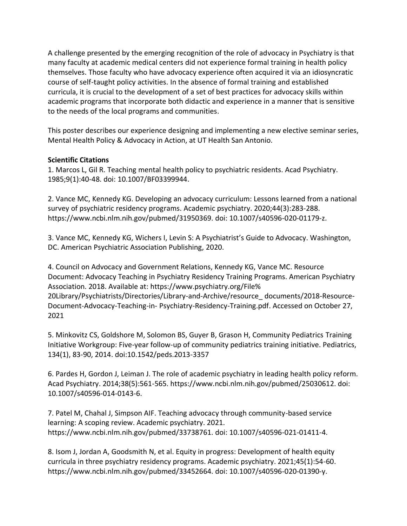A challenge presented by the emerging recognition of the role of advocacy in Psychiatry is that many faculty at academic medical centers did not experience formal training in health policy themselves. Those faculty who have advocacy experience often acquired it via an idiosyncratic course of self-taught policy activities. In the absence of formal training and established curricula, it is crucial to the development of a set of best practices for advocacy skills within academic programs that incorporate both didactic and experience in a manner that is sensitive to the needs of the local programs and communities.

This poster describes our experience designing and implementing a new elective seminar series, Mental Health Policy & Advocacy in Action, at UT Health San Antonio.

### **Scientific Citations**

1. Marcos L, Gil R. Teaching mental health policy to psychiatric residents. Acad Psychiatry. 1985;9(1):40-48. doi: 10.1007/BF03399944.

2. Vance MC, Kennedy KG. Developing an advocacy curriculum: Lessons learned from a national survey of psychiatric residency programs. Academic psychiatry. 2020;44(3):283-288. https://www.ncbi.nlm.nih.gov/pubmed/31950369. doi: 10.1007/s40596-020-01179-z.

3. Vance MC, Kennedy KG, Wichers I, Levin S: A Psychiatrist's Guide to Advocacy. Washington, DC. American Psychiatric Association Publishing, 2020.

4. Council on Advocacy and Government Relations, Kennedy KG, Vance MC. Resource Document: Advocacy Teaching in Psychiatry Residency Training Programs. American Psychiatry Association. 2018. Available at: https://www.psychiatry.org/File% 20Library/Psychiatrists/Directories/Library-and-Archive/resource\_ documents/2018-Resource-Document-Advocacy-Teaching-in- Psychiatry-Residency-Training.pdf. Accessed on October 27, 2021

5. Minkovitz CS, Goldshore M, Solomon BS, Guyer B, Grason H, Community Pediatrics Training Initiative Workgroup: Five-year follow-up of community pediatrics training initiative. Pediatrics, 134(1), 83-90, 2014. doi:10.1542/peds.2013-3357

6. Pardes H, Gordon J, Leiman J. The role of academic psychiatry in leading health policy reform. Acad Psychiatry. 2014;38(5):561-565. https://www.ncbi.nlm.nih.gov/pubmed/25030612. doi: 10.1007/s40596-014-0143-6.

7. Patel M, Chahal J, Simpson AIF. Teaching advocacy through community-based service learning: A scoping review. Academic psychiatry. 2021. https://www.ncbi.nlm.nih.gov/pubmed/33738761. doi: 10.1007/s40596-021-01411-4.

8. Isom J, Jordan A, Goodsmith N, et al. Equity in progress: Development of health equity curricula in three psychiatry residency programs. Academic psychiatry. 2021;45(1):54-60. https://www.ncbi.nlm.nih.gov/pubmed/33452664. doi: 10.1007/s40596-020-01390-y.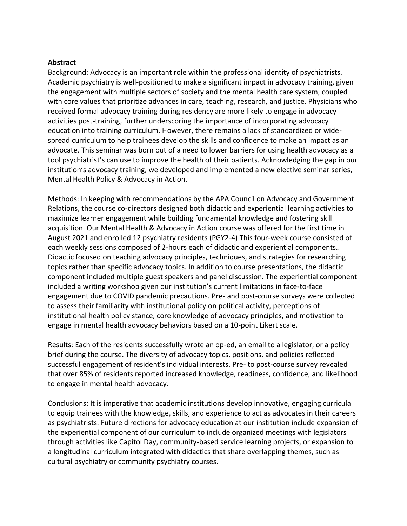#### **Abstract**

Background: Advocacy is an important role within the professional identity of psychiatrists. Academic psychiatry is well-positioned to make a significant impact in advocacy training, given the engagement with multiple sectors of society and the mental health care system, coupled with core values that prioritize advances in care, teaching, research, and justice. Physicians who received formal advocacy training during residency are more likely to engage in advocacy activities post-training, further underscoring the importance of incorporating advocacy education into training curriculum. However, there remains a lack of standardized or widespread curriculum to help trainees develop the skills and confidence to make an impact as an advocate. This seminar was born out of a need to lower barriers for using health advocacy as a tool psychiatrist's can use to improve the health of their patients. Acknowledging the gap in our institution's advocacy training, we developed and implemented a new elective seminar series, Mental Health Policy & Advocacy in Action.

Methods: In keeping with recommendations by the APA Council on Advocacy and Government Relations, the course co-directors designed both didactic and experiential learning activities to maximize learner engagement while building fundamental knowledge and fostering skill acquisition. Our Mental Health & Advocacy in Action course was offered for the first time in August 2021 and enrolled 12 psychiatry residents (PGY2-4) This four-week course consisted of each weekly sessions composed of 2-hours each of didactic and experiential components.. Didactic focused on teaching advocacy principles, techniques, and strategies for researching topics rather than specific advocacy topics. In addition to course presentations, the didactic component included multiple guest speakers and panel discussion. The experiential component included a writing workshop given our institution's current limitations in face-to-face engagement due to COVID pandemic precautions. Pre- and post-course surveys were collected to assess their familiarity with institutional policy on political activity, perceptions of institutional health policy stance, core knowledge of advocacy principles, and motivation to engage in mental health advocacy behaviors based on a 10-point Likert scale.

Results: Each of the residents successfully wrote an op-ed, an email to a legislator, or a policy brief during the course. The diversity of advocacy topics, positions, and policies reflected successful engagement of resident's individual interests. Pre- to post-course survey revealed that over 85% of residents reported increased knowledge, readiness, confidence, and likelihood to engage in mental health advocacy.

Conclusions: It is imperative that academic institutions develop innovative, engaging curricula to equip trainees with the knowledge, skills, and experience to act as advocates in their careers as psychiatrists. Future directions for advocacy education at our institution include expansion of the experiential component of our curriculum to include organized meetings with legislators through activities like Capitol Day, community-based service learning projects, or expansion to a longitudinal curriculum integrated with didactics that share overlapping themes, such as cultural psychiatry or community psychiatry courses.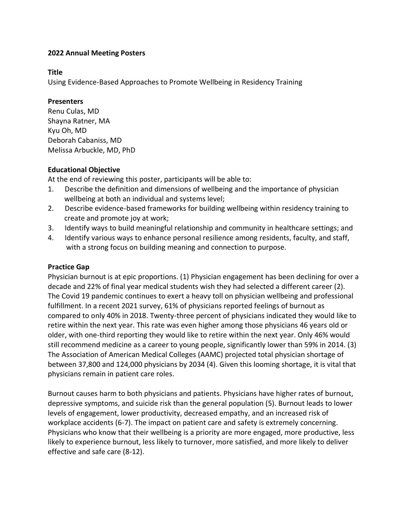### **Title**

Using Evidence-Based Approaches to Promote Wellbeing in Residency Training

### **Presenters**

Renu Culas, MD Shayna Ratner, MA Kyu Oh, MD Deborah Cabaniss, MD Melissa Arbuckle, MD, PhD

## **Educational Objective**

At the end of reviewing this poster, participants will be able to:

- 1. Describe the definition and dimensions of wellbeing and the importance of physician wellbeing at both an individual and systems level;
- 2. Describe evidence-based frameworks for building wellbeing within residency training to create and promote joy at work;
- 3. Identify ways to build meaningful relationship and community in healthcare settings; and
- 4. Identify various ways to enhance personal resilience among residents, faculty, and staff, with a strong focus on building meaning and connection to purpose.

## **Practice Gap**

Physician burnout is at epic proportions. (1) Physician engagement has been declining for over a decade and 22% of final year medical students wish they had selected a different career (2). The Covid 19 pandemic continues to exert a heavy toll on physician wellbeing and professional fulfillment. In a recent 2021 survey, 61% of physicians reported feelings of burnout as compared to only 40% in 2018. Twenty-three percent of physicians indicated they would like to retire within the next year. This rate was even higher among those physicians 46 years old or older, with one-third reporting they would like to retire within the next year. Only 46% would still recommend medicine as a career to young people, significantly lower than 59% in 2014. (3) The Association of American Medical Colleges (AAMC) projected total physician shortage of between 37,800 and 124,000 physicians by 2034 (4). Given this looming shortage, it is vital that physicians remain in patient care roles.

Burnout causes harm to both physicians and patients. Physicians have higher rates of burnout, depressive symptoms, and suicide risk than the general population (5). Burnout leads to lower levels of engagement, lower productivity, decreased empathy, and an increased risk of workplace accidents (6-7). The impact on patient care and safety is extremely concerning. Physicians who know that their wellbeing is a priority are more engaged, more productive, less likely to experience burnout, less likely to turnover, more satisfied, and more likely to deliver effective and safe care (8-12).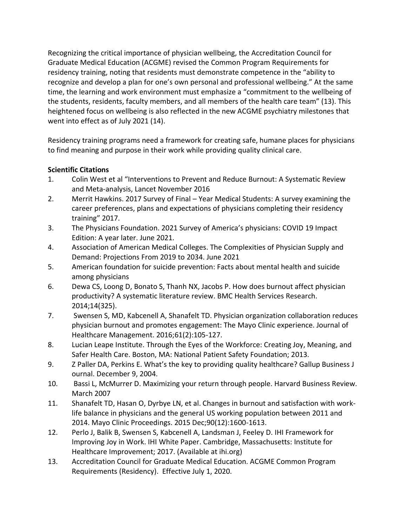Recognizing the critical importance of physician wellbeing, the Accreditation Council for Graduate Medical Education (ACGME) revised the Common Program Requirements for residency training, noting that residents must demonstrate competence in the "ability to recognize and develop a plan for one's own personal and professional wellbeing." At the same time, the learning and work environment must emphasize a "commitment to the wellbeing of the students, residents, faculty members, and all members of the health care team" (13). This heightened focus on wellbeing is also reflected in the new ACGME psychiatry milestones that went into effect as of July 2021 (14).

Residency training programs need a framework for creating safe, humane places for physicians to find meaning and purpose in their work while providing quality clinical care.

# **Scientific Citations**

- 1. Colin West et al "Interventions to Prevent and Reduce Burnout: A Systematic Review and Meta-analysis, Lancet November 2016
- 2. Merrit Hawkins. 2017 Survey of Final Year Medical Students: A survey examining the career preferences, plans and expectations of physicians completing their residency training" 2017.
- 3. The Physicians Foundation. 2021 Survey of America's physicians: COVID 19 Impact Edition: A year later. June 2021.
- 4. Association of American Medical Colleges. The Complexities of Physician Supply and Demand: Projections From 2019 to 2034. June 2021
- 5. American foundation for suicide prevention: Facts about mental health and suicide among physicians
- 6. Dewa CS, Loong D, Bonato S, Thanh NX, Jacobs P. How does burnout affect physician productivity? A systematic literature review. BMC Health Services Research. 2014;14(325).
- 7. Swensen S, MD, Kabcenell A, Shanafelt TD. Physician organization collaboration reduces physician burnout and promotes engagement: The Mayo Clinic experience. Journal of Healthcare Management. 2016;61(2):105-127.
- 8. Lucian Leape Institute. Through the Eyes of the Workforce: Creating Joy, Meaning, and Safer Health Care. Boston, MA: National Patient Safety Foundation; 2013.
- 9. Z Paller DA, Perkins E. What's the key to providing quality healthcare? Gallup Business J ournal. December 9, 2004.
- 10. Bassi L, McMurrer D. Maximizing your return through people. Harvard Business Review. March 2007
- 11. Shanafelt TD, Hasan O, Dyrbye LN, et al. Changes in burnout and satisfaction with worklife balance in physicians and the general US working population between 2011 and 2014. Mayo Clinic Proceedings. 2015 Dec;90(12):1600-1613.
- 12. Perlo J, Balik B, Swensen S, Kabcenell A, Landsman J, Feeley D. IHI Framework for Improving Joy in Work. IHI White Paper. Cambridge, Massachusetts: Institute for Healthcare Improvement; 2017. (Available at ihi.org)
- 13. Accreditation Council for Graduate Medical Education. ACGME Common Program Requirements (Residency). Effective July 1, 2020.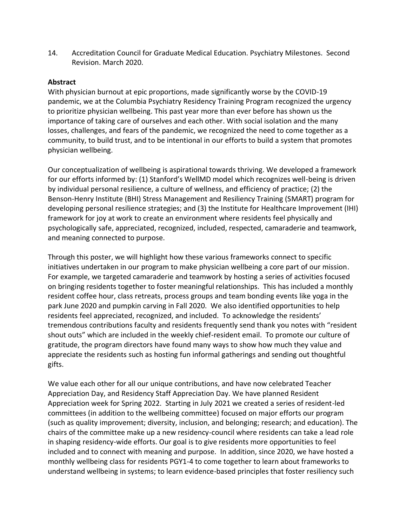14. Accreditation Council for Graduate Medical Education. Psychiatry Milestones. Second Revision. March 2020.

### **Abstract**

With physician burnout at epic proportions, made significantly worse by the COVID-19 pandemic, we at the Columbia Psychiatry Residency Training Program recognized the urgency to prioritize physician wellbeing. This past year more than ever before has shown us the importance of taking care of ourselves and each other. With social isolation and the many losses, challenges, and fears of the pandemic, we recognized the need to come together as a community, to build trust, and to be intentional in our efforts to build a system that promotes physician wellbeing.

Our conceptualization of wellbeing is aspirational towards thriving. We developed a framework for our efforts informed by: (1) Stanford's WellMD model which recognizes well-being is driven by individual personal resilience, a culture of wellness, and efficiency of practice; (2) the Benson-Henry Institute (BHI) Stress Management and Resiliency Training (SMART) program for developing personal resilience strategies; and (3) the Institute for Healthcare Improvement (IHI) framework for joy at work to create an environment where residents feel physically and psychologically safe, appreciated, recognized, included, respected, camaraderie and teamwork, and meaning connected to purpose.

Through this poster, we will highlight how these various frameworks connect to specific initiatives undertaken in our program to make physician wellbeing a core part of our mission. For example, we targeted camaraderie and teamwork by hosting a series of activities focused on bringing residents together to foster meaningful relationships. This has included a monthly resident coffee hour, class retreats, process groups and team bonding events like yoga in the park June 2020 and pumpkin carving in Fall 2020. We also identified opportunities to help residents feel appreciated, recognized, and included. To acknowledge the residents' tremendous contributions faculty and residents frequently send thank you notes with "resident shout outs" which are included in the weekly chief-resident email. To promote our culture of gratitude, the program directors have found many ways to show how much they value and appreciate the residents such as hosting fun informal gatherings and sending out thoughtful gifts.

We value each other for all our unique contributions, and have now celebrated Teacher Appreciation Day, and Residency Staff Appreciation Day. We have planned Resident Appreciation week for Spring 2022. Starting in July 2021 we created a series of resident-led committees (in addition to the wellbeing committee) focused on major efforts our program (such as quality improvement; diversity, inclusion, and belonging; research; and education). The chairs of the committee make up a new residency-council where residents can take a lead role in shaping residency-wide efforts. Our goal is to give residents more opportunities to feel included and to connect with meaning and purpose. In addition, since 2020, we have hosted a monthly wellbeing class for residents PGY1-4 to come together to learn about frameworks to understand wellbeing in systems; to learn evidence-based principles that foster resiliency such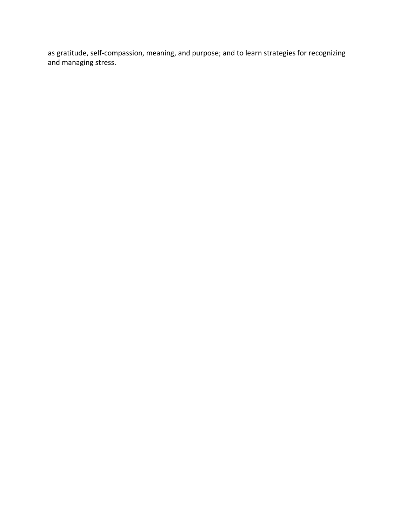as gratitude, self-compassion, meaning, and purpose; and to learn strategies for recognizing and managing stress.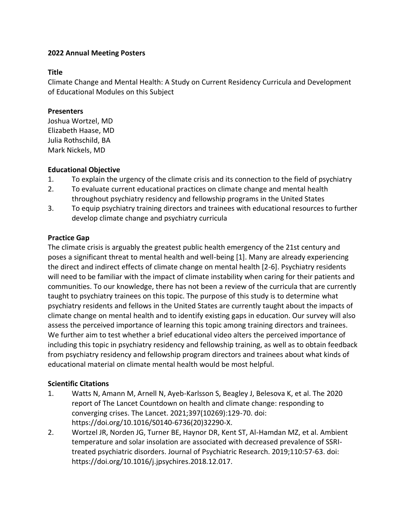#### **Title**

Climate Change and Mental Health: A Study on Current Residency Curricula and Development of Educational Modules on this Subject

### **Presenters**

Joshua Wortzel, MD Elizabeth Haase, MD Julia Rothschild, BA Mark Nickels, MD

### **Educational Objective**

- 1. To explain the urgency of the climate crisis and its connection to the field of psychiatry
- 2. To evaluate current educational practices on climate change and mental health throughout psychiatry residency and fellowship programs in the United States
- 3. To equip psychiatry training directors and trainees with educational resources to further develop climate change and psychiatry curricula

# **Practice Gap**

The climate crisis is arguably the greatest public health emergency of the 21st century and poses a significant threat to mental health and well-being [1]. Many are already experiencing the direct and indirect effects of climate change on mental health [2-6]. Psychiatry residents will need to be familiar with the impact of climate instability when caring for their patients and communities. To our knowledge, there has not been a review of the curricula that are currently taught to psychiatry trainees on this topic. The purpose of this study is to determine what psychiatry residents and fellows in the United States are currently taught about the impacts of climate change on mental health and to identify existing gaps in education. Our survey will also assess the perceived importance of learning this topic among training directors and trainees. We further aim to test whether a brief educational video alters the perceived importance of including this topic in psychiatry residency and fellowship training, as well as to obtain feedback from psychiatry residency and fellowship program directors and trainees about what kinds of educational material on climate mental health would be most helpful.

# **Scientific Citations**

- 1. Watts N, Amann M, Arnell N, Ayeb-Karlsson S, Beagley J, Belesova K, et al. The 2020 report of The Lancet Countdown on health and climate change: responding to converging crises. The Lancet. 2021;397(10269):129-70. doi: https://doi.org/10.1016/S0140-6736(20)32290-X.
- 2. Wortzel JR, Norden JG, Turner BE, Haynor DR, Kent ST, Al-Hamdan MZ, et al. Ambient temperature and solar insolation are associated with decreased prevalence of SSRItreated psychiatric disorders. Journal of Psychiatric Research. 2019;110:57-63. doi: https://doi.org/10.1016/j.jpsychires.2018.12.017.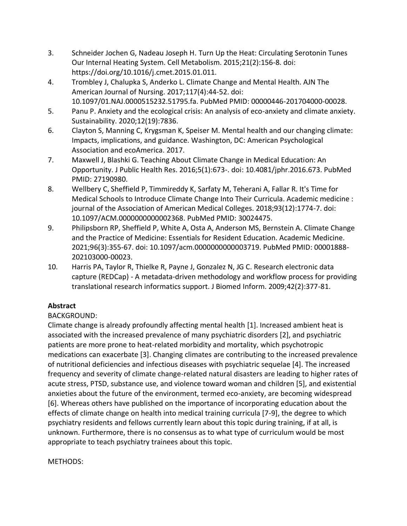- 3. Schneider Jochen G, Nadeau Joseph H. Turn Up the Heat: Circulating Serotonin Tunes Our Internal Heating System. Cell Metabolism. 2015;21(2):156-8. doi: https://doi.org/10.1016/j.cmet.2015.01.011.
- 4. Trombley J, Chalupka S, Anderko L. Climate Change and Mental Health. AJN The American Journal of Nursing. 2017;117(4):44-52. doi: 10.1097/01.NAJ.0000515232.51795.fa. PubMed PMID: 00000446-201704000-00028.
- 5. Panu P. Anxiety and the ecological crisis: An analysis of eco-anxiety and climate anxiety. Sustainability. 2020;12(19):7836.
- 6. Clayton S, Manning C, Krygsman K, Speiser M. Mental health and our changing climate: Impacts, implications, and guidance. Washington, DC: American Psychological Association and ecoAmerica. 2017.
- 7. Maxwell J, Blashki G. Teaching About Climate Change in Medical Education: An Opportunity. J Public Health Res. 2016;5(1):673-. doi: 10.4081/jphr.2016.673. PubMed PMID: 27190980.
- 8. Wellbery C, Sheffield P, Timmireddy K, Sarfaty M, Teherani A, Fallar R. It's Time for Medical Schools to Introduce Climate Change Into Their Curricula. Academic medicine : journal of the Association of American Medical Colleges. 2018;93(12):1774-7. doi: 10.1097/ACM.0000000000002368. PubMed PMID: 30024475.
- 9. Philipsborn RP, Sheffield P, White A, Osta A, Anderson MS, Bernstein A. Climate Change and the Practice of Medicine: Essentials for Resident Education. Academic Medicine. 2021;96(3):355-67. doi: 10.1097/acm.0000000000003719. PubMed PMID: 00001888- 202103000-00023.
- 10. Harris PA, Taylor R, Thielke R, Payne J, Gonzalez N, JG C. Research electronic data capture (REDCap) - A metadata-driven methodology and workflow process for providing translational research informatics support. J Biomed Inform. 2009;42(2):377-81.

# **Abstract**

# BACKGROUND:

Climate change is already profoundly affecting mental health [1]. Increased ambient heat is associated with the increased prevalence of many psychiatric disorders [2], and psychiatric patients are more prone to heat-related morbidity and mortality, which psychotropic medications can exacerbate [3]. Changing climates are contributing to the increased prevalence of nutritional deficiencies and infectious diseases with psychiatric sequelae [4]. The increased frequency and severity of climate change-related natural disasters are leading to higher rates of acute stress, PTSD, substance use, and violence toward woman and children [5], and existential anxieties about the future of the environment, termed eco-anxiety, are becoming widespread [6]. Whereas others have published on the importance of incorporating education about the effects of climate change on health into medical training curricula [7-9], the degree to which psychiatry residents and fellows currently learn about this topic during training, if at all, is unknown. Furthermore, there is no consensus as to what type of curriculum would be most appropriate to teach psychiatry trainees about this topic.

METHODS: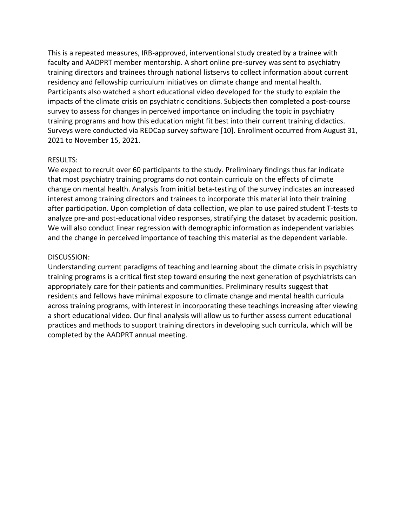This is a repeated measures, IRB-approved, interventional study created by a trainee with faculty and AADPRT member mentorship. A short online pre-survey was sent to psychiatry training directors and trainees through national listservs to collect information about current residency and fellowship curriculum initiatives on climate change and mental health. Participants also watched a short educational video developed for the study to explain the impacts of the climate crisis on psychiatric conditions. Subjects then completed a post-course survey to assess for changes in perceived importance on including the topic in psychiatry training programs and how this education might fit best into their current training didactics. Surveys were conducted via REDCap survey software [10]. Enrollment occurred from August 31, 2021 to November 15, 2021.

#### RESULTS:

We expect to recruit over 60 participants to the study. Preliminary findings thus far indicate that most psychiatry training programs do not contain curricula on the effects of climate change on mental health. Analysis from initial beta-testing of the survey indicates an increased interest among training directors and trainees to incorporate this material into their training after participation. Upon completion of data collection, we plan to use paired student T-tests to analyze pre-and post-educational video responses, stratifying the dataset by academic position. We will also conduct linear regression with demographic information as independent variables and the change in perceived importance of teaching this material as the dependent variable.

#### DISCUSSION:

Understanding current paradigms of teaching and learning about the climate crisis in psychiatry training programs is a critical first step toward ensuring the next generation of psychiatrists can appropriately care for their patients and communities. Preliminary results suggest that residents and fellows have minimal exposure to climate change and mental health curricula across training programs, with interest in incorporating these teachings increasing after viewing a short educational video. Our final analysis will allow us to further assess current educational practices and methods to support training directors in developing such curricula, which will be completed by the AADPRT annual meeting.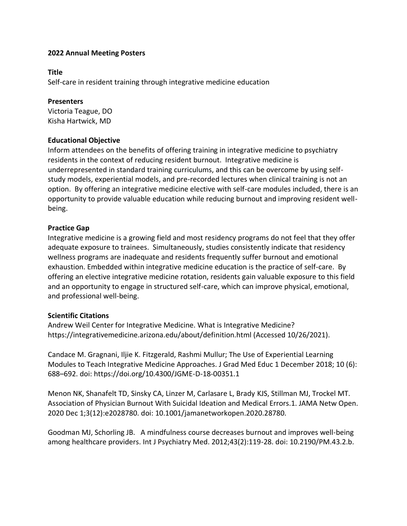#### **Title**

Self-care in resident training through integrative medicine education

### **Presenters**

Victoria Teague, DO Kisha Hartwick, MD

### **Educational Objective**

Inform attendees on the benefits of offering training in integrative medicine to psychiatry residents in the context of reducing resident burnout. Integrative medicine is underrepresented in standard training curriculums, and this can be overcome by using selfstudy models, experiential models, and pre-recorded lectures when clinical training is not an option. By offering an integrative medicine elective with self-care modules included, there is an opportunity to provide valuable education while reducing burnout and improving resident wellbeing.

### **Practice Gap**

Integrative medicine is a growing field and most residency programs do not feel that they offer adequate exposure to trainees. Simultaneously, studies consistently indicate that residency wellness programs are inadequate and residents frequently suffer burnout and emotional exhaustion. Embedded within integrative medicine education is the practice of self-care. By offering an elective integrative medicine rotation, residents gain valuable exposure to this field and an opportunity to engage in structured self-care, which can improve physical, emotional, and professional well-being.

# **Scientific Citations**

Andrew Weil Center for Integrative Medicine. What is Integrative Medicine? https://integrativemedicine.arizona.edu/about/definition.html (Accessed 10/26/2021).

Candace M. Gragnani, Iljie K. Fitzgerald, Rashmi Mullur; The Use of Experiential Learning Modules to Teach Integrative Medicine Approaches. J Grad Med Educ 1 December 2018; 10 (6): 688–692. doi: https://doi.org/10.4300/JGME-D-18-00351.1

Menon NK, Shanafelt TD, Sinsky CA, Linzer M, Carlasare L, Brady KJS, Stillman MJ, Trockel MT. Association of Physician Burnout With Suicidal Ideation and Medical Errors.1. JAMA Netw Open. 2020 Dec 1;3(12):e2028780. doi: 10.1001/jamanetworkopen.2020.28780.

Goodman MJ, Schorling JB. A mindfulness course decreases burnout and improves well-being among healthcare providers. Int J Psychiatry Med. 2012;43(2):119-28. doi: 10.2190/PM.43.2.b.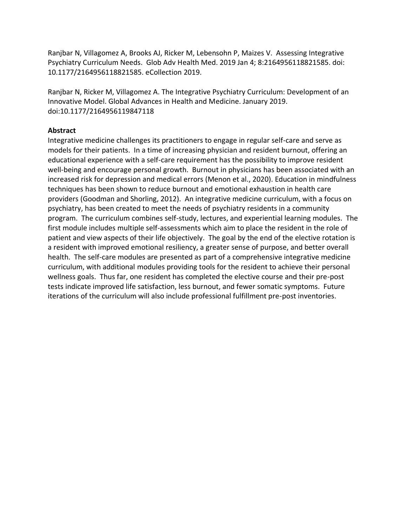Ranjbar N, Villagomez A, Brooks AJ, Ricker M, Lebensohn P, Maizes V. Assessing Integrative Psychiatry Curriculum Needs. Glob Adv Health Med. 2019 Jan 4; 8:2164956118821585. doi: 10.1177/2164956118821585. eCollection 2019.

Ranjbar N, Ricker M, Villagomez A. The Integrative Psychiatry Curriculum: Development of an Innovative Model. Global Advances in Health and Medicine. January 2019. doi:10.1177/2164956119847118

### **Abstract**

Integrative medicine challenges its practitioners to engage in regular self-care and serve as models for their patients. In a time of increasing physician and resident burnout, offering an educational experience with a self-care requirement has the possibility to improve resident well-being and encourage personal growth. Burnout in physicians has been associated with an increased risk for depression and medical errors (Menon et al., 2020). Education in mindfulness techniques has been shown to reduce burnout and emotional exhaustion in health care providers (Goodman and Shorling, 2012). An integrative medicine curriculum, with a focus on psychiatry, has been created to meet the needs of psychiatry residents in a community program. The curriculum combines self-study, lectures, and experiential learning modules. The first module includes multiple self-assessments which aim to place the resident in the role of patient and view aspects of their life objectively. The goal by the end of the elective rotation is a resident with improved emotional resiliency, a greater sense of purpose, and better overall health. The self-care modules are presented as part of a comprehensive integrative medicine curriculum, with additional modules providing tools for the resident to achieve their personal wellness goals. Thus far, one resident has completed the elective course and their pre-post tests indicate improved life satisfaction, less burnout, and fewer somatic symptoms. Future iterations of the curriculum will also include professional fulfillment pre-post inventories.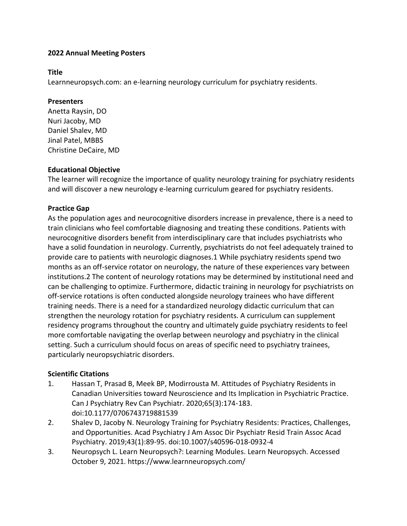#### **Title**

Learnneuropsych.com: an e-learning neurology curriculum for psychiatry residents.

#### **Presenters**

Anetta Raysin, DO Nuri Jacoby, MD Daniel Shalev, MD Jinal Patel, MBBS Christine DeCaire, MD

# **Educational Objective**

The learner will recognize the importance of quality neurology training for psychiatry residents and will discover a new neurology e-learning curriculum geared for psychiatry residents.

# **Practice Gap**

As the population ages and neurocognitive disorders increase in prevalence, there is a need to train clinicians who feel comfortable diagnosing and treating these conditions. Patients with neurocognitive disorders benefit from interdisciplinary care that includes psychiatrists who have a solid foundation in neurology. Currently, psychiatrists do not feel adequately trained to provide care to patients with neurologic diagnoses.1 While psychiatry residents spend two months as an off-service rotator on neurology, the nature of these experiences vary between institutions.2 The content of neurology rotations may be determined by institutional need and can be challenging to optimize. Furthermore, didactic training in neurology for psychiatrists on off-service rotations is often conducted alongside neurology trainees who have different training needs. There is a need for a standardized neurology didactic curriculum that can strengthen the neurology rotation for psychiatry residents. A curriculum can supplement residency programs throughout the country and ultimately guide psychiatry residents to feel more comfortable navigating the overlap between neurology and psychiatry in the clinical setting. Such a curriculum should focus on areas of specific need to psychiatry trainees, particularly neuropsychiatric disorders.

# **Scientific Citations**

- 1. Hassan T, Prasad B, Meek BP, Modirrousta M. Attitudes of Psychiatry Residents in Canadian Universities toward Neuroscience and Its Implication in Psychiatric Practice. Can J Psychiatry Rev Can Psychiatr. 2020;65(3):174-183. doi:10.1177/0706743719881539
- 2. Shalev D, Jacoby N. Neurology Training for Psychiatry Residents: Practices, Challenges, and Opportunities. Acad Psychiatry J Am Assoc Dir Psychiatr Resid Train Assoc Acad Psychiatry. 2019;43(1):89-95. doi:10.1007/s40596-018-0932-4
- 3. Neuropsych L. Learn Neuropsych?: Learning Modules. Learn Neuropsych. Accessed October 9, 2021. https://www.learnneuropsych.com/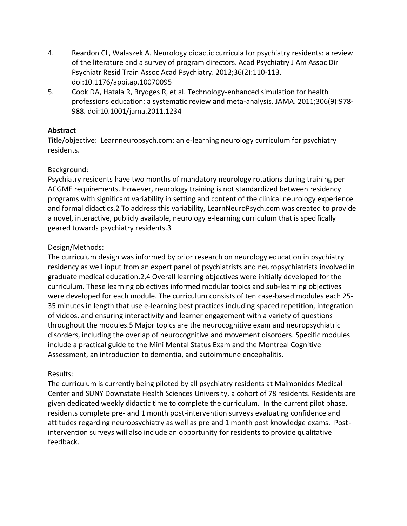- 4. Reardon CL, Walaszek A. Neurology didactic curricula for psychiatry residents: a review of the literature and a survey of program directors. Acad Psychiatry J Am Assoc Dir Psychiatr Resid Train Assoc Acad Psychiatry. 2012;36(2):110-113. doi:10.1176/appi.ap.10070095
- 5. Cook DA, Hatala R, Brydges R, et al. Technology-enhanced simulation for health professions education: a systematic review and meta-analysis. JAMA. 2011;306(9):978- 988. doi:10.1001/jama.2011.1234

# **Abstract**

Title/objective: Learnneuropsych.com: an e-learning neurology curriculum for psychiatry residents.

# Background:

Psychiatry residents have two months of mandatory neurology rotations during training per ACGME requirements. However, neurology training is not standardized between residency programs with significant variability in setting and content of the clinical neurology experience and formal didactics.2 To address this variability, LearnNeuroPsych.com was created to provide a novel, interactive, publicly available, neurology e-learning curriculum that is specifically geared towards psychiatry residents.3

# Design/Methods:

The curriculum design was informed by prior research on neurology education in psychiatry residency as well input from an expert panel of psychiatrists and neuropsychiatrists involved in graduate medical education.2,4 Overall learning objectives were initially developed for the curriculum. These learning objectives informed modular topics and sub-learning objectives were developed for each module. The curriculum consists of ten case-based modules each 25- 35 minutes in length that use e-learning best practices including spaced repetition, integration of videos, and ensuring interactivity and learner engagement with a variety of questions throughout the modules.5 Major topics are the neurocognitive exam and neuropsychiatric disorders, including the overlap of neurocognitive and movement disorders. Specific modules include a practical guide to the Mini Mental Status Exam and the Montreal Cognitive Assessment, an introduction to dementia, and autoimmune encephalitis.

# Results:

The curriculum is currently being piloted by all psychiatry residents at Maimonides Medical Center and SUNY Downstate Health Sciences University, a cohort of 78 residents. Residents are given dedicated weekly didactic time to complete the curriculum. In the current pilot phase, residents complete pre- and 1 month post-intervention surveys evaluating confidence and attitudes regarding neuropsychiatry as well as pre and 1 month post knowledge exams. Postintervention surveys will also include an opportunity for residents to provide qualitative feedback.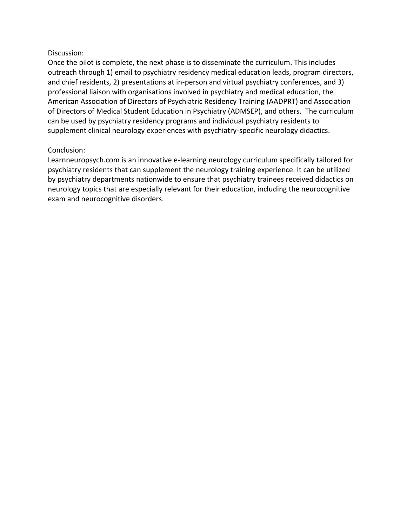#### Discussion:

Once the pilot is complete, the next phase is to disseminate the curriculum. This includes outreach through 1) email to psychiatry residency medical education leads, program directors, and chief residents, 2) presentations at in-person and virtual psychiatry conferences, and 3) professional liaison with organisations involved in psychiatry and medical education, the American Association of Directors of Psychiatric Residency Training (AADPRT) and Association of Directors of Medical Student Education in Psychiatry (ADMSEP), and others. The curriculum can be used by psychiatry residency programs and individual psychiatry residents to supplement clinical neurology experiences with psychiatry-specific neurology didactics.

#### Conclusion:

Learnneuropsych.com is an innovative e-learning neurology curriculum specifically tailored for psychiatry residents that can supplement the neurology training experience. It can be utilized by psychiatry departments nationwide to ensure that psychiatry trainees received didactics on neurology topics that are especially relevant for their education, including the neurocognitive exam and neurocognitive disorders.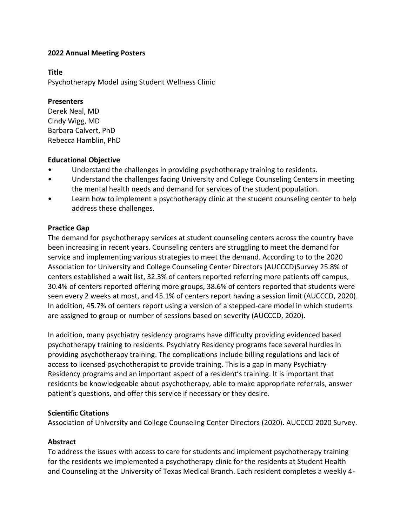#### **Title**

Psychotherapy Model using Student Wellness Clinic

#### **Presenters**

Derek Neal, MD Cindy Wigg, MD Barbara Calvert, PhD Rebecca Hamblin, PhD

#### **Educational Objective**

- Understand the challenges in providing psychotherapy training to residents.
- Understand the challenges facing University and College Counseling Centers in meeting the mental health needs and demand for services of the student population.
- Learn how to implement a psychotherapy clinic at the student counseling center to help address these challenges.

### **Practice Gap**

The demand for psychotherapy services at student counseling centers across the country have been increasing in recent years. Counseling centers are struggling to meet the demand for service and implementing various strategies to meet the demand. According to to the 2020 Association for University and College Counseling Center Directors (AUCCCD)Survey 25.8% of centers established a wait list, 32.3% of centers reported referring more patients off campus, 30.4% of centers reported offering more groups, 38.6% of centers reported that students were seen every 2 weeks at most, and 45.1% of centers report having a session limit (AUCCCD, 2020). In addition, 45.7% of centers report using a version of a stepped-care model in which students are assigned to group or number of sessions based on severity (AUCCCD, 2020).

In addition, many psychiatry residency programs have difficulty providing evidenced based psychotherapy training to residents. Psychiatry Residency programs face several hurdles in providing psychotherapy training. The complications include billing regulations and lack of access to licensed psychotherapist to provide training. This is a gap in many Psychiatry Residency programs and an important aspect of a resident's training. It is important that residents be knowledgeable about psychotherapy, able to make appropriate referrals, answer patient's questions, and offer this service if necessary or they desire.

#### **Scientific Citations**

Association of University and College Counseling Center Directors (2020). AUCCCD 2020 Survey.

#### **Abstract**

To address the issues with access to care for students and implement psychotherapy training for the residents we implemented a psychotherapy clinic for the residents at Student Health and Counseling at the University of Texas Medical Branch. Each resident completes a weekly 4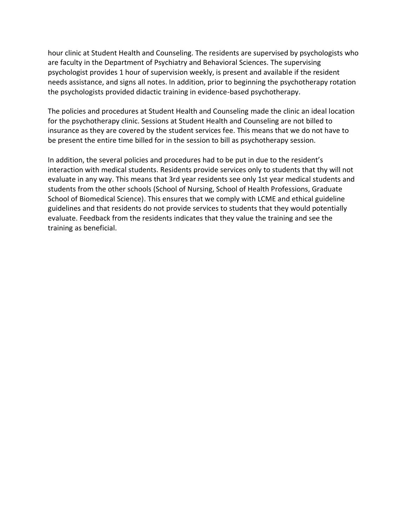hour clinic at Student Health and Counseling. The residents are supervised by psychologists who are faculty in the Department of Psychiatry and Behavioral Sciences. The supervising psychologist provides 1 hour of supervision weekly, is present and available if the resident needs assistance, and signs all notes. In addition, prior to beginning the psychotherapy rotation the psychologists provided didactic training in evidence-based psychotherapy.

The policies and procedures at Student Health and Counseling made the clinic an ideal location for the psychotherapy clinic. Sessions at Student Health and Counseling are not billed to insurance as they are covered by the student services fee. This means that we do not have to be present the entire time billed for in the session to bill as psychotherapy session.

In addition, the several policies and procedures had to be put in due to the resident's interaction with medical students. Residents provide services only to students that thy will not evaluate in any way. This means that 3rd year residents see only 1st year medical students and students from the other schools (School of Nursing, School of Health Professions, Graduate School of Biomedical Science). This ensures that we comply with LCME and ethical guideline guidelines and that residents do not provide services to students that they would potentially evaluate. Feedback from the residents indicates that they value the training and see the training as beneficial.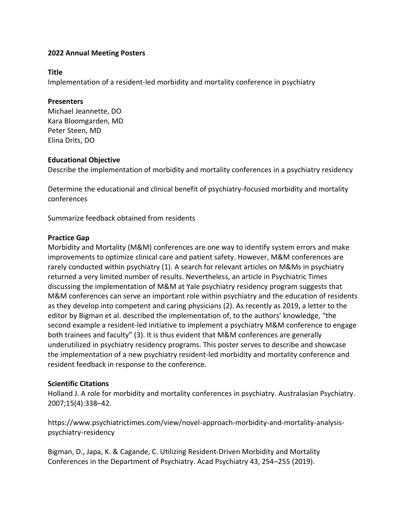#### **Title**

Implementation of a resident-led morbidity and mortality conference in psychiatry

#### **Presenters**

Michael Jeannette, DO Kara Bloomgarden, MD Peter Steen, MD Elina Drits, DO

#### **Educational Objective**

Describe the implementation of morbidity and mortality conferences in a psychiatry residency

Determine the educational and clinical benefit of psychiatry-focused morbidity and mortality conferences

Summarize feedback obtained from residents

### **Practice Gap**

Morbidity and Mortality (M&M) conferences are one way to identify system errors and make improvements to optimize clinical care and patient safety. However, M&M conferences are rarely conducted within psychiatry (1). A search for relevant articles on M&Ms in psychiatry returned a very limited number of results. Nevertheless, an article in Psychiatric Times discussing the implementation of M&M at Yale psychiatry residency program suggests that M&M conferences can serve an important role within psychiatry and the education of residents as they develop into competent and caring physicians (2). As recently as 2019, a letter to the editor by Bigman et al. described the implementation of, to the authors' knowledge, "the second example a resident-led initiative to implement a psychiatry M&M conference to engage both trainees and faculty" (3). It is thus evident that M&M conferences are generally underutilized in psychiatry residency programs. This poster serves to describe and showcase the implementation of a new psychiatry resident-led morbidity and mortality conference and resident feedback in response to the conference.

#### **Scientific Citations**

Holland J. A role for morbidity and mortality conferences in psychiatry. Australasian Psychiatry. 2007;15(4):338–42.

https://www.psychiatrictimes.com/view/novel-approach-morbidity-and-mortality-analysispsychiatry-residency

Bigman, D., Japa, K. & Cagande, C. Utilizing Resident-Driven Morbidity and Mortality Conferences in the Department of Psychiatry. Acad Psychiatry 43, 254–255 (2019).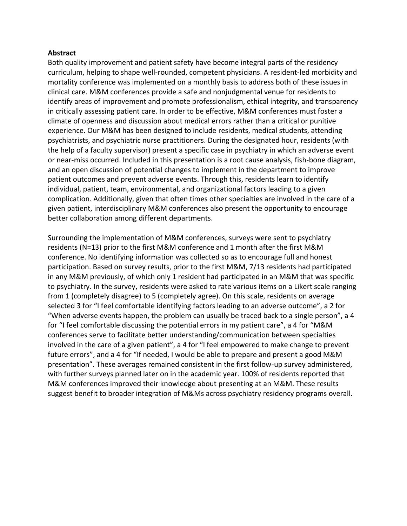#### **Abstract**

Both quality improvement and patient safety have become integral parts of the residency curriculum, helping to shape well-rounded, competent physicians. A resident-led morbidity and mortality conference was implemented on a monthly basis to address both of these issues in clinical care. M&M conferences provide a safe and nonjudgmental venue for residents to identify areas of improvement and promote professionalism, ethical integrity, and transparency in critically assessing patient care. In order to be effective, M&M conferences must foster a climate of openness and discussion about medical errors rather than a critical or punitive experience. Our M&M has been designed to include residents, medical students, attending psychiatrists, and psychiatric nurse practitioners. During the designated hour, residents (with the help of a faculty supervisor) present a specific case in psychiatry in which an adverse event or near-miss occurred. Included in this presentation is a root cause analysis, fish-bone diagram, and an open discussion of potential changes to implement in the department to improve patient outcomes and prevent adverse events. Through this, residents learn to identify individual, patient, team, environmental, and organizational factors leading to a given complication. Additionally, given that often times other specialties are involved in the care of a given patient, interdisciplinary M&M conferences also present the opportunity to encourage better collaboration among different departments.

Surrounding the implementation of M&M conferences, surveys were sent to psychiatry residents (N=13) prior to the first M&M conference and 1 month after the first M&M conference. No identifying information was collected so as to encourage full and honest participation. Based on survey results, prior to the first M&M, 7/13 residents had participated in any M&M previously, of which only 1 resident had participated in an M&M that was specific to psychiatry. In the survey, residents were asked to rate various items on a Likert scale ranging from 1 (completely disagree) to 5 (completely agree). On this scale, residents on average selected 3 for "I feel comfortable identifying factors leading to an adverse outcome", a 2 for "When adverse events happen, the problem can usually be traced back to a single person", a 4 for "I feel comfortable discussing the potential errors in my patient care", a 4 for "M&M conferences serve to facilitate better understanding/communication between specialties involved in the care of a given patient", a 4 for "I feel empowered to make change to prevent future errors", and a 4 for "If needed, I would be able to prepare and present a good M&M presentation". These averages remained consistent in the first follow-up survey administered, with further surveys planned later on in the academic year. 100% of residents reported that M&M conferences improved their knowledge about presenting at an M&M. These results suggest benefit to broader integration of M&Ms across psychiatry residency programs overall.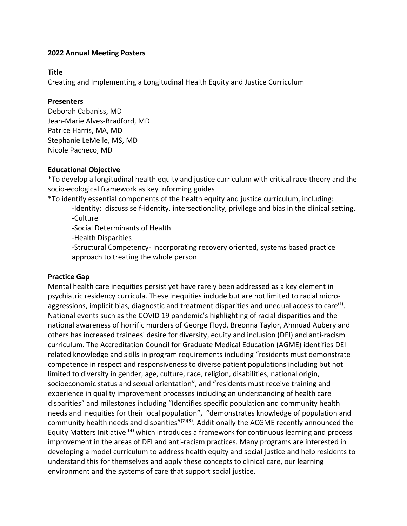#### **Title**

Creating and Implementing a Longitudinal Health Equity and Justice Curriculum

#### **Presenters**

Deborah Cabaniss, MD Jean-Marie Alves-Bradford, MD Patrice Harris, MA, MD Stephanie LeMelle, MS, MD Nicole Pacheco, MD

# **Educational Objective**

\*To develop a longitudinal health equity and justice curriculum with critical race theory and the socio-ecological framework as key informing guides

\*To identify essential components of the health equity and justice curriculum, including:

-Identity: discuss self-identity, intersectionality, privilege and bias in the clinical setting. -Culture

-Social Determinants of Health

-Health Disparities

-Structural Competency- Incorporating recovery oriented, systems based practice approach to treating the whole person

# **Practice Gap**

Mental health care inequities persist yet have rarely been addressed as a key element in psychiatric residency curricula. These inequities include but are not limited to racial microaggressions, implicit bias, diagnostic and treatment disparities and unequal access to care<sup>(1)</sup>. National events such as the COVID 19 pandemic's highlighting of racial disparities and the national awareness of horrific murders of George Floyd, Breonna Taylor, Ahmuad Aubery and others has increased trainees' desire for diversity, equity and inclusion (DEI) and anti-racism curriculum. The Accreditation Council for Graduate Medical Education (AGME) identifies DEI related knowledge and skills in program requirements including "residents must demonstrate competence in respect and responsiveness to diverse patient populations including but not limited to diversity in gender, age, culture, race, religion, disabilities, national origin, socioeconomic status and sexual orientation", and "residents must receive training and experience in quality improvement processes including an understanding of health care disparities" and milestones including "Identifies specific population and community health needs and inequities for their local population", "demonstrates knowledge of population and community health needs and disparities" $(2)(3)$ . Additionally the ACGME recently announced the Equity Matters Initiative <sup>(4)</sup> which introduces a framework for continuous learning and process improvement in the areas of DEI and anti-racism practices. Many programs are interested in developing a model curriculum to address health equity and social justice and help residents to understand this for themselves and apply these concepts to clinical care, our learning environment and the systems of care that support social justice.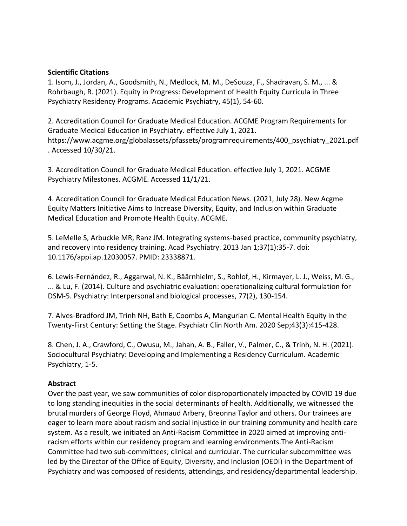#### **Scientific Citations**

1. Isom, J., Jordan, A., Goodsmith, N., Medlock, M. M., DeSouza, F., Shadravan, S. M., ... & Rohrbaugh, R. (2021). Equity in Progress: Development of Health Equity Curricula in Three Psychiatry Residency Programs. Academic Psychiatry, 45(1), 54-60.

2. Accreditation Council for Graduate Medical Education. ACGME Program Requirements for Graduate Medical Education in Psychiatry. effective July 1, 2021. https://www.acgme.org/globalassets/pfassets/programrequirements/400\_psychiatry\_2021.pdf . Accessed 10/30/21.

3. Accreditation Council for Graduate Medical Education. effective July 1, 2021. ACGME Psychiatry Milestones. ACGME. Accessed 11/1/21.

4. Accreditation Council for Graduate Medical Education News. (2021, July 28). New Acgme Equity Matters Initiative Aims to Increase Diversity, Equity, and Inclusion within Graduate Medical Education and Promote Health Equity. ACGME.

5. LeMelle S, Arbuckle MR, Ranz JM. Integrating systems-based practice, community psychiatry, and recovery into residency training. Acad Psychiatry. 2013 Jan 1;37(1):35-7. doi: 10.1176/appi.ap.12030057. PMID: 23338871.

6. Lewis-Fernández, R., Aggarwal, N. K., Bäärnhielm, S., Rohlof, H., Kirmayer, L. J., Weiss, M. G., ... & Lu, F. (2014). Culture and psychiatric evaluation: operationalizing cultural formulation for DSM-5. Psychiatry: Interpersonal and biological processes, 77(2), 130-154.

7. Alves-Bradford JM, Trinh NH, Bath E, Coombs A, Mangurian C. Mental Health Equity in the Twenty-First Century: Setting the Stage. Psychiatr Clin North Am. 2020 Sep;43(3):415-428.

8. Chen, J. A., Crawford, C., Owusu, M., Jahan, A. B., Faller, V., Palmer, C., & Trinh, N. H. (2021). Sociocultural Psychiatry: Developing and Implementing a Residency Curriculum. Academic Psychiatry, 1-5.

# **Abstract**

Over the past year, we saw communities of color disproportionately impacted by COVID 19 due to long standing inequities in the social determinants of health. Additionally, we witnessed the brutal murders of George Floyd, Ahmaud Arbery, Breonna Taylor and others. Our trainees are eager to learn more about racism and social injustice in our training community and health care system. As a result, we initiated an Anti-Racism Committee in 2020 aimed at improving antiracism efforts within our residency program and learning environments.The Anti-Racism Committee had two sub-committees; clinical and curricular. The curricular subcommittee was led by the Director of the Office of Equity, Diversity, and Inclusion (OEDI) in the Department of Psychiatry and was composed of residents, attendings, and residency/departmental leadership.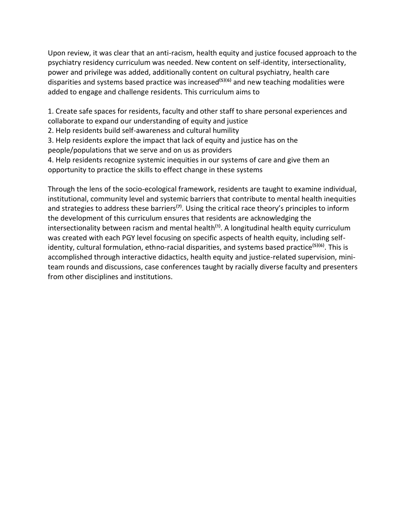Upon review, it was clear that an anti-racism, health equity and justice focused approach to the psychiatry residency curriculum was needed. New content on self-identity, intersectionality, power and privilege was added, additionally content on cultural psychiatry, health care disparities and systems based practice was increased<sup>( $5$ )( $6$ ) and new teaching modalities were</sup> added to engage and challenge residents. This curriculum aims to

1. Create safe spaces for residents, faculty and other staff to share personal experiences and collaborate to expand our understanding of equity and justice

2. Help residents build self-awareness and cultural humility

3. Help residents explore the impact that lack of equity and justice has on the people/populations that we serve and on us as providers

4. Help residents recognize systemic inequities in our systems of care and give them an opportunity to practice the skills to effect change in these systems

Through the lens of the socio-ecological framework, residents are taught to examine individual, institutional, community level and systemic barriers that contribute to mental health inequities and strategies to address these barriers<sup>(7)</sup>. Using the critical race theory's principles to inform the development of this curriculum ensures that residents are acknowledging the intersectionality between racism and mental health<sup>(1)</sup>. A longitudinal health equity curriculum was created with each PGY level focusing on specific aspects of health equity, including selfidentity, cultural formulation, ethno-racial disparities, and systems based practice<sup>(5)(6)</sup>. This is accomplished through interactive didactics, health equity and justice-related supervision, miniteam rounds and discussions, case conferences taught by racially diverse faculty and presenters from other disciplines and institutions.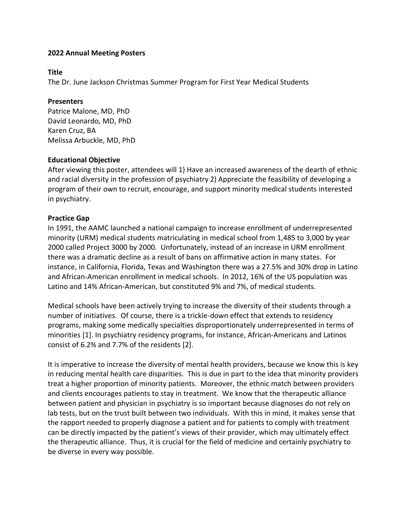#### **Title**

The Dr. June Jackson Christmas Summer Program for First Year Medical Students

### **Presenters**

Patrice Malone, MD, PhD David Leonardo, MD, PhD Karen Cruz, BA Melissa Arbuckle, MD, PhD

# **Educational Objective**

After viewing this poster, attendees will 1) Have an increased awareness of the dearth of ethnic and racial diversity in the profession of psychiatry 2) Appreciate the feasibility of developing a program of their own to recruit, encourage, and support minority medical students interested in psychiatry.

# **Practice Gap**

In 1991, the AAMC launched a national campaign to increase enrollment of underrepresented minority (URM) medical students matriculating in medical school from 1,485 to 3,000 by year 2000 called Project 3000 by 2000. Unfortunately, instead of an increase in URM enrollment there was a dramatic decline as a result of bans on affirmative action in many states. For instance, in California, Florida, Texas and Washington there was a 27.5% and 30% drop in Latino and African-American enrollment in medical schools. In 2012, 16% of the US population was Latino and 14% African-American, but constituted 9% and 7%, of medical students.

Medical schools have been actively trying to increase the diversity of their students through a number of initiatives. Of course, there is a trickle-down effect that extends to residency programs, making some medically specialties disproportionately underrepresented in terms of minorities [1]. In psychiatry residency programs, for instance, African-Americans and Latinos consist of 6.2% and 7.7% of the residents [2].

It is imperative to increase the diversity of mental health providers, because we know this is key in reducing mental health care disparities. This is due in part to the idea that minority providers treat a higher proportion of minority patients. Moreover, the ethnic match between providers and clients encourages patients to stay in treatment. We know that the therapeutic alliance between patient and physician in psychiatry is so important because diagnoses do not rely on lab tests, but on the trust built between two individuals. With this in mind, it makes sense that the rapport needed to properly diagnose a patient and for patients to comply with treatment can be directly impacted by the patient's views of their provider, which may ultimately effect the therapeutic alliance. Thus, it is crucial for the field of medicine and certainly psychiatry to be diverse in every way possible.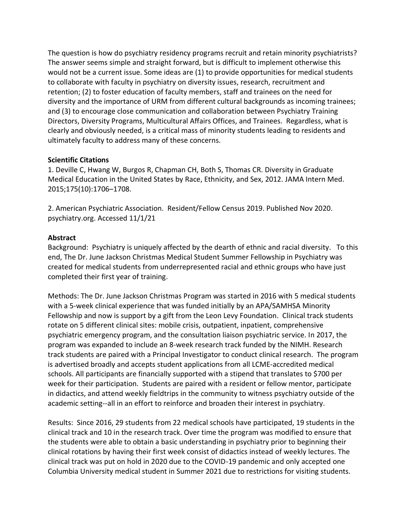The question is how do psychiatry residency programs recruit and retain minority psychiatrists? The answer seems simple and straight forward, but is difficult to implement otherwise this would not be a current issue. Some ideas are (1) to provide opportunities for medical students to collaborate with faculty in psychiatry on diversity issues, research, recruitment and retention; (2) to foster education of faculty members, staff and trainees on the need for diversity and the importance of URM from different cultural backgrounds as incoming trainees; and (3) to encourage close communication and collaboration between Psychiatry Training Directors, Diversity Programs, Multicultural Affairs Offices, and Trainees. Regardless, what is clearly and obviously needed, is a critical mass of minority students leading to residents and ultimately faculty to address many of these concerns.

### **Scientific Citations**

1. Deville C, Hwang W, Burgos R, Chapman CH, Both S, Thomas CR. Diversity in Graduate Medical Education in the United States by Race, Ethnicity, and Sex, 2012. JAMA Intern Med. 2015;175(10):1706–1708.

2. American Psychiatric Association. Resident/Fellow Census 2019. Published Nov 2020. psychiatry.org. Accessed 11/1/21

### **Abstract**

Background: Psychiatry is uniquely affected by the dearth of ethnic and racial diversity. To this end, The Dr. June Jackson Christmas Medical Student Summer Fellowship in Psychiatry was created for medical students from underrepresented racial and ethnic groups who have just completed their first year of training.

Methods: The Dr. June Jackson Christmas Program was started in 2016 with 5 medical students with a 5-week clinical experience that was funded initially by an APA/SAMHSA Minority Fellowship and now is support by a gift from the Leon Levy Foundation. Clinical track students rotate on 5 different clinical sites: mobile crisis, outpatient, inpatient, comprehensive psychiatric emergency program, and the consultation liaison psychiatric service. In 2017, the program was expanded to include an 8-week research track funded by the NIMH. Research track students are paired with a Principal Investigator to conduct clinical research. The program is advertised broadly and accepts student applications from all LCME-accredited medical schools. All participants are financially supported with a stipend that translates to \$700 per week for their participation. Students are paired with a resident or fellow mentor, participate in didactics, and attend weekly fieldtrips in the community to witness psychiatry outside of the academic setting--all in an effort to reinforce and broaden their interest in psychiatry.

Results: Since 2016, 29 students from 22 medical schools have participated, 19 students in the clinical track and 10 in the research track. Over time the program was modified to ensure that the students were able to obtain a basic understanding in psychiatry prior to beginning their clinical rotations by having their first week consist of didactics instead of weekly lectures. The clinical track was put on hold in 2020 due to the COVID-19 pandemic and only accepted one Columbia University medical student in Summer 2021 due to restrictions for visiting students.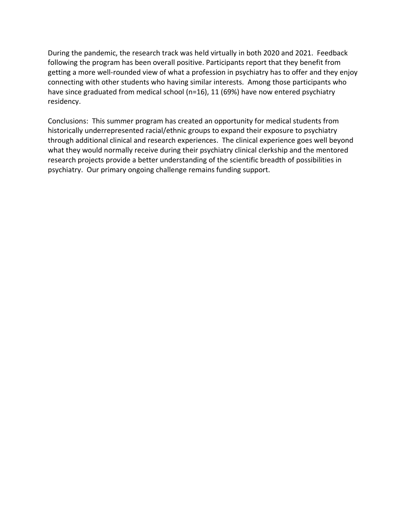During the pandemic, the research track was held virtually in both 2020 and 2021. Feedback following the program has been overall positive. Participants report that they benefit from getting a more well-rounded view of what a profession in psychiatry has to offer and they enjoy connecting with other students who having similar interests. Among those participants who have since graduated from medical school (n=16), 11 (69%) have now entered psychiatry residency.

Conclusions: This summer program has created an opportunity for medical students from historically underrepresented racial/ethnic groups to expand their exposure to psychiatry through additional clinical and research experiences. The clinical experience goes well beyond what they would normally receive during their psychiatry clinical clerkship and the mentored research projects provide a better understanding of the scientific breadth of possibilities in psychiatry. Our primary ongoing challenge remains funding support.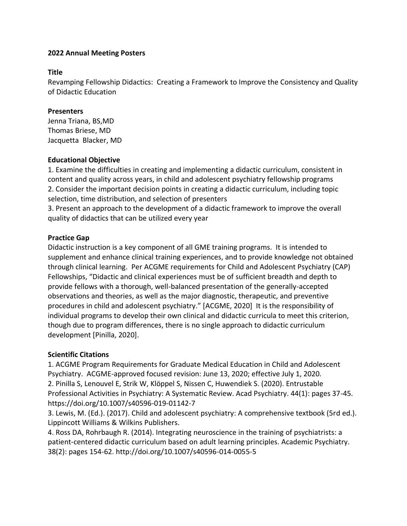#### **Title**

Revamping Fellowship Didactics: Creating a Framework to Improve the Consistency and Quality of Didactic Education

### **Presenters**

Jenna Triana, BS,MD Thomas Briese, MD Jacquetta Blacker, MD

### **Educational Objective**

1. Examine the difficulties in creating and implementing a didactic curriculum, consistent in content and quality across years, in child and adolescent psychiatry fellowship programs 2. Consider the important decision points in creating a didactic curriculum, including topic selection, time distribution, and selection of presenters

3. Present an approach to the development of a didactic framework to improve the overall quality of didactics that can be utilized every year

# **Practice Gap**

Didactic instruction is a key component of all GME training programs. It is intended to supplement and enhance clinical training experiences, and to provide knowledge not obtained through clinical learning. Per ACGME requirements for Child and Adolescent Psychiatry (CAP) Fellowships, "Didactic and clinical experiences must be of sufficient breadth and depth to provide fellows with a thorough, well-balanced presentation of the generally-accepted observations and theories, as well as the major diagnostic, therapeutic, and preventive procedures in child and adolescent psychiatry." [ACGME, 2020] It is the responsibility of individual programs to develop their own clinical and didactic curricula to meet this criterion, though due to program differences, there is no single approach to didactic curriculum development [Pinilla, 2020].

# **Scientific Citations**

1. ACGME Program Requirements for Graduate Medical Education in Child and Adolescent Psychiatry. ACGME-approved focused revision: June 13, 2020; effective July 1, 2020. 2. Pinilla S, Lenouvel E, Strik W, Klöppel S, Nissen C, Huwendiek S. (2020). Entrustable Professional Activities in Psychiatry: A Systematic Review. Acad Psychiatry. 44(1): pages 37-45. https://doi.org/10.1007/s40596-019-01142-7

3. Lewis, M. (Ed.). (2017). Child and adolescent psychiatry: A comprehensive textbook (5rd ed.). Lippincott Williams & Wilkins Publishers.

4. Ross DA, Rohrbaugh R. (2014). Integrating neuroscience in the training of psychiatrists: a patient-centered didactic curriculum based on adult learning principles. Academic Psychiatry. 38(2): pages 154-62. http://doi.org/10.1007/s40596-014-0055-5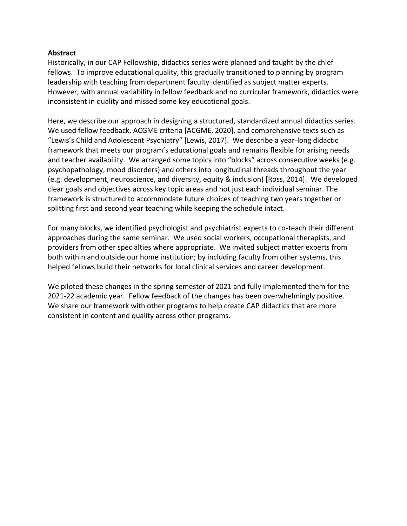#### **Abstract**

Historically, in our CAP Fellowship, didactics series were planned and taught by the chief fellows. To improve educational quality, this gradually transitioned to planning by program leadership with teaching from department faculty identified as subject matter experts. However, with annual variability in fellow feedback and no curricular framework, didactics were inconsistent in quality and missed some key educational goals.

Here, we describe our approach in designing a structured, standardized annual didactics series. We used fellow feedback, ACGME criteria [ACGME, 2020], and comprehensive texts such as "Lewis's Child and Adolescent Psychiatry" [Lewis, 2017]. We describe a year-long didactic framework that meets our program's educational goals and remains flexible for arising needs and teacher availability. We arranged some topics into "blocks" across consecutive weeks (e.g. psychopathology, mood disorders) and others into longitudinal threads throughout the year (e.g. development, neuroscience, and diversity, equity & inclusion) [Ross, 2014]. We developed clear goals and objectives across key topic areas and not just each individual seminar. The framework is structured to accommodate future choices of teaching two years together or splitting first and second year teaching while keeping the schedule intact.

For many blocks, we identified psychologist and psychiatrist experts to co-teach their different approaches during the same seminar. We used social workers, occupational therapists, and providers from other specialties where appropriate. We invited subject matter experts from both within and outside our home institution; by including faculty from other systems, this helped fellows build their networks for local clinical services and career development.

We piloted these changes in the spring semester of 2021 and fully implemented them for the 2021-22 academic year. Fellow feedback of the changes has been overwhelmingly positive. We share our framework with other programs to help create CAP didactics that are more consistent in content and quality across other programs.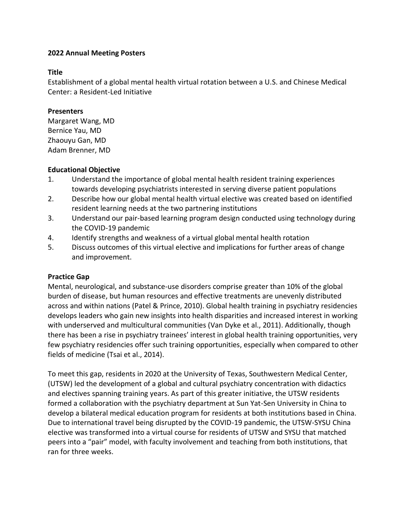#### **Title**

Establishment of a global mental health virtual rotation between a U.S. and Chinese Medical Center: a Resident-Led Initiative

#### **Presenters**

Margaret Wang, MD Bernice Yau, MD Zhaouyu Gan, MD Adam Brenner, MD

### **Educational Objective**

- 1. Understand the importance of global mental health resident training experiences towards developing psychiatrists interested in serving diverse patient populations
- 2. Describe how our global mental health virtual elective was created based on identified resident learning needs at the two partnering institutions
- 3. Understand our pair-based learning program design conducted using technology during the COVID-19 pandemic
- 4. Identify strengths and weakness of a virtual global mental health rotation
- 5. Discuss outcomes of this virtual elective and implications for further areas of change and improvement.

# **Practice Gap**

Mental, neurological, and substance-use disorders comprise greater than 10% of the global burden of disease, but human resources and effective treatments are unevenly distributed across and within nations (Patel & Prince, 2010). Global health training in psychiatry residencies develops leaders who gain new insights into health disparities and increased interest in working with underserved and multicultural communities (Van Dyke et al., 2011). Additionally, though there has been a rise in psychiatry trainees' interest in global health training opportunities, very few psychiatry residencies offer such training opportunities, especially when compared to other fields of medicine (Tsai et al., 2014).

To meet this gap, residents in 2020 at the University of Texas, Southwestern Medical Center, (UTSW) led the development of a global and cultural psychiatry concentration with didactics and electives spanning training years. As part of this greater initiative, the UTSW residents formed a collaboration with the psychiatry department at Sun Yat-Sen University in China to develop a bilateral medical education program for residents at both institutions based in China. Due to international travel being disrupted by the COVID-19 pandemic, the UTSW-SYSU China elective was transformed into a virtual course for residents of UTSW and SYSU that matched peers into a "pair" model, with faculty involvement and teaching from both institutions, that ran for three weeks.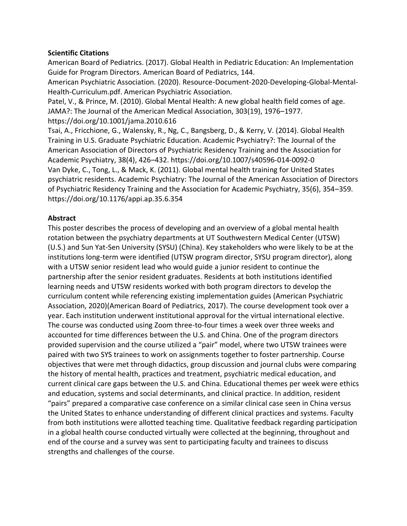#### **Scientific Citations**

American Board of Pediatrics. (2017). Global Health in Pediatric Education: An Implementation Guide for Program Directors. American Board of Pediatrics, 144.

American Psychiatric Association. (2020). Resource-Document-2020-Developing-Global-Mental-Health-Curriculum.pdf. American Psychiatric Association.

Patel, V., & Prince, M. (2010). Global Mental Health: A new global health field comes of age. JAMA?: The Journal of the American Medical Association, 303(19), 1976–1977. https://doi.org/10.1001/jama.2010.616

Tsai, A., Fricchione, G., Walensky, R., Ng, C., Bangsberg, D., & Kerry, V. (2014). Global Health Training in U.S. Graduate Psychiatric Education. Academic Psychiatry?: The Journal of the American Association of Directors of Psychiatric Residency Training and the Association for Academic Psychiatry, 38(4), 426–432. https://doi.org/10.1007/s40596-014-0092-0 Van Dyke, C., Tong, L., & Mack, K. (2011). Global mental health training for United States psychiatric residents. Academic Psychiatry: The Journal of the American Association of Directors of Psychiatric Residency Training and the Association for Academic Psychiatry, 35(6), 354–359. https://doi.org/10.1176/appi.ap.35.6.354

# **Abstract**

This poster describes the process of developing and an overview of a global mental health rotation between the psychiatry departments at UT Southwestern Medical Center (UTSW) (U.S.) and Sun Yat-Sen University (SYSU) (China). Key stakeholders who were likely to be at the institutions long-term were identified (UTSW program director, SYSU program director), along with a UTSW senior resident lead who would guide a junior resident to continue the partnership after the senior resident graduates. Residents at both institutions identified learning needs and UTSW residents worked with both program directors to develop the curriculum content while referencing existing implementation guides (American Psychiatric Association, 2020)(American Board of Pediatrics, 2017). The course development took over a year. Each institution underwent institutional approval for the virtual international elective. The course was conducted using Zoom three-to-four times a week over three weeks and accounted for time differences between the U.S. and China. One of the program directors provided supervision and the course utilized a "pair" model, where two UTSW trainees were paired with two SYS trainees to work on assignments together to foster partnership. Course objectives that were met through didactics, group discussion and journal clubs were comparing the history of mental health, practices and treatment, psychiatric medical education, and current clinical care gaps between the U.S. and China. Educational themes per week were ethics and education, systems and social determinants, and clinical practice. In addition, resident "pairs" prepared a comparative case conference on a similar clinical case seen in China versus the United States to enhance understanding of different clinical practices and systems. Faculty from both institutions were allotted teaching time. Qualitative feedback regarding participation in a global health course conducted virtually were collected at the beginning, throughout and end of the course and a survey was sent to participating faculty and trainees to discuss strengths and challenges of the course.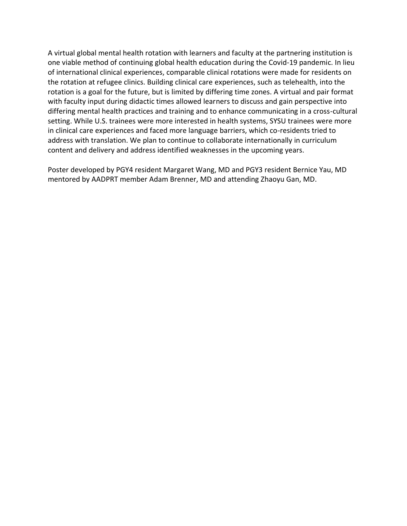A virtual global mental health rotation with learners and faculty at the partnering institution is one viable method of continuing global health education during the Covid-19 pandemic. In lieu of international clinical experiences, comparable clinical rotations were made for residents on the rotation at refugee clinics. Building clinical care experiences, such as telehealth, into the rotation is a goal for the future, but is limited by differing time zones. A virtual and pair format with faculty input during didactic times allowed learners to discuss and gain perspective into differing mental health practices and training and to enhance communicating in a cross-cultural setting. While U.S. trainees were more interested in health systems, SYSU trainees were more in clinical care experiences and faced more language barriers, which co-residents tried to address with translation. We plan to continue to collaborate internationally in curriculum content and delivery and address identified weaknesses in the upcoming years.

Poster developed by PGY4 resident Margaret Wang, MD and PGY3 resident Bernice Yau, MD mentored by AADPRT member Adam Brenner, MD and attending Zhaoyu Gan, MD.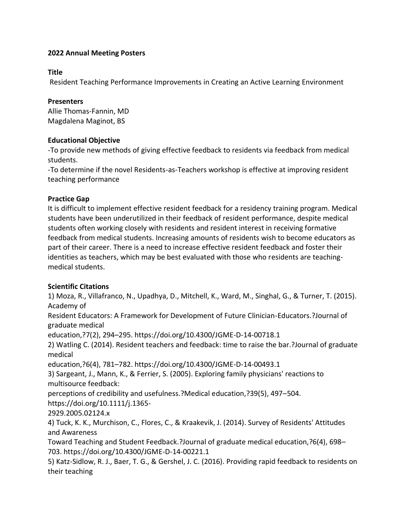#### **Title**

Resident Teaching Performance Improvements in Creating an Active Learning Environment

#### **Presenters**

Allie Thomas-Fannin, MD Magdalena Maginot, BS

### **Educational Objective**

-To provide new methods of giving effective feedback to residents via feedback from medical students.

-To determine if the novel Residents-as-Teachers workshop is effective at improving resident teaching performance

# **Practice Gap**

It is difficult to implement effective resident feedback for a residency training program. Medical students have been underutilized in their feedback of resident performance, despite medical students often working closely with residents and resident interest in receiving formative feedback from medical students. Increasing amounts of residents wish to become educators as part of their career. There is a need to increase effective resident feedback and foster their identities as teachers, which may be best evaluated with those who residents are teachingmedical students.

# **Scientific Citations**

1) Moza, R., Villafranco, N., Upadhya, D., Mitchell, K., Ward, M., Singhal, G., & Turner, T. (2015). Academy of

Resident Educators: A Framework for Development of Future Clinician-Educators.?Journal of graduate medical

education,?7(2), 294–295. https://doi.org/10.4300/JGME-D-14-00718.1

2) Watling C. (2014). Resident teachers and feedback: time to raise the bar.?Journal of graduate medical

education,?6(4), 781–782. https://doi.org/10.4300/JGME-D-14-00493.1

3) Sargeant, J., Mann, K., & Ferrier, S. (2005). Exploring family physicians' reactions to multisource feedback:

perceptions of credibility and usefulness.?Medical education,?39(5), 497–504.

https://doi.org/10.1111/j.1365-

2929.2005.02124.x

4) Tuck, K. K., Murchison, C., Flores, C., & Kraakevik, J. (2014). Survey of Residents' Attitudes and Awareness

Toward Teaching and Student Feedback.?Journal of graduate medical education,?6(4), 698– 703. https://doi.org/10.4300/JGME-D-14-00221.1

5) Katz-Sidlow, R. J., Baer, T. G., & Gershel, J. C. (2016). Providing rapid feedback to residents on their teaching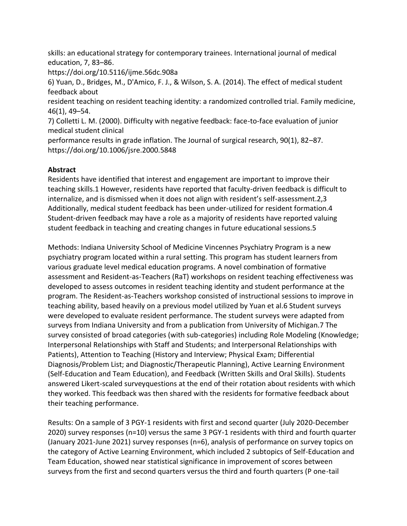skills: an educational strategy for contemporary trainees. International journal of medical education, 7, 83–86.

https://doi.org/10.5116/ijme.56dc.908a

6) Yuan, D., Bridges, M., D'Amico, F. J., & Wilson, S. A. (2014). The effect of medical student feedback about

resident teaching on resident teaching identity: a randomized controlled trial. Family medicine, 46(1), 49–54.

7) Colletti L. M. (2000). Difficulty with negative feedback: face-to-face evaluation of junior medical student clinical

performance results in grade inflation. The Journal of surgical research, 90(1), 82–87. https://doi.org/10.1006/jsre.2000.5848

# **Abstract**

Residents have identified that interest and engagement are important to improve their teaching skills.1 However, residents have reported that faculty-driven feedback is difficult to internalize, and is dismissed when it does not align with resident's self-assessment.2,3 Additionally, medical student feedback has been under-utilized for resident formation.4 Student-driven feedback may have a role as a majority of residents have reported valuing student feedback in teaching and creating changes in future educational sessions.5

Methods: Indiana University School of Medicine Vincennes Psychiatry Program is a new psychiatry program located within a rural setting. This program has student learners from various graduate level medical education programs. A novel combination of formative assessment and Resident-as-Teachers (RaT) workshops on resident teaching effectiveness was developed to assess outcomes in resident teaching identity and student performance at the program. The Resident-as-Teachers workshop consisted of instructional sessions to improve in teaching ability, based heavily on a previous model utilized by Yuan et al.6 Student surveys were developed to evaluate resident performance. The student surveys were adapted from surveys from Indiana University and from a publication from University of Michigan.7 The survey consisted of broad categories (with sub-categories) including Role Modeling (Knowledge; Interpersonal Relationships with Staff and Students; and Interpersonal Relationships with Patients), Attention to Teaching (History and Interview; Physical Exam; Differential Diagnosis/Problem List; and Diagnostic/Therapeutic Planning), Active Learning Environment (Self-Education and Team Education), and Feedback (Written Skills and Oral Skills). Students answered Likert-scaled surveyquestions at the end of their rotation about residents with which they worked. This feedback was then shared with the residents for formative feedback about their teaching performance.

Results: On a sample of 3 PGY-1 residents with first and second quarter (July 2020-December 2020) survey responses (n=10) versus the same 3 PGY-1 residents with third and fourth quarter (January 2021-June 2021) survey responses (n=6), analysis of performance on survey topics on the category of Active Learning Environment, which included 2 subtopics of Self-Education and Team Education, showed near statistical significance in improvement of scores between surveys from the first and second quarters versus the third and fourth quarters (P one-tail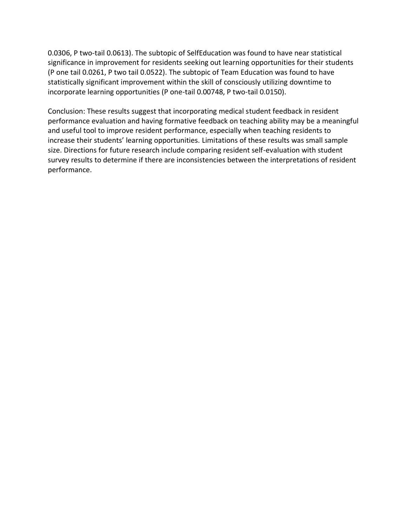0.0306, P two-tail 0.0613). The subtopic of SelfEducation was found to have near statistical significance in improvement for residents seeking out learning opportunities for their students (P one tail 0.0261, P two tail 0.0522). The subtopic of Team Education was found to have statistically significant improvement within the skill of consciously utilizing downtime to incorporate learning opportunities (P one-tail 0.00748, P two-tail 0.0150).

Conclusion: These results suggest that incorporating medical student feedback in resident performance evaluation and having formative feedback on teaching ability may be a meaningful and useful tool to improve resident performance, especially when teaching residents to increase their students' learning opportunities. Limitations of these results was small sample size. Directions for future research include comparing resident self-evaluation with student survey results to determine if there are inconsistencies between the interpretations of resident performance.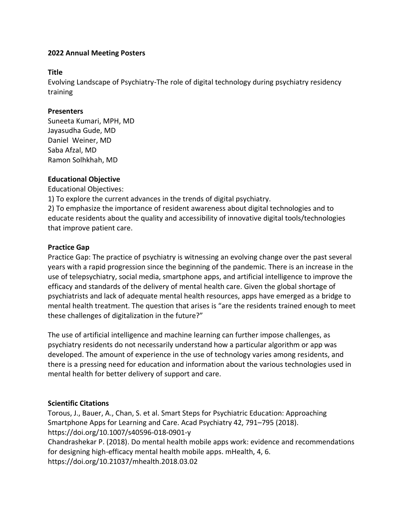#### **Title**

Evolving Landscape of Psychiatry-The role of digital technology during psychiatry residency training

### **Presenters**

Suneeta Kumari, MPH, MD Jayasudha Gude, MD Daniel Weiner, MD Saba Afzal, MD Ramon Solhkhah, MD

# **Educational Objective**

Educational Objectives:

1) To explore the current advances in the trends of digital psychiatry.

2) To emphasize the importance of resident awareness about digital technologies and to educate residents about the quality and accessibility of innovative digital tools/technologies that improve patient care.

### **Practice Gap**

Practice Gap: The practice of psychiatry is witnessing an evolving change over the past several years with a rapid progression since the beginning of the pandemic. There is an increase in the use of telepsychiatry, social media, smartphone apps, and artificial intelligence to improve the efficacy and standards of the delivery of mental health care. Given the global shortage of psychiatrists and lack of adequate mental health resources, apps have emerged as a bridge to mental health treatment. The question that arises is "are the residents trained enough to meet these challenges of digitalization in the future?"

The use of artificial intelligence and machine learning can further impose challenges, as psychiatry residents do not necessarily understand how a particular algorithm or app was developed. The amount of experience in the use of technology varies among residents, and there is a pressing need for education and information about the various technologies used in mental health for better delivery of support and care.

# **Scientific Citations**

Torous, J., Bauer, A., Chan, S. et al. Smart Steps for Psychiatric Education: Approaching Smartphone Apps for Learning and Care. Acad Psychiatry 42, 791–795 (2018). https://doi.org/10.1007/s40596-018-0901-y Chandrashekar P. (2018). Do mental health mobile apps work: evidence and recommendations for designing high-efficacy mental health mobile apps. mHealth, 4, 6. https://doi.org/10.21037/mhealth.2018.03.02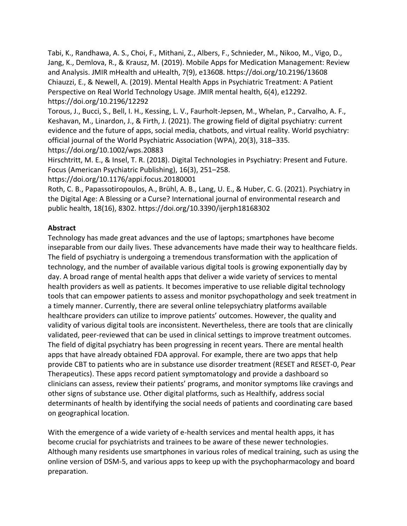Tabi, K., Randhawa, A. S., Choi, F., Mithani, Z., Albers, F., Schnieder, M., Nikoo, M., Vigo, D., Jang, K., Demlova, R., & Krausz, M. (2019). Mobile Apps for Medication Management: Review and Analysis. JMIR mHealth and uHealth, 7(9), e13608. https://doi.org/10.2196/13608 Chiauzzi, E., & Newell, A. (2019). Mental Health Apps in Psychiatric Treatment: A Patient Perspective on Real World Technology Usage. JMIR mental health, 6(4), e12292. https://doi.org/10.2196/12292

Torous, J., Bucci, S., Bell, I. H., Kessing, L. V., Faurholt-Jepsen, M., Whelan, P., Carvalho, A. F., Keshavan, M., Linardon, J., & Firth, J. (2021). The growing field of digital psychiatry: current evidence and the future of apps, social media, chatbots, and virtual reality. World psychiatry: official journal of the World Psychiatric Association (WPA), 20(3), 318–335. https://doi.org/10.1002/wps.20883

Hirschtritt, M. E., & Insel, T. R. (2018). Digital Technologies in Psychiatry: Present and Future. Focus (American Psychiatric Publishing), 16(3), 251–258.

https://doi.org/10.1176/appi.focus.20180001

Roth, C. B., Papassotiropoulos, A., Brühl, A. B., Lang, U. E., & Huber, C. G. (2021). Psychiatry in the Digital Age: A Blessing or a Curse? International journal of environmental research and public health, 18(16), 8302. https://doi.org/10.3390/ijerph18168302

### **Abstract**

Technology has made great advances and the use of laptops; smartphones have become inseparable from our daily lives. These advancements have made their way to healthcare fields. The field of psychiatry is undergoing a tremendous transformation with the application of technology, and the number of available various digital tools is growing exponentially day by day. A broad range of mental health apps that deliver a wide variety of services to mental health providers as well as patients. It becomes imperative to use reliable digital technology tools that can empower patients to assess and monitor psychopathology and seek treatment in a timely manner. Currently, there are several online telepsychiatry platforms available healthcare providers can utilize to improve patients' outcomes. However, the quality and validity of various digital tools are inconsistent. Nevertheless, there are tools that are clinically validated, peer-reviewed that can be used in clinical settings to improve treatment outcomes. The field of digital psychiatry has been progressing in recent years. There are mental health apps that have already obtained FDA approval. For example, there are two apps that help provide CBT to patients who are in substance use disorder treatment (RESET and RESET-0, Pear Therapeutics). These apps record patient symptomatology and provide a dashboard so clinicians can assess, review their patients' programs, and monitor symptoms like cravings and other signs of substance use. Other digital platforms, such as Healthify, address social determinants of health by identifying the social needs of patients and coordinating care based on geographical location.

With the emergence of a wide variety of e-health services and mental health apps, it has become crucial for psychiatrists and trainees to be aware of these newer technologies. Although many residents use smartphones in various roles of medical training, such as using the online version of DSM-5, and various apps to keep up with the psychopharmacology and board preparation.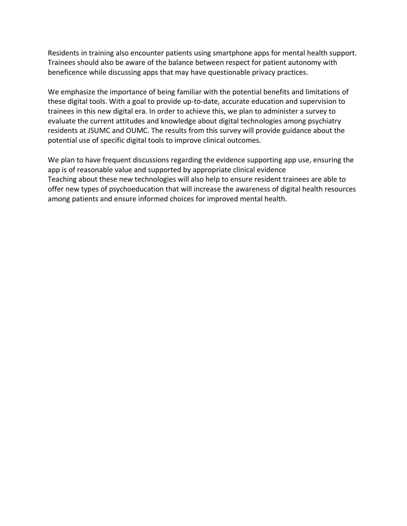Residents in training also encounter patients using smartphone apps for mental health support. Trainees should also be aware of the balance between respect for patient autonomy with beneficence while discussing apps that may have questionable privacy practices.

We emphasize the importance of being familiar with the potential benefits and limitations of these digital tools. With a goal to provide up-to-date, accurate education and supervision to trainees in this new digital era. In order to achieve this, we plan to administer a survey to evaluate the current attitudes and knowledge about digital technologies among psychiatry residents at JSUMC and OUMC. The results from this survey will provide guidance about the potential use of specific digital tools to improve clinical outcomes.

We plan to have frequent discussions regarding the evidence supporting app use, ensuring the app is of reasonable value and supported by appropriate clinical evidence Teaching about these new technologies will also help to ensure resident trainees are able to offer new types of psychoeducation that will increase the awareness of digital health resources among patients and ensure informed choices for improved mental health.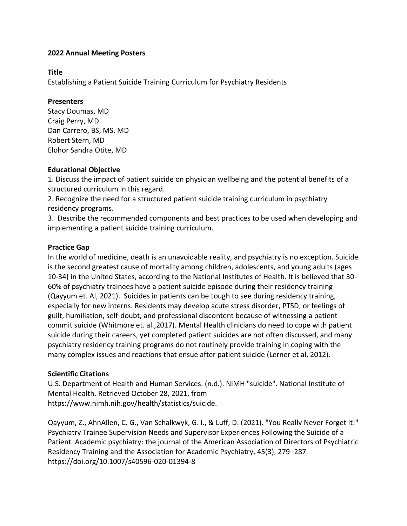#### **Title**

Establishing a Patient Suicide Training Curriculum for Psychiatry Residents

#### **Presenters**

Stacy Doumas, MD Craig Perry, MD Dan Carrero, BS, MS, MD Robert Stern, MD Elohor Sandra Otite, MD

#### **Educational Objective**

1. Discuss the impact of patient suicide on physician wellbeing and the potential benefits of a structured curriculum in this regard.

2. Recognize the need for a structured patient suicide training curriculum in psychiatry residency programs.

3. Describe the recommended components and best practices to be used when developing and implementing a patient suicide training curriculum.

### **Practice Gap**

In the world of medicine, death is an unavoidable reality, and psychiatry is no exception. Suicide is the second greatest cause of mortality among children, adolescents, and young adults (ages 10-34) in the United States, according to the National Institutes of Health. It is believed that 30- 60% of psychiatry trainees have a patient suicide episode during their residency training (Qayyum et. Al, 2021). Suicides in patients can be tough to see during residency training, especially for new interns. Residents may develop acute stress disorder, PTSD, or feelings of guilt, humiliation, self-doubt, and professional discontent because of witnessing a patient commit suicide (Whitmore et. al.,2017). Mental Health clinicians do need to cope with patient suicide during their careers, yet completed patient suicides are not often discussed, and many psychiatry residency training programs do not routinely provide training in coping with the many complex issues and reactions that ensue after patient suicide (Lerner et al, 2012).

# **Scientific Citations**

U.S. Department of Health and Human Services. (n.d.). NIMH "suicide". National Institute of Mental Health. Retrieved October 28, 2021, from https://www.nimh.nih.gov/health/statistics/suicide.

Qayyum, Z., AhnAllen, C. G., Van Schalkwyk, G. I., & Luff, D. (2021). "You Really Never Forget It!" Psychiatry Trainee Supervision Needs and Supervisor Experiences Following the Suicide of a Patient. Academic psychiatry: the journal of the American Association of Directors of Psychiatric Residency Training and the Association for Academic Psychiatry, 45(3), 279–287. https://doi.org/10.1007/s40596-020-01394-8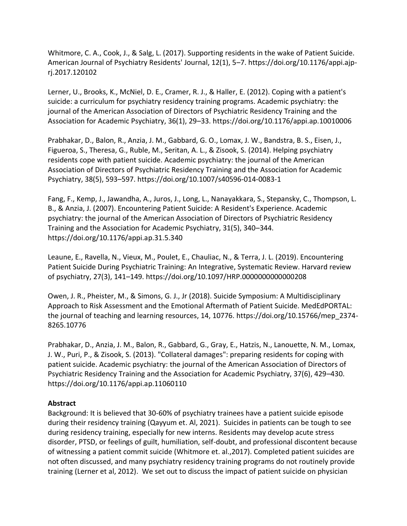Whitmore, C. A., Cook, J., & Salg, L. (2017). Supporting residents in the wake of Patient Suicide. American Journal of Psychiatry Residents' Journal, 12(1), 5–7. https://doi.org/10.1176/appi.ajprj.2017.120102

Lerner, U., Brooks, K., McNiel, D. E., Cramer, R. J., & Haller, E. (2012). Coping with a patient's suicide: a curriculum for psychiatry residency training programs. Academic psychiatry: the journal of the American Association of Directors of Psychiatric Residency Training and the Association for Academic Psychiatry, 36(1), 29–33. https://doi.org/10.1176/appi.ap.10010006

Prabhakar, D., Balon, R., Anzia, J. M., Gabbard, G. O., Lomax, J. W., Bandstra, B. S., Eisen, J., Figueroa, S., Theresa, G., Ruble, M., Seritan, A. L., & Zisook, S. (2014). Helping psychiatry residents cope with patient suicide. Academic psychiatry: the journal of the American Association of Directors of Psychiatric Residency Training and the Association for Academic Psychiatry, 38(5), 593–597. https://doi.org/10.1007/s40596-014-0083-1

Fang, F., Kemp, J., Jawandha, A., Juros, J., Long, L., Nanayakkara, S., Stepansky, C., Thompson, L. B., & Anzia, J. (2007). Encountering Patient Suicide: A Resident's Experience. Academic psychiatry: the journal of the American Association of Directors of Psychiatric Residency Training and the Association for Academic Psychiatry, 31(5), 340–344. https://doi.org/10.1176/appi.ap.31.5.340

Leaune, E., Ravella, N., Vieux, M., Poulet, E., Chauliac, N., & Terra, J. L. (2019). Encountering Patient Suicide During Psychiatric Training: An Integrative, Systematic Review. Harvard review of psychiatry, 27(3), 141–149. https://doi.org/10.1097/HRP.0000000000000208

Owen, J. R., Pheister, M., & Simons, G. J., Jr (2018). Suicide Symposium: A Multidisciplinary Approach to Risk Assessment and the Emotional Aftermath of Patient Suicide. MedEdPORTAL: the journal of teaching and learning resources, 14, 10776. https://doi.org/10.15766/mep\_2374- 8265.10776

Prabhakar, D., Anzia, J. M., Balon, R., Gabbard, G., Gray, E., Hatzis, N., Lanouette, N. M., Lomax, J. W., Puri, P., & Zisook, S. (2013). "Collateral damages": preparing residents for coping with patient suicide. Academic psychiatry: the journal of the American Association of Directors of Psychiatric Residency Training and the Association for Academic Psychiatry, 37(6), 429–430. https://doi.org/10.1176/appi.ap.11060110

# **Abstract**

Background: It is believed that 30-60% of psychiatry trainees have a patient suicide episode during their residency training (Qayyum et. Al, 2021). Suicides in patients can be tough to see during residency training, especially for new interns. Residents may develop acute stress disorder, PTSD, or feelings of guilt, humiliation, self-doubt, and professional discontent because of witnessing a patient commit suicide (Whitmore et. al.,2017). Completed patient suicides are not often discussed, and many psychiatry residency training programs do not routinely provide training (Lerner et al, 2012). We set out to discuss the impact of patient suicide on physician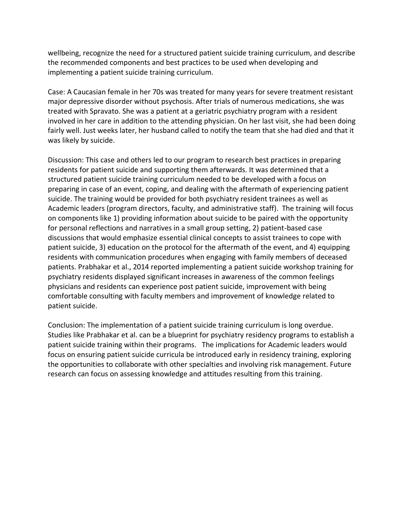wellbeing, recognize the need for a structured patient suicide training curriculum, and describe the recommended components and best practices to be used when developing and implementing a patient suicide training curriculum.

Case: A Caucasian female in her 70s was treated for many years for severe treatment resistant major depressive disorder without psychosis. After trials of numerous medications, she was treated with Spravato. She was a patient at a geriatric psychiatry program with a resident involved in her care in addition to the attending physician. On her last visit, she had been doing fairly well. Just weeks later, her husband called to notify the team that she had died and that it was likely by suicide.

Discussion: This case and others led to our program to research best practices in preparing residents for patient suicide and supporting them afterwards. It was determined that a structured patient suicide training curriculum needed to be developed with a focus on preparing in case of an event, coping, and dealing with the aftermath of experiencing patient suicide. The training would be provided for both psychiatry resident trainees as well as Academic leaders (program directors, faculty, and administrative staff). The training will focus on components like 1) providing information about suicide to be paired with the opportunity for personal reflections and narratives in a small group setting, 2) patient-based case discussions that would emphasize essential clinical concepts to assist trainees to cope with patient suicide, 3) education on the protocol for the aftermath of the event, and 4) equipping residents with communication procedures when engaging with family members of deceased patients. Prabhakar et al., 2014 reported implementing a patient suicide workshop training for psychiatry residents displayed significant increases in awareness of the common feelings physicians and residents can experience post patient suicide, improvement with being comfortable consulting with faculty members and improvement of knowledge related to patient suicide.

Conclusion: The implementation of a patient suicide training curriculum is long overdue. Studies like Prabhakar et al. can be a blueprint for psychiatry residency programs to establish a patient suicide training within their programs. The implications for Academic leaders would focus on ensuring patient suicide curricula be introduced early in residency training, exploring the opportunities to collaborate with other specialties and involving risk management. Future research can focus on assessing knowledge and attitudes resulting from this training.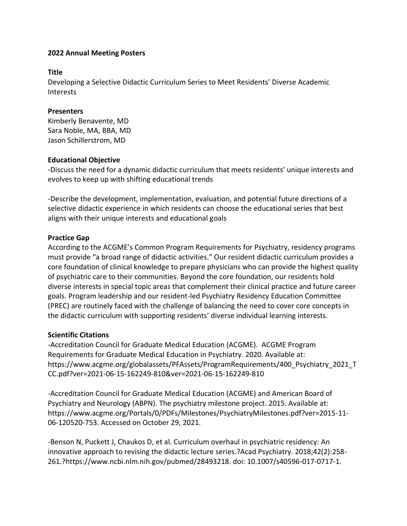#### **Title**

Developing a Selective Didactic Curriculum Series to Meet Residents' Diverse Academic Interests

### **Presenters**

Kimberly Benavente, MD Sara Noble, MA, BBA, MD Jason Schillerstrom, MD

### **Educational Objective**

-Discuss the need for a dynamic didactic curriculum that meets residents' unique interests and evolves to keep up with shifting educational trends

-Describe the development, implementation, evaluation, and potential future directions of a selective didactic experience in which residents can choose the educational series that best aligns with their unique interests and educational goals

# **Practice Gap**

According to the ACGME's Common Program Requirements for Psychiatry, residency programs must provide "a broad range of didactic activities." Our resident didactic curriculum provides a core foundation of clinical knowledge to prepare physicians who can provide the highest quality of psychiatric care to their communities. Beyond the core foundation, our residents hold diverse interests in special topic areas that complement their clinical practice and future career goals. Program leadership and our resident-led Psychiatry Residency Education Committee (PREC) are routinely faced with the challenge of balancing the need to cover core concepts in the didactic curriculum with supporting residents' diverse individual learning interests.

# **Scientific Citations**

-Accreditation Council for Graduate Medical Education (ACGME). ACGME Program Requirements for Graduate Medical Education in Psychiatry. 2020. Available at: https://www.acgme.org/globalassets/PFAssets/ProgramRequirements/400\_Psychiatry\_2021\_T CC.pdf?ver=2021-06-15-162249-810&ver=2021-06-15-162249-810

-Accreditation Council for Graduate Medical Education (ACGME) and American Board of Psychiatry and Neurology (ABPN). The psychiatry milestone project. 2015. Available at: https://www.acgme.org/Portals/0/PDFs/Milestones/PsychiatryMilestones.pdf?ver=2015-11- 06-120520-753. Accessed on October 29, 2021.

-Benson N, Puckett J, Chaukos D, et al. Curriculum overhaul in psychiatric residency: An innovative approach to revising the didactic lecture series.?Acad Psychiatry. 2018;42(2):258- 261.?https://www.ncbi.nlm.nih.gov/pubmed/28493218. doi: 10.1007/s40596-017-0717-1.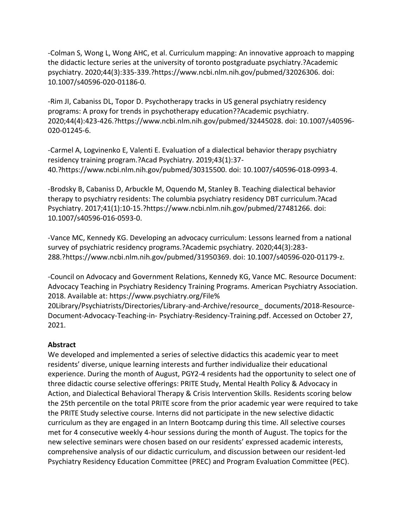-Colman S, Wong L, Wong AHC, et al. Curriculum mapping: An innovative approach to mapping the didactic lecture series at the university of toronto postgraduate psychiatry.?Academic psychiatry. 2020;44(3):335-339.?https://www.ncbi.nlm.nih.gov/pubmed/32026306. doi: 10.1007/s40596-020-01186-0.

-Rim JI, Cabaniss DL, Topor D. Psychotherapy tracks in US general psychiatry residency programs: A proxy for trends in psychotherapy education??Academic psychiatry. 2020;44(4):423-426.?https://www.ncbi.nlm.nih.gov/pubmed/32445028. doi: 10.1007/s40596- 020-01245-6.

-Carmel A, Logvinenko E, Valenti E. Evaluation of a dialectical behavior therapy psychiatry residency training program.?Acad Psychiatry. 2019;43(1):37- 40.?https://www.ncbi.nlm.nih.gov/pubmed/30315500. doi: 10.1007/s40596-018-0993-4.

-Brodsky B, Cabaniss D, Arbuckle M, Oquendo M, Stanley B. Teaching dialectical behavior therapy to psychiatry residents: The columbia psychiatry residency DBT curriculum.?Acad Psychiatry. 2017;41(1):10-15.?https://www.ncbi.nlm.nih.gov/pubmed/27481266. doi: 10.1007/s40596-016-0593-0.

-Vance MC, Kennedy KG. Developing an advocacy curriculum: Lessons learned from a national survey of psychiatric residency programs.?Academic psychiatry. 2020;44(3):283- 288.?https://www.ncbi.nlm.nih.gov/pubmed/31950369. doi: 10.1007/s40596-020-01179-z.

-Council on Advocacy and Government Relations, Kennedy KG, Vance MC. Resource Document: Advocacy Teaching in Psychiatry Residency Training Programs. American Psychiatry Association. 2018. Available at: https://www.psychiatry.org/File%

20Library/Psychiatrists/Directories/Library-and-Archive/resource\_ documents/2018-Resource-Document-Advocacy-Teaching-in- Psychiatry-Residency-Training.pdf. Accessed on October 27, 2021.

# **Abstract**

We developed and implemented a series of selective didactics this academic year to meet residents' diverse, unique learning interests and further individualize their educational experience. During the month of August, PGY2-4 residents had the opportunity to select one of three didactic course selective offerings: PRITE Study, Mental Health Policy & Advocacy in Action, and Dialectical Behavioral Therapy & Crisis Intervention Skills. Residents scoring below the 25th percentile on the total PRITE score from the prior academic year were required to take the PRITE Study selective course. Interns did not participate in the new selective didactic curriculum as they are engaged in an Intern Bootcamp during this time. All selective courses met for 4 consecutive weekly 4-hour sessions during the month of August. The topics for the new selective seminars were chosen based on our residents' expressed academic interests, comprehensive analysis of our didactic curriculum, and discussion between our resident-led Psychiatry Residency Education Committee (PREC) and Program Evaluation Committee (PEC).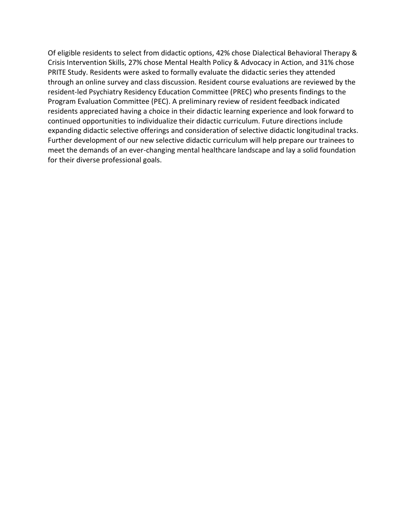Of eligible residents to select from didactic options, 42% chose Dialectical Behavioral Therapy & Crisis Intervention Skills, 27% chose Mental Health Policy & Advocacy in Action, and 31% chose PRITE Study. Residents were asked to formally evaluate the didactic series they attended through an online survey and class discussion. Resident course evaluations are reviewed by the resident-led Psychiatry Residency Education Committee (PREC) who presents findings to the Program Evaluation Committee (PEC). A preliminary review of resident feedback indicated residents appreciated having a choice in their didactic learning experience and look forward to continued opportunities to individualize their didactic curriculum. Future directions include expanding didactic selective offerings and consideration of selective didactic longitudinal tracks. Further development of our new selective didactic curriculum will help prepare our trainees to meet the demands of an ever-changing mental healthcare landscape and lay a solid foundation for their diverse professional goals.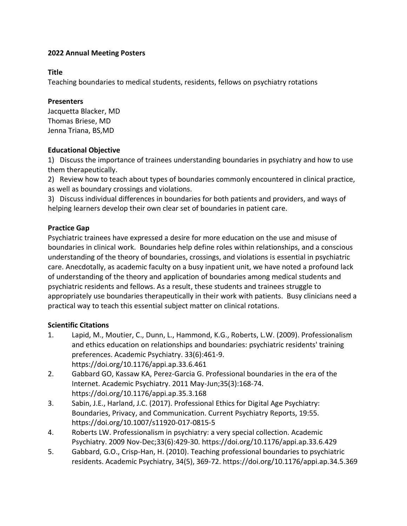#### **Title**

Teaching boundaries to medical students, residents, fellows on psychiatry rotations

#### **Presenters**

Jacquetta Blacker, MD Thomas Briese, MD Jenna Triana, BS,MD

### **Educational Objective**

1) Discuss the importance of trainees understanding boundaries in psychiatry and how to use them therapeutically.

2) Review how to teach about types of boundaries commonly encountered in clinical practice, as well as boundary crossings and violations.

3) Discuss individual differences in boundaries for both patients and providers, and ways of helping learners develop their own clear set of boundaries in patient care.

# **Practice Gap**

Psychiatric trainees have expressed a desire for more education on the use and misuse of boundaries in clinical work. Boundaries help define roles within relationships, and a conscious understanding of the theory of boundaries, crossings, and violations is essential in psychiatric care. Anecdotally, as academic faculty on a busy inpatient unit, we have noted a profound lack of understanding of the theory and application of boundaries among medical students and psychiatric residents and fellows. As a result, these students and trainees struggle to appropriately use boundaries therapeutically in their work with patients. Busy clinicians need a practical way to teach this essential subject matter on clinical rotations.

# **Scientific Citations**

- 1. Lapid, M., Moutier, C., Dunn, L., Hammond, K.G., Roberts, L.W. (2009). Professionalism and ethics education on relationships and boundaries: psychiatric residents' training preferences. Academic Psychiatry. 33(6):461-9. https://doi.org/10.1176/appi.ap.33.6.461
- 2. Gabbard GO, Kassaw KA, Perez-Garcia G. Professional boundaries in the era of the Internet. Academic Psychiatry. 2011 May-Jun;35(3):168-74. https://doi.org/10.1176/appi.ap.35.3.168
- 3. Sabin, J.E., Harland, J.C. (2017). Professional Ethics for Digital Age Psychiatry: Boundaries, Privacy, and Communication. Current Psychiatry Reports, 19:55. https://doi.org/10.1007/s11920-017-0815-5
- 4. Roberts LW. Professionalism in psychiatry: a very special collection. Academic Psychiatry. 2009 Nov-Dec;33(6):429-30. https://doi.org/10.1176/appi.ap.33.6.429
- 5. Gabbard, G.O., Crisp-Han, H. (2010). Teaching professional boundaries to psychiatric residents. Academic Psychiatry, 34(5), 369-72. https://doi.org/10.1176/appi.ap.34.5.369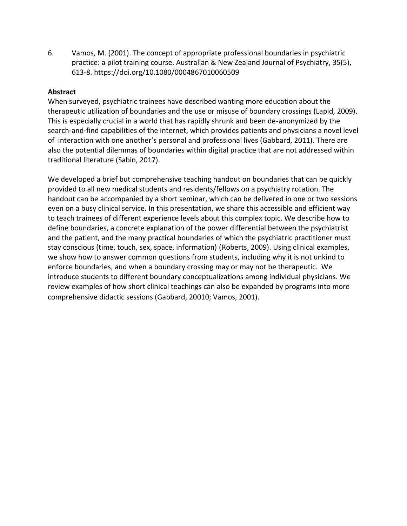6. Vamos, M. (2001). The concept of appropriate professional boundaries in psychiatric practice: a pilot training course. Australian & New Zealand Journal of Psychiatry, 35(5), 613-8. https://doi.org/10.1080/0004867010060509

### **Abstract**

When surveyed, psychiatric trainees have described wanting more education about the therapeutic utilization of boundaries and the use or misuse of boundary crossings (Lapid, 2009). This is especially crucial in a world that has rapidly shrunk and been de-anonymized by the search-and-find capabilities of the internet, which provides patients and physicians a novel level of interaction with one another's personal and professional lives (Gabbard, 2011). There are also the potential dilemmas of boundaries within digital practice that are not addressed within traditional literature (Sabin, 2017).

We developed a brief but comprehensive teaching handout on boundaries that can be quickly provided to all new medical students and residents/fellows on a psychiatry rotation. The handout can be accompanied by a short seminar, which can be delivered in one or two sessions even on a busy clinical service. In this presentation, we share this accessible and efficient way to teach trainees of different experience levels about this complex topic. We describe how to define boundaries, a concrete explanation of the power differential between the psychiatrist and the patient, and the many practical boundaries of which the psychiatric practitioner must stay conscious (time, touch, sex, space, information) (Roberts, 2009). Using clinical examples, we show how to answer common questions from students, including why it is not unkind to enforce boundaries, and when a boundary crossing may or may not be therapeutic. We introduce students to different boundary conceptualizations among individual physicians. We review examples of how short clinical teachings can also be expanded by programs into more comprehensive didactic sessions (Gabbard, 20010; Vamos, 2001).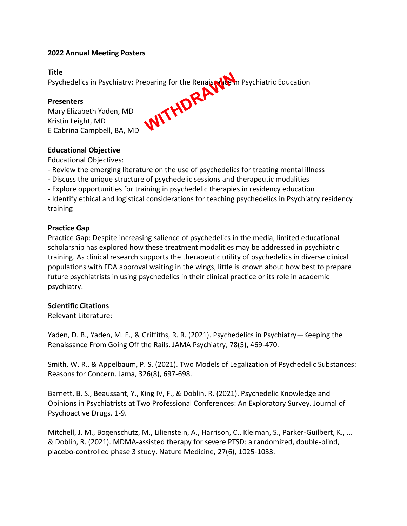**Title**

Psychedelics in Psychiatry: Preparing for the Renaissance in Psychiatric Education

### **Presenters**

Mary Elizabeth Yaden, MD Kristin Leight, MD Psychedelics in Psychiatry: Preparing for the Renaisser

### **Educational Objective**

Educational Objectives:

- Review the emerging literature on the use of psychedelics for treating mental illness
- Discuss the unique structure of psychedelic sessions and therapeutic modalities
- Explore opportunities for training in psychedelic therapies in residency education
- Identify ethical and logistical considerations for teaching psychedelics in Psychiatry residency training

### **Practice Gap**

Practice Gap: Despite increasing salience of psychedelics in the media, limited educational scholarship has explored how these treatment modalities may be addressed in psychiatric training. As clinical research supports the therapeutic utility of psychedelics in diverse clinical populations with FDA approval waiting in the wings, little is known about how best to prepare future psychiatrists in using psychedelics in their clinical practice or its role in academic psychiatry.

## **Scientific Citations**

Relevant Literature:

Yaden, D. B., Yaden, M. E., & Griffiths, R. R. (2021). Psychedelics in Psychiatry—Keeping the Renaissance From Going Off the Rails. JAMA Psychiatry, 78(5), 469-470.

Smith, W. R., & Appelbaum, P. S. (2021). Two Models of Legalization of Psychedelic Substances: Reasons for Concern. Jama, 326(8), 697-698.

Barnett, B. S., Beaussant, Y., King IV, F., & Doblin, R. (2021). Psychedelic Knowledge and Opinions in Psychiatrists at Two Professional Conferences: An Exploratory Survey. Journal of Psychoactive Drugs, 1-9.

Mitchell, J. M., Bogenschutz, M., Lilienstein, A., Harrison, C., Kleiman, S., Parker-Guilbert, K., ... & Doblin, R. (2021). MDMA-assisted therapy for severe PTSD: a randomized, double-blind, placebo-controlled phase 3 study. Nature Medicine, 27(6), 1025-1033.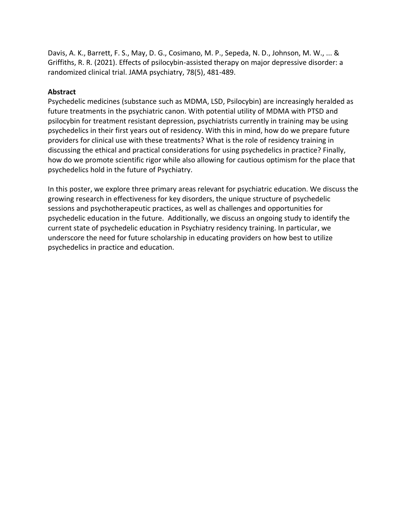Davis, A. K., Barrett, F. S., May, D. G., Cosimano, M. P., Sepeda, N. D., Johnson, M. W., ... & Griffiths, R. R. (2021). Effects of psilocybin-assisted therapy on major depressive disorder: a randomized clinical trial. JAMA psychiatry, 78(5), 481-489.

### **Abstract**

Psychedelic medicines (substance such as MDMA, LSD, Psilocybin) are increasingly heralded as future treatments in the psychiatric canon. With potential utility of MDMA with PTSD and psilocybin for treatment resistant depression, psychiatrists currently in training may be using psychedelics in their first years out of residency. With this in mind, how do we prepare future providers for clinical use with these treatments? What is the role of residency training in discussing the ethical and practical considerations for using psychedelics in practice? Finally, how do we promote scientific rigor while also allowing for cautious optimism for the place that psychedelics hold in the future of Psychiatry.

In this poster, we explore three primary areas relevant for psychiatric education. We discuss the growing research in effectiveness for key disorders, the unique structure of psychedelic sessions and psychotherapeutic practices, as well as challenges and opportunities for psychedelic education in the future. Additionally, we discuss an ongoing study to identify the current state of psychedelic education in Psychiatry residency training. In particular, we underscore the need for future scholarship in educating providers on how best to utilize psychedelics in practice and education.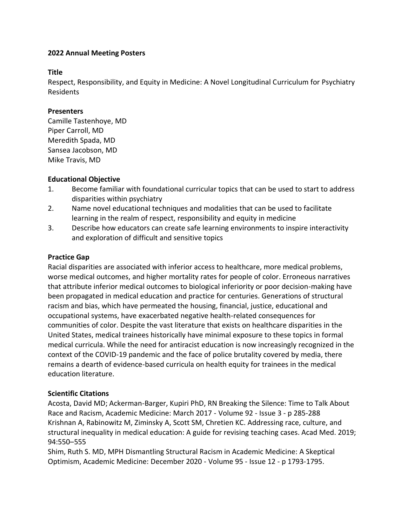### **Title**

Respect, Responsibility, and Equity in Medicine: A Novel Longitudinal Curriculum for Psychiatry Residents

### **Presenters**

Camille Tastenhoye, MD Piper Carroll, MD Meredith Spada, MD Sansea Jacobson, MD Mike Travis, MD

## **Educational Objective**

- 1. Become familiar with foundational curricular topics that can be used to start to address disparities within psychiatry
- 2. Name novel educational techniques and modalities that can be used to facilitate learning in the realm of respect, responsibility and equity in medicine
- 3. Describe how educators can create safe learning environments to inspire interactivity and exploration of difficult and sensitive topics

### **Practice Gap**

Racial disparities are associated with inferior access to healthcare, more medical problems, worse medical outcomes, and higher mortality rates for people of color. Erroneous narratives that attribute inferior medical outcomes to biological inferiority or poor decision-making have been propagated in medical education and practice for centuries. Generations of structural racism and bias, which have permeated the housing, financial, justice, educational and occupational systems, have exacerbated negative health-related consequences for communities of color. Despite the vast literature that exists on healthcare disparities in the United States, medical trainees historically have minimal exposure to these topics in formal medical curricula. While the need for antiracist education is now increasingly recognized in the context of the COVID-19 pandemic and the face of police brutality covered by media, there remains a dearth of evidence-based curricula on health equity for trainees in the medical education literature.

## **Scientific Citations**

Acosta, David MD; Ackerman-Barger, Kupiri PhD, RN Breaking the Silence: Time to Talk About Race and Racism, Academic Medicine: March 2017 - Volume 92 - Issue 3 - p 285-288 Krishnan A, Rabinowitz M, Ziminsky A, Scott SM, Chretien KC. Addressing race, culture, and structural inequality in medical education: A guide for revising teaching cases. Acad Med. 2019; 94:550–555

Shim, Ruth S. MD, MPH Dismantling Structural Racism in Academic Medicine: A Skeptical Optimism, Academic Medicine: December 2020 - Volume 95 - Issue 12 - p 1793-1795.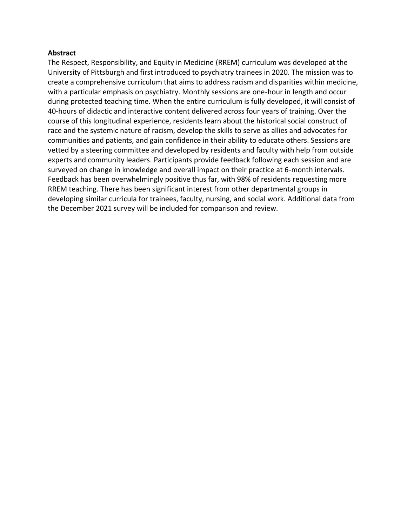#### **Abstract**

The Respect, Responsibility, and Equity in Medicine (RREM) curriculum was developed at the University of Pittsburgh and first introduced to psychiatry trainees in 2020. The mission was to create a comprehensive curriculum that aims to address racism and disparities within medicine, with a particular emphasis on psychiatry. Monthly sessions are one-hour in length and occur during protected teaching time. When the entire curriculum is fully developed, it will consist of 40-hours of didactic and interactive content delivered across four years of training. Over the course of this longitudinal experience, residents learn about the historical social construct of race and the systemic nature of racism, develop the skills to serve as allies and advocates for communities and patients, and gain confidence in their ability to educate others. Sessions are vetted by a steering committee and developed by residents and faculty with help from outside experts and community leaders. Participants provide feedback following each session and are surveyed on change in knowledge and overall impact on their practice at 6-month intervals. Feedback has been overwhelmingly positive thus far, with 98% of residents requesting more RREM teaching. There has been significant interest from other departmental groups in developing similar curricula for trainees, faculty, nursing, and social work. Additional data from the December 2021 survey will be included for comparison and review.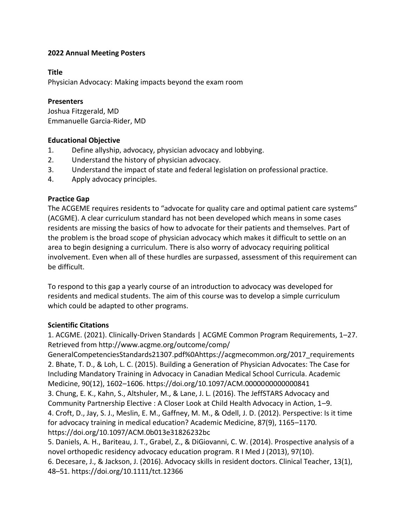## **Title**

Physician Advocacy: Making impacts beyond the exam room

### **Presenters**

Joshua Fitzgerald, MD Emmanuelle Garcia-Rider, MD

## **Educational Objective**

- 1. Define allyship, advocacy, physician advocacy and lobbying.
- 2. Understand the history of physician advocacy.
- 3. Understand the impact of state and federal legislation on professional practice.
- 4. Apply advocacy principles.

### **Practice Gap**

The ACGEME requires residents to "advocate for quality care and optimal patient care systems" (ACGME). A clear curriculum standard has not been developed which means in some cases residents are missing the basics of how to advocate for their patients and themselves. Part of the problem is the broad scope of physician advocacy which makes it difficult to settle on an area to begin designing a curriculum. There is also worry of advocacy requiring political involvement. Even when all of these hurdles are surpassed, assessment of this requirement can be difficult.

To respond to this gap a yearly course of an introduction to advocacy was developed for residents and medical students. The aim of this course was to develop a simple curriculum which could be adapted to other programs.

#### **Scientific Citations**

1. ACGME. (2021). Clinically-Driven Standards | ACGME Common Program Requirements, 1–27. Retrieved from http://www.acgme.org/outcome/comp/

GeneralCompetenciesStandards21307.pdf%0Ahttps://acgmecommon.org/2017\_requirements 2. Bhate, T. D., & Loh, L. C. (2015). Building a Generation of Physician Advocates: The Case for Including Mandatory Training in Advocacy in Canadian Medical School Curricula. Academic Medicine, 90(12), 1602–1606. https://doi.org/10.1097/ACM.0000000000000841 3. Chung, E. K., Kahn, S., Altshuler, M., & Lane, J. L. (2016). The JeffSTARS Advocacy and Community Partnership Elective : A Closer Look at Child Health Advocacy in Action, 1–9. 4. Croft, D., Jay, S. J., Meslin, E. M., Gaffney, M. M., & Odell, J. D. (2012). Perspective: Is it time for advocacy training in medical education? Academic Medicine, 87(9), 1165–1170. https://doi.org/10.1097/ACM.0b013e31826232bc

5. Daniels, A. H., Bariteau, J. T., Grabel, Z., & DiGiovanni, C. W. (2014). Prospective analysis of a novel orthopedic residency advocacy education program. R I Med J (2013), 97(10). 6. Decesare, J., & Jackson, J. (2016). Advocacy skills in resident doctors. Clinical Teacher, 13(1), 48–51. https://doi.org/10.1111/tct.12366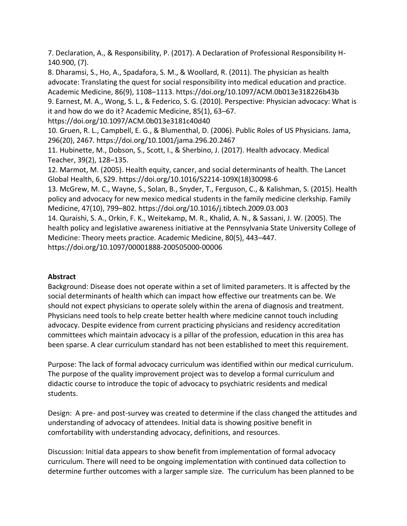7. Declaration, A., & Responsibility, P. (2017). A Declaration of Professional Responsibility H-140.900, (7).

8. Dharamsi, S., Ho, A., Spadafora, S. M., & Woollard, R. (2011). The physician as health advocate: Translating the quest for social responsibility into medical education and practice. Academic Medicine, 86(9), 1108–1113. https://doi.org/10.1097/ACM.0b013e318226b43b 9. Earnest, M. A., Wong, S. L., & Federico, S. G. (2010). Perspective: Physician advocacy: What is it and how do we do it? Academic Medicine, 85(1), 63–67. https://doi.org/10.1097/ACM.0b013e3181c40d40 10. Gruen, R. L., Campbell, E. G., & Blumenthal, D. (2006). Public Roles of US Physicians. Jama, 296(20), 2467. https://doi.org/10.1001/jama.296.20.2467 11. Hubinette, M., Dobson, S., Scott, I., & Sherbino, J. (2017). Health advocacy. Medical Teacher, 39(2), 128–135.

12. Marmot, M. (2005). Health equity, cancer, and social determinants of health. The Lancet Global Health, 6, S29. https://doi.org/10.1016/S2214-109X(18)30098-6

13. McGrew, M. C., Wayne, S., Solan, B., Snyder, T., Ferguson, C., & Kalishman, S. (2015). Health policy and advocacy for new mexico medical students in the family medicine clerkship. Family Medicine, 47(10), 799–802. https://doi.org/10.1016/j.tibtech.2009.03.003

14. Quraishi, S. A., Orkin, F. K., Weitekamp, M. R., Khalid, A. N., & Sassani, J. W. (2005). The health policy and legislative awareness initiative at the Pennsylvania State University College of Medicine: Theory meets practice. Academic Medicine, 80(5), 443–447.

https://doi.org/10.1097/00001888-200505000-00006

## **Abstract**

Background: Disease does not operate within a set of limited parameters. It is affected by the social determinants of health which can impact how effective our treatments can be. We should not expect physicians to operate solely within the arena of diagnosis and treatment. Physicians need tools to help create better health where medicine cannot touch including advocacy. Despite evidence from current practicing physicians and residency accreditation committees which maintain advocacy is a pillar of the profession, education in this area has been sparse. A clear curriculum standard has not been established to meet this requirement.

Purpose: The lack of formal advocacy curriculum was identified within our medical curriculum. The purpose of the quality improvement project was to develop a formal curriculum and didactic course to introduce the topic of advocacy to psychiatric residents and medical students.

Design: A pre- and post-survey was created to determine if the class changed the attitudes and understanding of advocacy of attendees. Initial data is showing positive benefit in comfortability with understanding advocacy, definitions, and resources.

Discussion: Initial data appears to show benefit from implementation of formal advocacy curriculum. There will need to be ongoing implementation with continued data collection to determine further outcomes with a larger sample size. The curriculum has been planned to be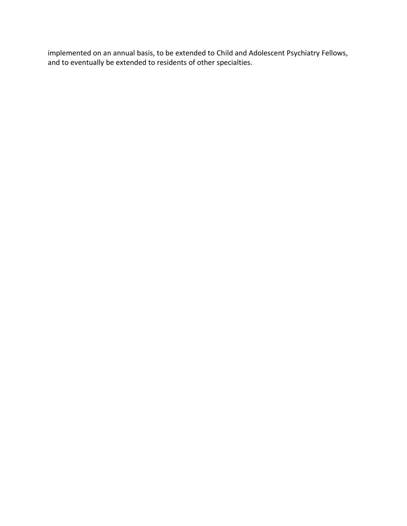implemented on an annual basis, to be extended to Child and Adolescent Psychiatry Fellows, and to eventually be extended to residents of other specialties.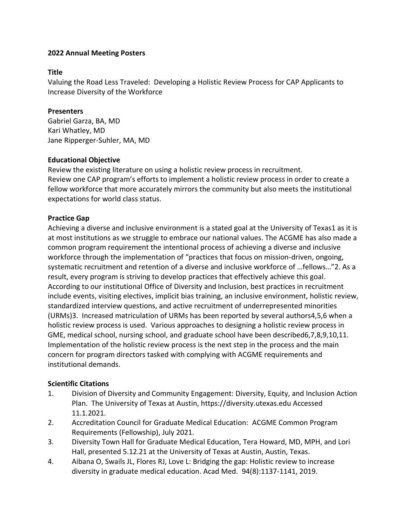### **Title**

Valuing the Road Less Traveled: Developing a Holistic Review Process for CAP Applicants to Increase Diversity of the Workforce

### **Presenters**

Gabriel Garza, BA, MD Kari Whatley, MD Jane Ripperger-Suhler, MA, MD

### **Educational Objective**

Review the existing literature on using a holistic review process in recruitment. Review one CAP program's efforts to implement a holistic review process in order to create a fellow workforce that more accurately mirrors the community but also meets the institutional expectations for world class status.

## **Practice Gap**

Achieving a diverse and inclusive environment is a stated goal at the University of Texas1 as it is at most institutions as we struggle to embrace our national values. The ACGME has also made a common program requirement the intentional process of achieving a diverse and inclusive workforce through the implementation of "practices that focus on mission-driven, ongoing, systematic recruitment and retention of a diverse and inclusive workforce of …fellows…"2. As a result, every program is striving to develop practices that effectively achieve this goal. According to our institutional Office of Diversity and Inclusion, best practices in recruitment include events, visiting electives, implicit bias training, an inclusive environment, holistic review, standardized interview questions, and active recruitment of underrepresented minorities (URMs)3. Increased matriculation of URMs has been reported by several authors4,5,6 when a holistic review process is used. Various approaches to designing a holistic review process in GME, medical school, nursing school, and graduate school have been described6,7,8,9,10,11. Implementation of the holistic review process is the next step in the process and the main concern for program directors tasked with complying with ACGME requirements and institutional demands.

#### **Scientific Citations**

- 1. Division of Diversity and Community Engagement: Diversity, Equity, and Inclusion Action Plan. The University of Texas at Austin, https://diversity.utexas.edu Accessed 11.1.2021.
- 2. Accreditation Council for Graduate Medical Education: ACGME Common Program Requirements (Fellowship), July 2021.
- 3. Diversity Town Hall for Graduate Medical Education, Tera Howard, MD, MPH, and Lori Hall, presented 5.12.21 at the University of Texas at Austin, Austin, Texas.
- 4. Aibana O, Swails JL, Flores RJ, Love L: Bridging the gap: Holistic review to increase diversity in graduate medical education. Acad Med. 94(8):1137-1141, 2019.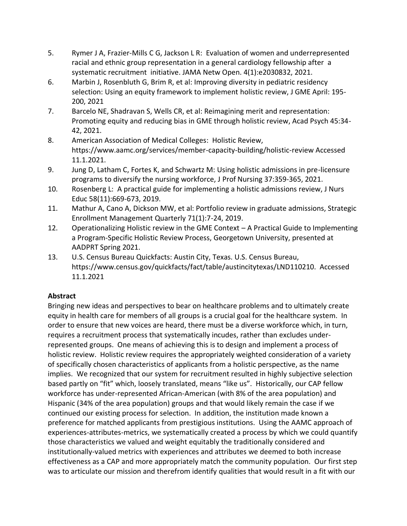- 5. Rymer J A, Frazier-Mills C G, Jackson L R: Evaluation of women and underrepresented racial and ethnic group representation in a general cardiology fellowship after a systematic recruitment initiative. JAMA Netw Open. 4(1):e2030832, 2021.
- 6. Marbin J, Rosenbluth G, Brim R, et al: Improving diversity in pediatric residency selection: Using an equity framework to implement holistic review, J GME April: 195- 200, 2021
- 7. Barcelo NE, Shadravan S, Wells CR, et al: Reimagining merit and representation: Promoting equity and reducing bias in GME through holistic review, Acad Psych 45:34- 42, 2021.
- 8. American Association of Medical Colleges: Holistic Review, https://www.aamc.org/services/member-capacity-building/holistic-review Accessed 11.1.2021.
- 9. Jung D, Latham C, Fortes K, and Schwartz M: Using holistic admissions in pre-licensure programs to diversify the nursing workforce, J Prof Nursing 37:359-365, 2021.
- 10. Rosenberg L: A practical guide for implementing a holistic admissions review, J Nurs Educ 58(11):669-673, 2019.
- 11. Mathur A, Cano A, Dickson MW, et al: Portfolio review in graduate admissions, Strategic Enrollment Management Quarterly 71(1):7-24, 2019.
- 12. Operationalizing Holistic review in the GME Context A Practical Guide to Implementing a Program-Specific Holistic Review Process, Georgetown University, presented at AADPRT Spring 2021.
- 13. U.S. Census Bureau Quickfacts: Austin City, Texas. U.S. Census Bureau, https://www.census.gov/quickfacts/fact/table/austincitytexas/LND110210. Accessed 11.1.2021

# **Abstract**

Bringing new ideas and perspectives to bear on healthcare problems and to ultimately create equity in health care for members of all groups is a crucial goal for the healthcare system. In order to ensure that new voices are heard, there must be a diverse workforce which, in turn, requires a recruitment process that systematically incudes, rather than excludes underrepresented groups. One means of achieving this is to design and implement a process of holistic review. Holistic review requires the appropriately weighted consideration of a variety of specifically chosen characteristics of applicants from a holistic perspective, as the name implies. We recognized that our system for recruitment resulted in highly subjective selection based partly on "fit" which, loosely translated, means "like us". Historically, our CAP fellow workforce has under-represented African-American (with 8% of the area population) and Hispanic (34% of the area population) groups and that would likely remain the case if we continued our existing process for selection. In addition, the institution made known a preference for matched applicants from prestigious institutions. Using the AAMC approach of experiences-attributes-metrics, we systematically created a process by which we could quantify those characteristics we valued and weight equitably the traditionally considered and institutionally-valued metrics with experiences and attributes we deemed to both increase effectiveness as a CAP and more appropriately match the community population. Our first step was to articulate our mission and therefrom identify qualities that would result in a fit with our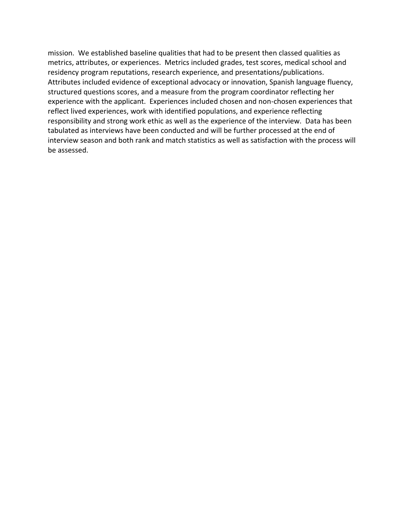mission. We established baseline qualities that had to be present then classed qualities as metrics, attributes, or experiences. Metrics included grades, test scores, medical school and residency program reputations, research experience, and presentations/publications. Attributes included evidence of exceptional advocacy or innovation, Spanish language fluency, structured questions scores, and a measure from the program coordinator reflecting her experience with the applicant. Experiences included chosen and non-chosen experiences that reflect lived experiences, work with identified populations, and experience reflecting responsibility and strong work ethic as well as the experience of the interview. Data has been tabulated as interviews have been conducted and will be further processed at the end of interview season and both rank and match statistics as well as satisfaction with the process will be assessed.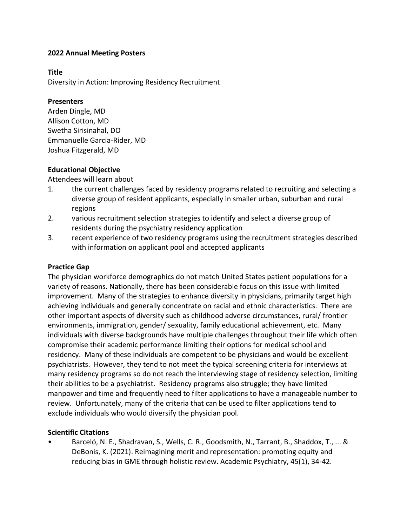### **Title**

Diversity in Action: Improving Residency Recruitment

### **Presenters**

Arden Dingle, MD Allison Cotton, MD Swetha Sirisinahal, DO Emmanuelle Garcia-Rider, MD Joshua Fitzgerald, MD

## **Educational Objective**

Attendees will learn about

- 1. the current challenges faced by residency programs related to recruiting and selecting a diverse group of resident applicants, especially in smaller urban, suburban and rural regions
- 2. various recruitment selection strategies to identify and select a diverse group of residents during the psychiatry residency application
- 3. recent experience of two residency programs using the recruitment strategies described with information on applicant pool and accepted applicants

## **Practice Gap**

The physician workforce demographics do not match United States patient populations for a variety of reasons. Nationally, there has been considerable focus on this issue with limited improvement. Many of the strategies to enhance diversity in physicians, primarily target high achieving individuals and generally concentrate on racial and ethnic characteristics. There are other important aspects of diversity such as childhood adverse circumstances, rural/ frontier environments, immigration, gender/ sexuality, family educational achievement, etc. Many individuals with diverse backgrounds have multiple challenges throughout their life which often compromise their academic performance limiting their options for medical school and residency. Many of these individuals are competent to be physicians and would be excellent psychiatrists. However, they tend to not meet the typical screening criteria for interviews at many residency programs so do not reach the interviewing stage of residency selection, limiting their abilities to be a psychiatrist. Residency programs also struggle; they have limited manpower and time and frequently need to filter applications to have a manageable number to review. Unfortunately, many of the criteria that can be used to filter applications tend to exclude individuals who would diversify the physician pool.

## **Scientific Citations**

• Barceló, N. E., Shadravan, S., Wells, C. R., Goodsmith, N., Tarrant, B., Shaddox, T., ... & DeBonis, K. (2021). Reimagining merit and representation: promoting equity and reducing bias in GME through holistic review. Academic Psychiatry, 45(1), 34-42.